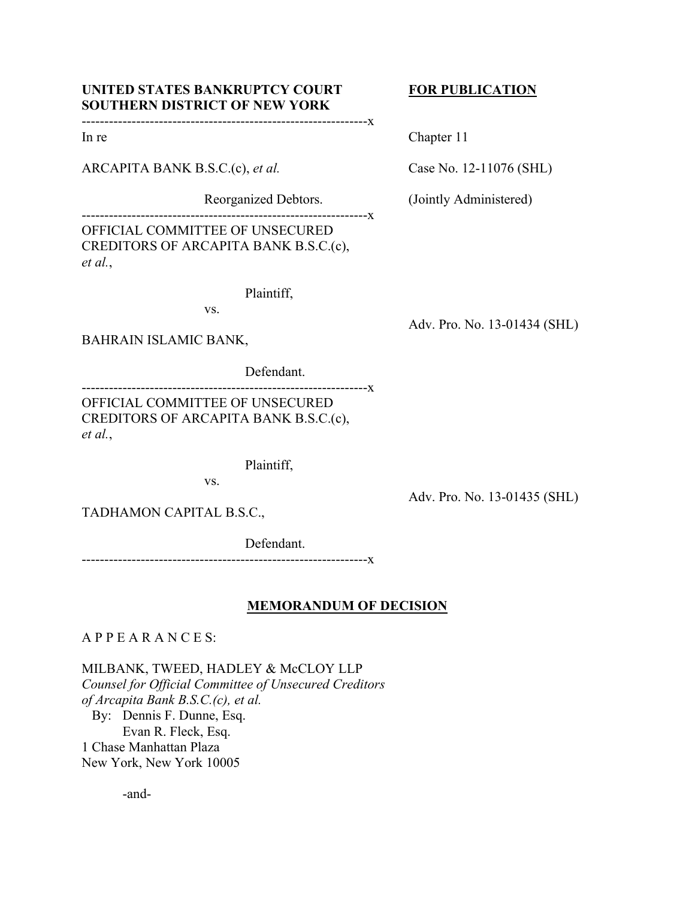# UNITED STATES BANKRUPTCY COURT FOR PUBLICATION **SOUTHERN DISTRICT OF NEW YORK**

---------------------------------------------------------------x

ARCAPITA BANK B.S.C.(c), *et al.* Case No. 12-11076 (SHL)

---------------------------------------------------------------x OFFICIAL COMMITTEE OF UNSECURED CREDITORS OF ARCAPITA BANK B.S.C.(c), *et al.*,

Plaintiff,

vs.

BAHRAIN ISLAMIC BANK,

Defendant.

---------------------------------------------------------------x OFFICIAL COMMITTEE OF UNSECURED CREDITORS OF ARCAPITA BANK B.S.C.(c), *et al.*,

Plaintiff,

vs.

Adv. Pro. No. 13-01435 (SHL)

TADHAMON CAPITAL B.S.C.,

Defendant.

---------------------------------------------------------------x

# **MEMORANDUM OF DECISION**

A P P E A R A N C E S:

MILBANK, TWEED, HADLEY & McCLOY LLP *Counsel for Official Committee of Unsecured Creditors of Arcapita Bank B.S.C.(c), et al.*  By: Dennis F. Dunne, Esq. Evan R. Fleck, Esq. 1 Chase Manhattan Plaza New York, New York 10005

-and-

In re Chapter 11

Reorganized Debtors. (Jointly Administered)

Adv. Pro. No. 13-01434 (SHL)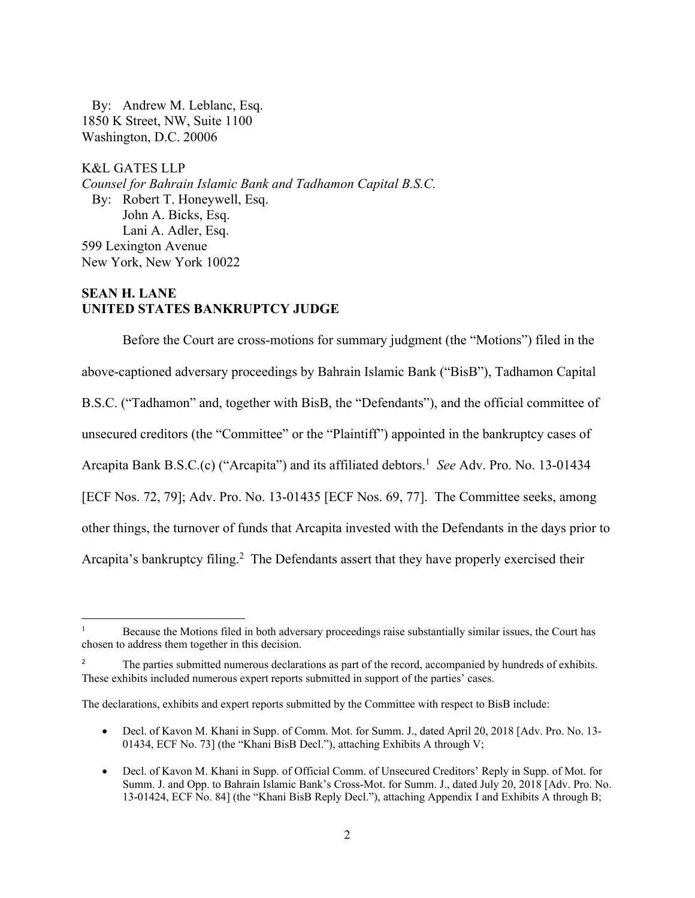By: Andrew M. Leblanc, Esq. 1850 K Street, NW, Suite 1100 Washington, D.C. 20006

K&L GATES LLP *Counsel for Bahrain Islamic Bank and Tadhamon Capital B.S.C.*  By: Robert T. Honeywell, Esq. John A. Bicks, Esq. Lani A. Adler, Esq. 599 Lexington Avenue New York, New York 10022

# **SEAN H. LANE UNITED STATES BANKRUPTCY JUDGE**

Before the Court are cross-motions for summary judgment (the "Motions") filed in the above-captioned adversary proceedings by Bahrain Islamic Bank ("BisB"), Tadhamon Capital B.S.C. ("Tadhamon" and, together with BisB, the "Defendants"), and the official committee of unsecured creditors (the "Committee" or the "Plaintiff") appointed in the bankruptcy cases of Arcapita Bank B.S.C.(c) ("Arcapita") and its affiliated debtors.<sup>1</sup> See Adv. Pro. No. 13-01434 [ECF Nos. 72, 79]; Adv. Pro. No. 13-01435 [ECF Nos. 69, 77]. The Committee seeks, among other things, the turnover of funds that Arcapita invested with the Defendants in the days prior to Arcapita's bankruptcy filing.<sup>2</sup> The Defendants assert that they have properly exercised their

 Decl. of Kavon M. Khani in Supp. of Comm. Mot. for Summ. J., dated April 20, 2018 [Adv. Pro. No. 13- 01434, ECF No. 73] (the "Khani BisB Decl."), attaching Exhibits A through V;

<sup>1</sup> Because the Motions filed in both adversary proceedings raise substantially similar issues, the Court has chosen to address them together in this decision.

<sup>2</sup> The parties submitted numerous declarations as part of the record, accompanied by hundreds of exhibits. These exhibits included numerous expert reports submitted in support of the parties' cases.

The declarations, exhibits and expert reports submitted by the Committee with respect to BisB include:

Decl. of Kavon M. Khani in Supp. of Official Comm. of Unsecured Creditors' Reply in Supp. of Mot. for Summ. J. and Opp. to Bahrain Islamic Bank's Cross-Mot. for Summ. J., dated July 20, 2018 [Adv. Pro. No. 13-01424, ECF No. 84] (the "Khani BisB Reply Decl."), attaching Appendix I and Exhibits A through B;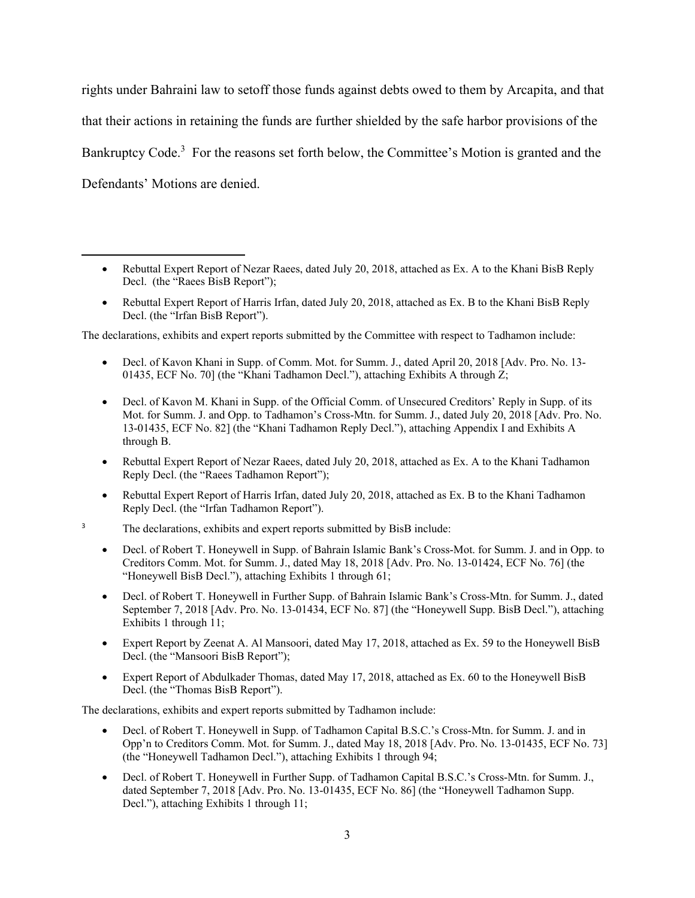rights under Bahraini law to setoff those funds against debts owed to them by Arcapita, and that that their actions in retaining the funds are further shielded by the safe harbor provisions of the Bankruptcy Code.<sup>3</sup> For the reasons set forth below, the Committee's Motion is granted and the Defendants' Motions are denied.

- Rebuttal Expert Report of Nezar Raees, dated July 20, 2018, attached as Ex. A to the Khani BisB Reply Decl. (the "Raees BisB Report");
- Rebuttal Expert Report of Harris Irfan, dated July 20, 2018, attached as Ex. B to the Khani BisB Reply Decl. (the "Irfan BisB Report").

The declarations, exhibits and expert reports submitted by the Committee with respect to Tadhamon include:

- Decl. of Kavon Khani in Supp. of Comm. Mot. for Summ. J., dated April 20, 2018 [Adv. Pro. No. 13- 01435, ECF No. 70] (the "Khani Tadhamon Decl."), attaching Exhibits A through Z;
- Decl. of Kavon M. Khani in Supp. of the Official Comm. of Unsecured Creditors' Reply in Supp. of its Mot. for Summ. J. and Opp. to Tadhamon's Cross-Mtn. for Summ. J., dated July 20, 2018 [Adv. Pro. No. 13-01435, ECF No. 82] (the "Khani Tadhamon Reply Decl."), attaching Appendix I and Exhibits A through B.
- Rebuttal Expert Report of Nezar Raees, dated July 20, 2018, attached as Ex. A to the Khani Tadhamon Reply Decl. (the "Raees Tadhamon Report");
- Rebuttal Expert Report of Harris Irfan, dated July 20, 2018, attached as Ex. B to the Khani Tadhamon Reply Decl. (the "Irfan Tadhamon Report").

3 The declarations, exhibits and expert reports submitted by BisB include:

- Decl. of Robert T. Honeywell in Supp. of Bahrain Islamic Bank's Cross-Mot. for Summ. J. and in Opp. to Creditors Comm. Mot. for Summ. J., dated May 18, 2018 [Adv. Pro. No. 13-01424, ECF No. 76] (the "Honeywell BisB Decl."), attaching Exhibits 1 through 61;
- Decl. of Robert T. Honeywell in Further Supp. of Bahrain Islamic Bank's Cross-Mtn. for Summ. J., dated September 7, 2018 [Adv. Pro. No. 13-01434, ECF No. 87] (the "Honeywell Supp. BisB Decl."), attaching Exhibits 1 through 11;
- Expert Report by Zeenat A. Al Mansoori, dated May 17, 2018, attached as Ex. 59 to the Honeywell BisB Decl. (the "Mansoori BisB Report");
- Expert Report of Abdulkader Thomas, dated May 17, 2018, attached as Ex. 60 to the Honeywell BisB Decl. (the "Thomas BisB Report").

The declarations, exhibits and expert reports submitted by Tadhamon include:

- Decl. of Robert T. Honeywell in Supp. of Tadhamon Capital B.S.C.'s Cross-Mtn. for Summ. J. and in Opp'n to Creditors Comm. Mot. for Summ. J., dated May 18, 2018 [Adv. Pro. No. 13-01435, ECF No. 73] (the "Honeywell Tadhamon Decl."), attaching Exhibits 1 through 94;
- Decl. of Robert T. Honeywell in Further Supp. of Tadhamon Capital B.S.C.'s Cross-Mtn. for Summ. J., dated September 7, 2018 [Adv. Pro. No. 13-01435, ECF No. 86] (the "Honeywell Tadhamon Supp. Decl."), attaching Exhibits 1 through 11;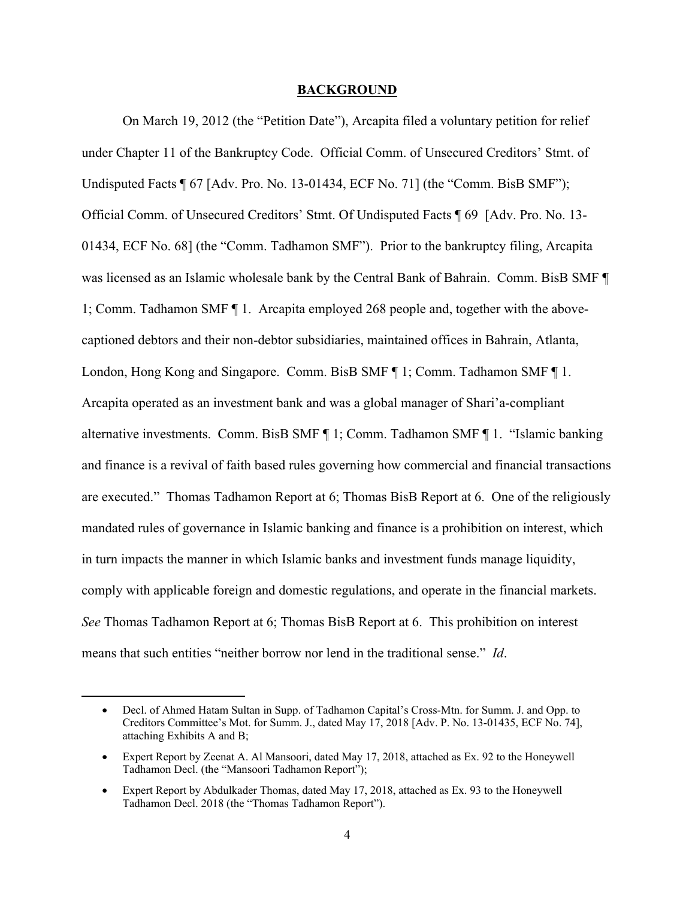#### **BACKGROUND**

On March 19, 2012 (the "Petition Date"), Arcapita filed a voluntary petition for relief under Chapter 11 of the Bankruptcy Code. Official Comm. of Unsecured Creditors' Stmt. of Undisputed Facts ¶ 67 [Adv. Pro. No. 13-01434, ECF No. 71] (the "Comm. BisB SMF"); Official Comm. of Unsecured Creditors' Stmt. Of Undisputed Facts ¶ 69 [Adv. Pro. No. 13- 01434, ECF No. 68] (the "Comm. Tadhamon SMF"). Prior to the bankruptcy filing, Arcapita was licensed as an Islamic wholesale bank by the Central Bank of Bahrain. Comm. BisB SMF ¶ 1; Comm. Tadhamon SMF ¶ 1. Arcapita employed 268 people and, together with the abovecaptioned debtors and their non-debtor subsidiaries, maintained offices in Bahrain, Atlanta, London, Hong Kong and Singapore. Comm. BisB SMF ¶ 1; Comm. Tadhamon SMF ¶ 1. Arcapita operated as an investment bank and was a global manager of Shari'a-compliant alternative investments. Comm. BisB SMF ¶ 1; Comm. Tadhamon SMF ¶ 1. "Islamic banking and finance is a revival of faith based rules governing how commercial and financial transactions are executed." Thomas Tadhamon Report at 6; Thomas BisB Report at 6. One of the religiously mandated rules of governance in Islamic banking and finance is a prohibition on interest, which in turn impacts the manner in which Islamic banks and investment funds manage liquidity, comply with applicable foreign and domestic regulations, and operate in the financial markets. *See* Thomas Tadhamon Report at 6; Thomas BisB Report at 6. This prohibition on interest means that such entities "neither borrow nor lend in the traditional sense." *Id*.

Decl. of Ahmed Hatam Sultan in Supp. of Tadhamon Capital's Cross-Mtn. for Summ. J. and Opp. to Creditors Committee's Mot. for Summ. J., dated May 17, 2018 [Adv. P. No. 13-01435, ECF No. 74], attaching Exhibits A and B;

Expert Report by Zeenat A. Al Mansoori, dated May 17, 2018, attached as Ex. 92 to the Honeywell Tadhamon Decl. (the "Mansoori Tadhamon Report");

Expert Report by Abdulkader Thomas, dated May 17, 2018, attached as Ex. 93 to the Honeywell Tadhamon Decl. 2018 (the "Thomas Tadhamon Report").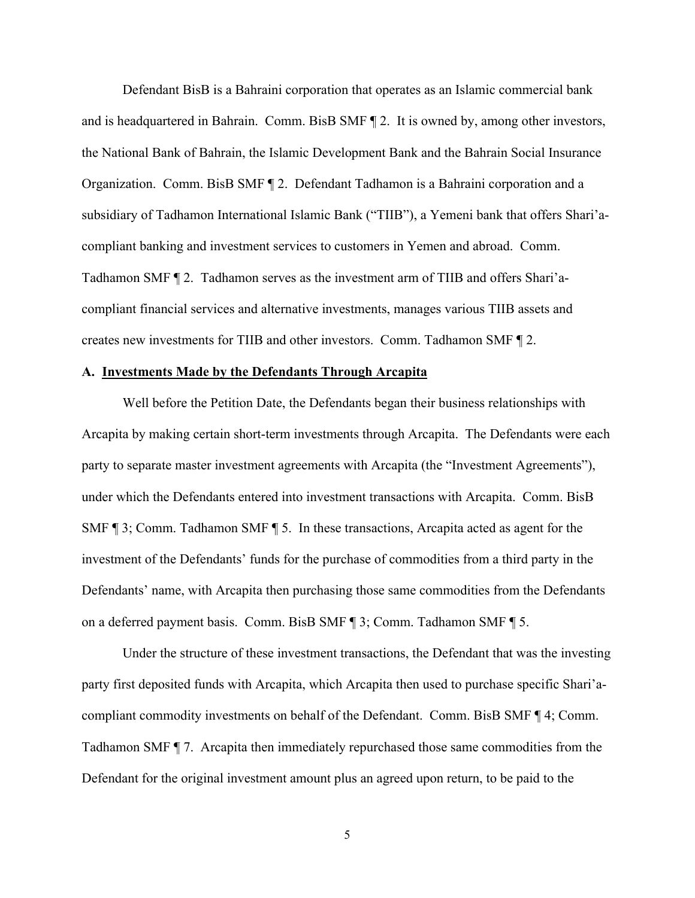Defendant BisB is a Bahraini corporation that operates as an Islamic commercial bank and is headquartered in Bahrain. Comm. BisB SMF ¶ 2. It is owned by, among other investors, the National Bank of Bahrain, the Islamic Development Bank and the Bahrain Social Insurance Organization. Comm. BisB SMF ¶ 2.Defendant Tadhamon is a Bahraini corporation and a subsidiary of Tadhamon International Islamic Bank ("TIIB"), a Yemeni bank that offers Shari'acompliant banking and investment services to customers in Yemen and abroad. Comm. Tadhamon SMF ¶ 2. Tadhamon serves as the investment arm of TIIB and offers Shari'acompliant financial services and alternative investments, manages various TIIB assets and creates new investments for TIIB and other investors. Comm. Tadhamon SMF ¶ 2.

#### **A. Investments Made by the Defendants Through Arcapita**

Well before the Petition Date, the Defendants began their business relationships with Arcapita by making certain short-term investments through Arcapita. The Defendants were each party to separate master investment agreements with Arcapita (the "Investment Agreements"), under which the Defendants entered into investment transactions with Arcapita. Comm. BisB SMF ¶ 3; Comm. Tadhamon SMF ¶ 5. In these transactions, Arcapita acted as agent for the investment of the Defendants' funds for the purchase of commodities from a third party in the Defendants' name, with Arcapita then purchasing those same commodities from the Defendants on a deferred payment basis. Comm. BisB SMF ¶ 3; Comm. Tadhamon SMF ¶ 5.

Under the structure of these investment transactions, the Defendant that was the investing party first deposited funds with Arcapita, which Arcapita then used to purchase specific Shari'acompliant commodity investments on behalf of the Defendant. Comm. BisB SMF ¶ 4; Comm. Tadhamon SMF ¶ 7. Arcapita then immediately repurchased those same commodities from the Defendant for the original investment amount plus an agreed upon return, to be paid to the

5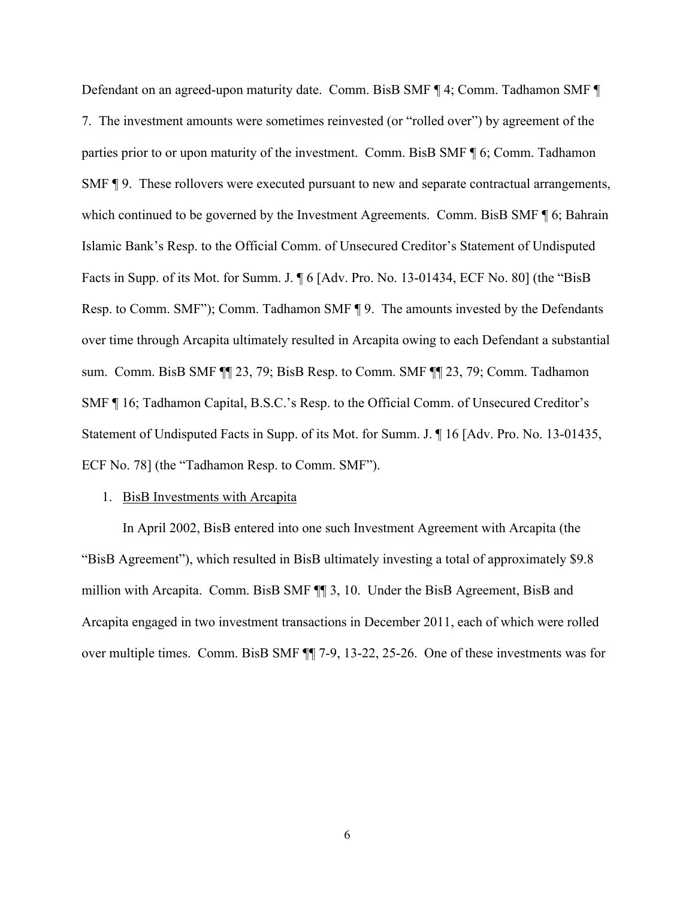Defendant on an agreed-upon maturity date. Comm. BisB SMF ¶ 4; Comm. Tadhamon SMF ¶ 7. The investment amounts were sometimes reinvested (or "rolled over") by agreement of the parties prior to or upon maturity of the investment. Comm. BisB SMF ¶ 6; Comm. Tadhamon SMF ¶ 9. These rollovers were executed pursuant to new and separate contractual arrangements, which continued to be governed by the Investment Agreements. Comm. BisB SMF ¶ 6; Bahrain Islamic Bank's Resp. to the Official Comm. of Unsecured Creditor's Statement of Undisputed Facts in Supp. of its Mot. for Summ. J. ¶ 6 [Adv. Pro. No. 13-01434, ECF No. 80] (the "BisB Resp. to Comm. SMF"); Comm. Tadhamon SMF ¶ 9. The amounts invested by the Defendants over time through Arcapita ultimately resulted in Arcapita owing to each Defendant a substantial sum. Comm. BisB SMF ¶¶ 23, 79; BisB Resp. to Comm. SMF ¶¶ 23, 79; Comm. Tadhamon SMF ¶ 16; Tadhamon Capital, B.S.C.'s Resp. to the Official Comm. of Unsecured Creditor's Statement of Undisputed Facts in Supp. of its Mot. for Summ. J. ¶ 16 [Adv. Pro. No. 13-01435, ECF No. 78] (the "Tadhamon Resp. to Comm. SMF").

#### 1. BisB Investments with Arcapita

In April 2002, BisB entered into one such Investment Agreement with Arcapita (the "BisB Agreement"), which resulted in BisB ultimately investing a total of approximately \$9.8 million with Arcapita. Comm. BisB SMF ¶¶ 3, 10. Under the BisB Agreement, BisB and Arcapita engaged in two investment transactions in December 2011, each of which were rolled over multiple times. Comm. BisB SMF ¶¶ 7-9, 13-22, 25-26. One of these investments was for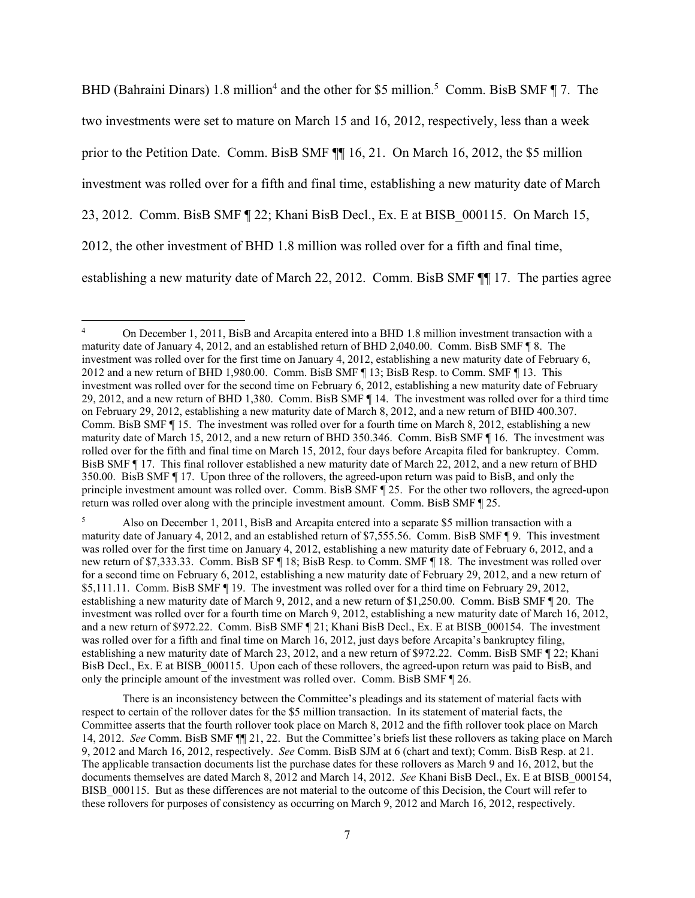BHD (Bahraini Dinars) 1.8 million<sup>4</sup> and the other for \$5 million.<sup>5</sup> Comm. BisB SMF  $\P$  7. The two investments were set to mature on March 15 and 16, 2012, respectively, less than a week prior to the Petition Date. Comm. BisB SMF ¶¶ 16, 21. On March 16, 2012, the \$5 million investment was rolled over for a fifth and final time, establishing a new maturity date of March 23, 2012. Comm. BisB SMF ¶ 22; Khani BisB Decl., Ex. E at BISB\_000115. On March 15, 2012, the other investment of BHD 1.8 million was rolled over for a fifth and final time, establishing a new maturity date of March 22, 2012. Comm. BisB SMF ¶¶ 17. The parties agree

5 Also on December 1, 2011, BisB and Arcapita entered into a separate \$5 million transaction with a maturity date of January 4, 2012, and an established return of \$7,555.56. Comm. BisB SMF ¶ 9. This investment was rolled over for the first time on January 4, 2012, establishing a new maturity date of February 6, 2012, and a new return of \$7,333.33. Comm. BisB SF ¶ 18; BisB Resp. to Comm. SMF ¶ 18. The investment was rolled over for a second time on February 6, 2012, establishing a new maturity date of February 29, 2012, and a new return of \$5,111.11. Comm. BisB SMF ¶ 19. The investment was rolled over for a third time on February 29, 2012, establishing a new maturity date of March 9, 2012, and a new return of \$1,250.00. Comm. BisB SMF ¶ 20. The investment was rolled over for a fourth time on March 9, 2012, establishing a new maturity date of March 16, 2012, and a new return of \$972.22. Comm. BisB SMF [21; Khani BisB Decl., Ex. E at BISB 000154. The investment was rolled over for a fifth and final time on March 16, 2012, just days before Arcapita's bankruptcy filing, establishing a new maturity date of March 23, 2012, and a new return of \$972.22. Comm. BisB SMF ¶ 22; Khani BisB Decl., Ex. E at BISB\_000115. Upon each of these rollovers, the agreed-upon return was paid to BisB, and only the principle amount of the investment was rolled over. Comm. BisB SMF ¶ 26.

 There is an inconsistency between the Committee's pleadings and its statement of material facts with respect to certain of the rollover dates for the \$5 million transaction. In its statement of material facts, the Committee asserts that the fourth rollover took place on March 8, 2012 and the fifth rollover took place on March 14, 2012. *See* Comm. BisB SMF ¶¶ 21, 22. But the Committee's briefs list these rollovers as taking place on March 9, 2012 and March 16, 2012, respectively. *See* Comm. BisB SJM at 6 (chart and text); Comm. BisB Resp. at 21. The applicable transaction documents list the purchase dates for these rollovers as March 9 and 16, 2012, but the documents themselves are dated March 8, 2012 and March 14, 2012. *See* Khani BisB Decl., Ex. E at BISB\_000154, BISB\_000115. But as these differences are not material to the outcome of this Decision, the Court will refer to these rollovers for purposes of consistency as occurring on March 9, 2012 and March 16, 2012, respectively.

<sup>4</sup> On December 1, 2011, BisB and Arcapita entered into a BHD 1.8 million investment transaction with a maturity date of January 4, 2012, and an established return of BHD 2,040.00. Comm. BisB SMF ¶ 8. The investment was rolled over for the first time on January 4, 2012, establishing a new maturity date of February 6, 2012 and a new return of BHD 1,980.00. Comm. BisB SMF ¶ 13; BisB Resp. to Comm. SMF ¶ 13. This investment was rolled over for the second time on February 6, 2012, establishing a new maturity date of February 29, 2012, and a new return of BHD 1,380. Comm. BisB SMF ¶ 14. The investment was rolled over for a third time on February 29, 2012, establishing a new maturity date of March 8, 2012, and a new return of BHD 400.307. Comm. BisB SMF ¶ 15. The investment was rolled over for a fourth time on March 8, 2012, establishing a new maturity date of March 15, 2012, and a new return of BHD 350.346. Comm. BisB SMF ¶ 16. The investment was rolled over for the fifth and final time on March 15, 2012, four days before Arcapita filed for bankruptcy. Comm. BisB SMF ¶ 17. This final rollover established a new maturity date of March 22, 2012, and a new return of BHD 350.00. BisB SMF ¶ 17.Upon three of the rollovers, the agreed-upon return was paid to BisB, and only the principle investment amount was rolled over. Comm. BisB SMF ¶ 25. For the other two rollovers, the agreed-upon return was rolled over along with the principle investment amount. Comm. BisB SMF ¶ 25.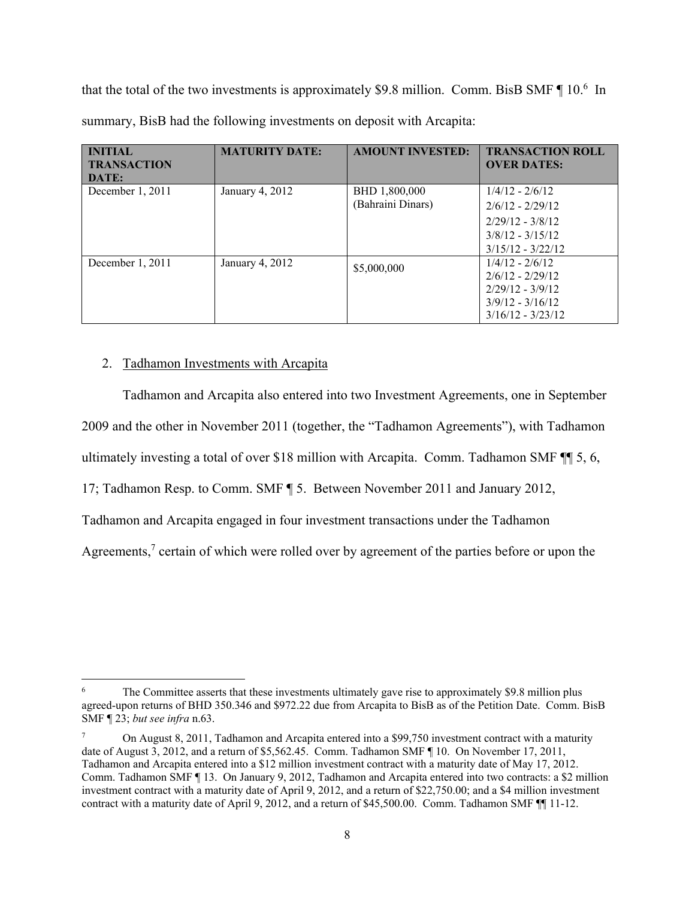that the total of the two investments is approximately \$9.8 million. Comm. BisB SMF  $\P$  10.<sup>6</sup> In summary, BisB had the following investments on deposit with Arcapita:

| <b>INITIAL</b><br><b>TRANSACTION</b><br>DATE: | <b>MATURITY DATE:</b> | <b>AMOUNT INVESTED:</b>            | <b>TRANSACTION ROLL</b><br><b>OVER DATES:</b>                                                              |
|-----------------------------------------------|-----------------------|------------------------------------|------------------------------------------------------------------------------------------------------------|
| December 1, 2011                              | January 4, 2012       | BHD 1,800,000<br>(Bahraini Dinars) | $1/4/12 - 2/6/12$<br>$2/6/12 - 2/29/12$<br>$2/29/12 - 3/8/12$<br>$3/8/12 - 3/15/12$<br>$3/15/12 - 3/22/12$ |
| December 1, 2011                              | January 4, 2012       | \$5,000,000                        | $1/4/12 - 2/6/12$<br>$2/6/12 - 2/29/12$<br>$2/29/12 - 3/9/12$<br>$3/9/12 - 3/16/12$<br>$3/16/12 - 3/23/12$ |

# 2. Tadhamon Investments with Arcapita

Tadhamon and Arcapita also entered into two Investment Agreements, one in September 2009 and the other in November 2011 (together, the "Tadhamon Agreements"), with Tadhamon ultimately investing a total of over \$18 million with Arcapita. Comm. Tadhamon SMF ¶¶ 5, 6,

17; Tadhamon Resp. to Comm. SMF ¶ 5. Between November 2011 and January 2012,

Tadhamon and Arcapita engaged in four investment transactions under the Tadhamon

Agreements, $7$  certain of which were rolled over by agreement of the parties before or upon the

<sup>6</sup> The Committee asserts that these investments ultimately gave rise to approximately \$9.8 million plus agreed-upon returns of BHD 350.346 and \$972.22 due from Arcapita to BisB as of the Petition Date. Comm. BisB SMF ¶ 23; *but see infra* n.63.

<sup>7</sup> On August 8, 2011, Tadhamon and Arcapita entered into a \$99,750 investment contract with a maturity date of August 3, 2012, and a return of \$5,562.45. Comm. Tadhamon SMF ¶ 10. On November 17, 2011, Tadhamon and Arcapita entered into a \$12 million investment contract with a maturity date of May 17, 2012. Comm. Tadhamon SMF ¶ 13. On January 9, 2012, Tadhamon and Arcapita entered into two contracts: a \$2 million investment contract with a maturity date of April 9, 2012, and a return of \$22,750.00; and a \$4 million investment contract with a maturity date of April 9, 2012, and a return of \$45,500.00. Comm. Tadhamon SMF ¶¶ 11-12.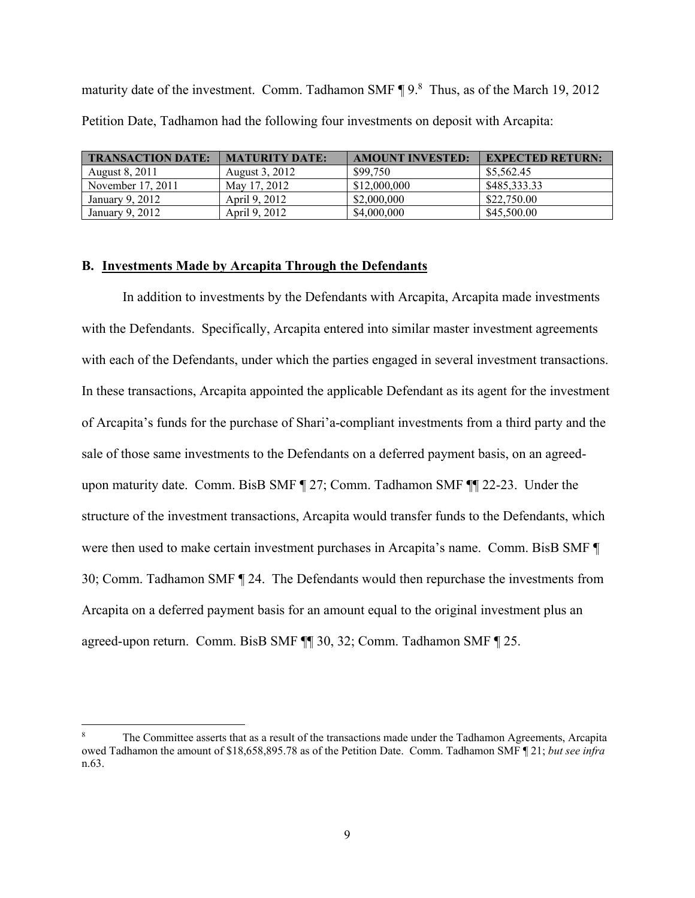maturity date of the investment. Comm. Tadhamon SMF  $\P$  9.<sup>8</sup> Thus, as of the March 19, 2012 Petition Date, Tadhamon had the following four investments on deposit with Arcapita:

| <b>TRANSACTION DATE:</b> | <b>MATURITY DATE:</b> | <b>AMOUNT INVESTED:</b> | <b>EXPECTED RETURN:</b> |
|--------------------------|-----------------------|-------------------------|-------------------------|
| August 8, 2011           | August 3, 2012        | \$99.750                | \$5,562.45              |
| November 17, 2011        | May 17, 2012          | \$12,000,000            | \$485,333,33            |
| January 9, 2012          | April 9, 2012         | \$2,000,000             | \$22,750.00             |
| January 9, 2012          | April 9, 2012         | \$4,000,000             | \$45,500.00             |

#### **B. Investments Made by Arcapita Through the Defendants**

In addition to investments by the Defendants with Arcapita, Arcapita made investments with the Defendants. Specifically, Arcapita entered into similar master investment agreements with each of the Defendants, under which the parties engaged in several investment transactions. In these transactions, Arcapita appointed the applicable Defendant as its agent for the investment of Arcapita's funds for the purchase of Shari'a-compliant investments from a third party and the sale of those same investments to the Defendants on a deferred payment basis, on an agreedupon maturity date. Comm. BisB SMF ¶ 27; Comm. Tadhamon SMF ¶¶ 22-23. Under the structure of the investment transactions, Arcapita would transfer funds to the Defendants, which were then used to make certain investment purchases in Arcapita's name. Comm. BisB SMF ¶ 30; Comm. Tadhamon SMF ¶ 24. The Defendants would then repurchase the investments from Arcapita on a deferred payment basis for an amount equal to the original investment plus an agreed-upon return. Comm. BisB SMF ¶¶ 30, 32; Comm. Tadhamon SMF ¶ 25.

<sup>8</sup> The Committee asserts that as a result of the transactions made under the Tadhamon Agreements, Arcapita owed Tadhamon the amount of \$18,658,895.78 as of the Petition Date. Comm. Tadhamon SMF ¶ 21; *but see infra* n.63.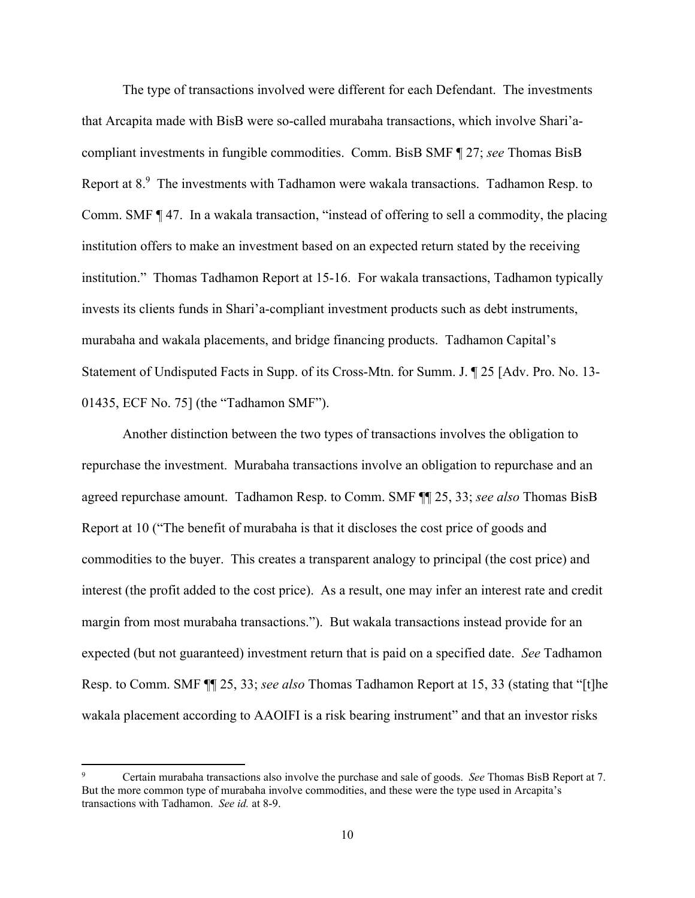The type of transactions involved were different for each Defendant. The investments that Arcapita made with BisB were so-called murabaha transactions, which involve Shari'acompliant investments in fungible commodities. Comm. BisB SMF ¶ 27; *see* Thomas BisB Report at  $8.9$  The investments with Tadhamon were wakala transactions. Tadhamon Resp. to Comm. SMF ¶ 47. In a wakala transaction, "instead of offering to sell a commodity, the placing institution offers to make an investment based on an expected return stated by the receiving institution." Thomas Tadhamon Report at 15-16. For wakala transactions, Tadhamon typically invests its clients funds in Shari'a-compliant investment products such as debt instruments, murabaha and wakala placements, and bridge financing products. Tadhamon Capital's Statement of Undisputed Facts in Supp. of its Cross-Mtn. for Summ. J. ¶ 25 [Adv. Pro. No. 13- 01435, ECF No. 75] (the "Tadhamon SMF").

Another distinction between the two types of transactions involves the obligation to repurchase the investment. Murabaha transactions involve an obligation to repurchase and an agreed repurchase amount. Tadhamon Resp. to Comm. SMF ¶¶ 25, 33; *see also* Thomas BisB Report at 10 ("The benefit of murabaha is that it discloses the cost price of goods and commodities to the buyer. This creates a transparent analogy to principal (the cost price) and interest (the profit added to the cost price). As a result, one may infer an interest rate and credit margin from most murabaha transactions."). But wakala transactions instead provide for an expected (but not guaranteed) investment return that is paid on a specified date. *See* Tadhamon Resp. to Comm. SMF ¶¶ 25, 33; *see also* Thomas Tadhamon Report at 15, 33 (stating that "[t]he wakala placement according to AAOIFI is a risk bearing instrument" and that an investor risks

<sup>9</sup> Certain murabaha transactions also involve the purchase and sale of goods. *See* Thomas BisB Report at 7. But the more common type of murabaha involve commodities, and these were the type used in Arcapita's transactions with Tadhamon. *See id.* at 8-9.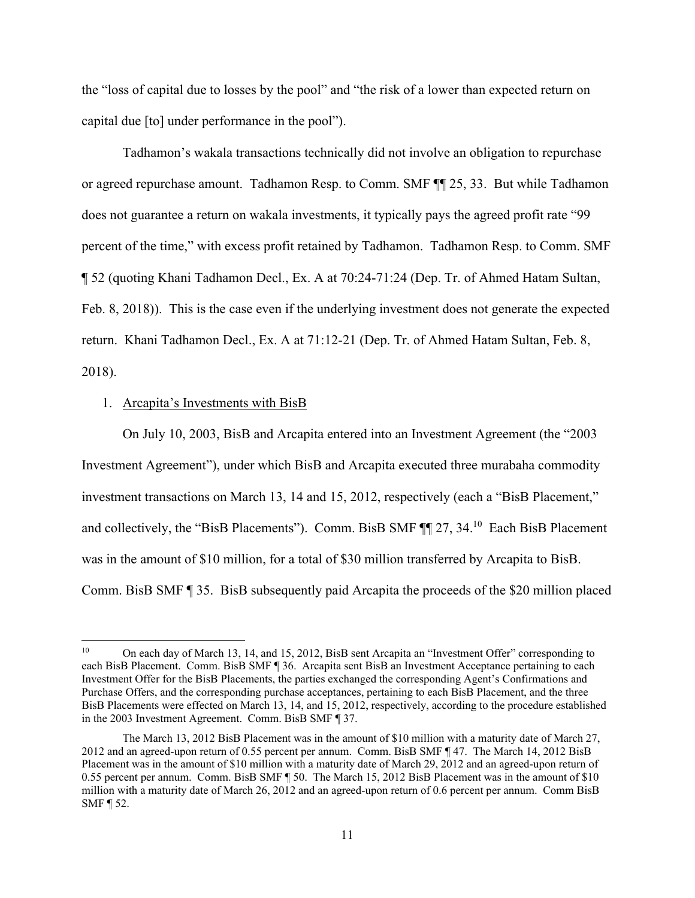the "loss of capital due to losses by the pool" and "the risk of a lower than expected return on capital due [to] under performance in the pool").

Tadhamon's wakala transactions technically did not involve an obligation to repurchase or agreed repurchase amount. Tadhamon Resp. to Comm. SMF ¶¶ 25, 33. But while Tadhamon does not guarantee a return on wakala investments, it typically pays the agreed profit rate "99 percent of the time," with excess profit retained by Tadhamon. Tadhamon Resp. to Comm. SMF ¶ 52 (quoting Khani Tadhamon Decl., Ex. A at 70:24-71:24 (Dep. Tr. of Ahmed Hatam Sultan, Feb. 8, 2018)). This is the case even if the underlying investment does not generate the expected return. Khani Tadhamon Decl., Ex. A at 71:12-21 (Dep. Tr. of Ahmed Hatam Sultan, Feb. 8, 2018).

### 1. Arcapita's Investments with BisB

On July 10, 2003, BisB and Arcapita entered into an Investment Agreement (the "2003 Investment Agreement"), under which BisB and Arcapita executed three murabaha commodity investment transactions on March 13, 14 and 15, 2012, respectively (each a "BisB Placement," and collectively, the "BisB Placements"). Comm. BisB SMF ¶¶ 27, 34.10 Each BisB Placement was in the amount of \$10 million, for a total of \$30 million transferred by Arcapita to BisB. Comm. BisB SMF ¶ 35. BisB subsequently paid Arcapita the proceeds of the \$20 million placed

<sup>10</sup> On each day of March 13, 14, and 15, 2012, BisB sent Arcapita an "Investment Offer" corresponding to each BisB Placement. Comm. BisB SMF ¶ 36. Arcapita sent BisB an Investment Acceptance pertaining to each Investment Offer for the BisB Placements, the parties exchanged the corresponding Agent's Confirmations and Purchase Offers, and the corresponding purchase acceptances, pertaining to each BisB Placement, and the three BisB Placements were effected on March 13, 14, and 15, 2012, respectively, according to the procedure established in the 2003 Investment Agreement. Comm. BisB SMF ¶ 37.

The March 13, 2012 BisB Placement was in the amount of \$10 million with a maturity date of March 27, 2012 and an agreed-upon return of 0.55 percent per annum. Comm. BisB SMF ¶ 47. The March 14, 2012 BisB Placement was in the amount of \$10 million with a maturity date of March 29, 2012 and an agreed-upon return of 0.55 percent per annum. Comm. BisB SMF ¶ 50. The March 15, 2012 BisB Placement was in the amount of \$10 million with a maturity date of March 26, 2012 and an agreed-upon return of 0.6 percent per annum. Comm BisB SMF ¶ 52.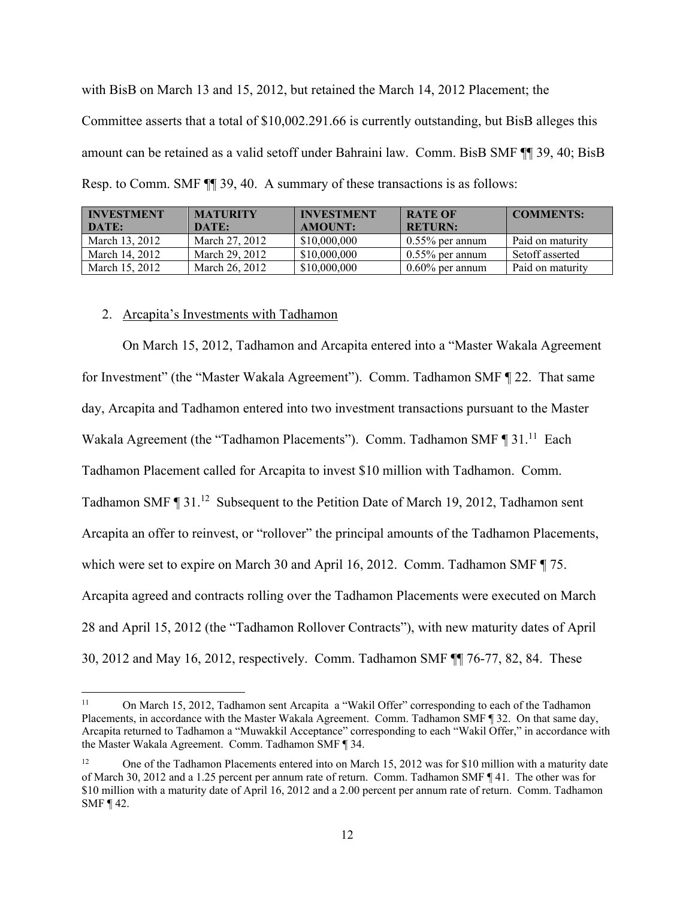with BisB on March 13 and 15, 2012, but retained the March 14, 2012 Placement; the Committee asserts that a total of \$10,002.291.66 is currently outstanding, but BisB alleges this amount can be retained as a valid setoff under Bahraini law. Comm. BisB SMF ¶¶ 39, 40; BisB Resp. to Comm. SMF ¶¶ 39, 40. A summary of these transactions is as follows:

| <b>INVESTMENT</b> | <b>MATURITY</b> | <b>INVESTMENT</b> | <b>RATE OF</b>     | <b>COMMENTS:</b> |
|-------------------|-----------------|-------------------|--------------------|------------------|
| DATE:             | DATE:           | <b>AMOUNT:</b>    | <b>RETURN:</b>     |                  |
| March 13, 2012    | March 27, 2012  | \$10,000,000      | $0.55\%$ per annum | Paid on maturity |
| March 14, 2012    | March 29, 2012  | \$10,000,000      | $0.55\%$ per annum | Setoff asserted  |
| March 15, 2012    | March 26, 2012  | \$10,000,000      | $0.60\%$ per annum | Paid on maturity |

#### 2. Arcapita's Investments with Tadhamon

On March 15, 2012, Tadhamon and Arcapita entered into a "Master Wakala Agreement for Investment" (the "Master Wakala Agreement"). Comm. Tadhamon SMF ¶ 22. That same day, Arcapita and Tadhamon entered into two investment transactions pursuant to the Master Wakala Agreement (the "Tadhamon Placements"). Comm. Tadhamon SMF ¶ 31.<sup>11</sup> Each Tadhamon Placement called for Arcapita to invest \$10 million with Tadhamon. Comm. Tadhamon SMF ¶ 31.<sup>12</sup> Subsequent to the Petition Date of March 19, 2012, Tadhamon sent Arcapita an offer to reinvest, or "rollover" the principal amounts of the Tadhamon Placements, which were set to expire on March 30 and April 16, 2012. Comm. Tadhamon SMF ¶ 75. Arcapita agreed and contracts rolling over the Tadhamon Placements were executed on March 28 and April 15, 2012 (the "Tadhamon Rollover Contracts"), with new maturity dates of April 30, 2012 and May 16, 2012, respectively. Comm. Tadhamon SMF ¶¶ 76-77, 82, 84. These

<sup>&</sup>lt;sup>11</sup> On March 15, 2012, Tadhamon sent Arcapita a "Wakil Offer" corresponding to each of the Tadhamon Placements, in accordance with the Master Wakala Agreement. Comm. Tadhamon SMF ¶ 32. On that same day, Arcapita returned to Tadhamon a "Muwakkil Acceptance" corresponding to each "Wakil Offer," in accordance with the Master Wakala Agreement. Comm. Tadhamon SMF ¶ 34.

One of the Tadhamon Placements entered into on March 15, 2012 was for \$10 million with a maturity date of March 30, 2012 and a 1.25 percent per annum rate of return. Comm. Tadhamon SMF ¶ 41. The other was for \$10 million with a maturity date of April 16, 2012 and a 2.00 percent per annum rate of return. Comm. Tadhamon SMF ¶ 42.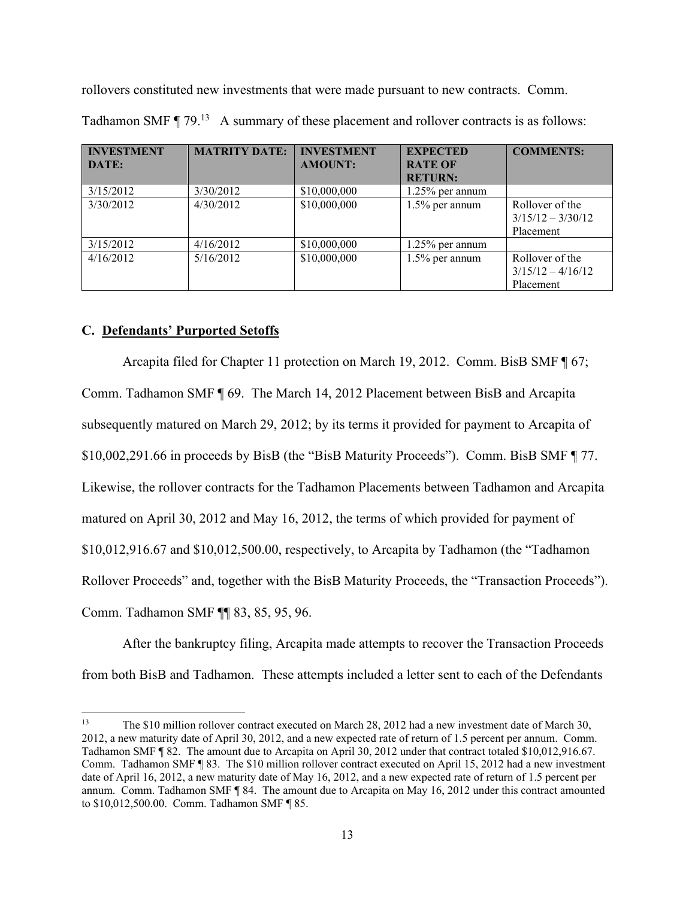rollovers constituted new investments that were made pursuant to new contracts. Comm.

| <b>INVESTMENT</b><br>DATE: | <b>MATRITY DATE:</b> | <b>INVESTMENT</b><br><b>AMOUNT:</b> | <b>EXPECTED</b><br><b>RATE OF</b><br><b>RETURN:</b> | <b>COMMENTS:</b>                                    |
|----------------------------|----------------------|-------------------------------------|-----------------------------------------------------|-----------------------------------------------------|
| 3/15/2012                  | 3/30/2012            | \$10,000,000                        | 1.25% per annum                                     |                                                     |
| 3/30/2012                  | 4/30/2012            | \$10,000,000                        | $1.5\%$ per annum                                   | Rollover of the<br>$3/15/12 - 3/30/12$<br>Placement |
| 3/15/2012                  | 4/16/2012            | \$10,000,000                        | $1.25\%$ per annum                                  |                                                     |
| 4/16/2012                  | 5/16/2012            | \$10,000,000                        | $1.5\%$ per annum                                   | Rollover of the<br>$3/15/12 - 4/16/12$<br>Placement |

Tadhamon SMF  $\P$  79.<sup>13</sup> A summary of these placement and rollover contracts is as follows:

# **C. Defendants' Purported Setoffs**

Arcapita filed for Chapter 11 protection on March 19, 2012. Comm. BisB SMF ¶ 67; Comm. Tadhamon SMF ¶ 69. The March 14, 2012 Placement between BisB and Arcapita subsequently matured on March 29, 2012; by its terms it provided for payment to Arcapita of \$10,002,291.66 in proceeds by BisB (the "BisB Maturity Proceeds"). Comm. BisB SMF ¶ 77. Likewise, the rollover contracts for the Tadhamon Placements between Tadhamon and Arcapita matured on April 30, 2012 and May 16, 2012, the terms of which provided for payment of \$10,012,916.67 and \$10,012,500.00, respectively, to Arcapita by Tadhamon (the "Tadhamon Rollover Proceeds" and, together with the BisB Maturity Proceeds, the "Transaction Proceeds"). Comm. Tadhamon SMF ¶¶ 83, 85, 95, 96.

After the bankruptcy filing, Arcapita made attempts to recover the Transaction Proceeds from both BisB and Tadhamon. These attempts included a letter sent to each of the Defendants

<sup>13</sup> The \$10 million rollover contract executed on March 28, 2012 had a new investment date of March 30, 2012, a new maturity date of April 30, 2012, and a new expected rate of return of 1.5 percent per annum. Comm. Tadhamon SMF ¶ 82. The amount due to Arcapita on April 30, 2012 under that contract totaled \$10,012,916.67. Comm. Tadhamon SMF ¶ 83. The \$10 million rollover contract executed on April 15, 2012 had a new investment date of April 16, 2012, a new maturity date of May 16, 2012, and a new expected rate of return of 1.5 percent per annum. Comm. Tadhamon SMF ¶ 84. The amount due to Arcapita on May 16, 2012 under this contract amounted to \$10,012,500.00. Comm. Tadhamon SMF ¶ 85.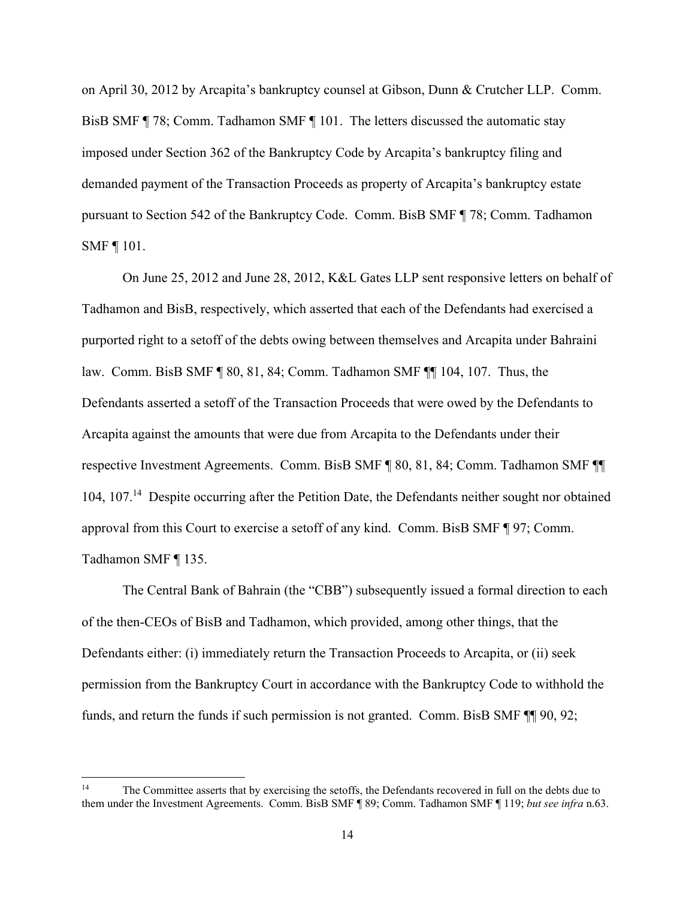on April 30, 2012 by Arcapita's bankruptcy counsel at Gibson, Dunn & Crutcher LLP. Comm. BisB SMF ¶ 78; Comm. Tadhamon SMF ¶ 101. The letters discussed the automatic stay imposed under Section 362 of the Bankruptcy Code by Arcapita's bankruptcy filing and demanded payment of the Transaction Proceeds as property of Arcapita's bankruptcy estate pursuant to Section 542 of the Bankruptcy Code. Comm. BisB SMF ¶ 78; Comm. Tadhamon SMF ¶ 101.

On June 25, 2012 and June 28, 2012, K&L Gates LLP sent responsive letters on behalf of Tadhamon and BisB, respectively, which asserted that each of the Defendants had exercised a purported right to a setoff of the debts owing between themselves and Arcapita under Bahraini law. Comm. BisB SMF ¶ 80, 81, 84; Comm. Tadhamon SMF ¶¶ 104, 107. Thus, the Defendants asserted a setoff of the Transaction Proceeds that were owed by the Defendants to Arcapita against the amounts that were due from Arcapita to the Defendants under their respective Investment Agreements. Comm. BisB SMF ¶ 80, 81, 84; Comm. Tadhamon SMF ¶¶ 104, 107.14 Despite occurring after the Petition Date, the Defendants neither sought nor obtained approval from this Court to exercise a setoff of any kind. Comm. BisB SMF ¶ 97; Comm. Tadhamon SMF ¶ 135.

The Central Bank of Bahrain (the "CBB") subsequently issued a formal direction to each of the then-CEOs of BisB and Tadhamon, which provided, among other things, that the Defendants either: (i) immediately return the Transaction Proceeds to Arcapita, or (ii) seek permission from the Bankruptcy Court in accordance with the Bankruptcy Code to withhold the funds, and return the funds if such permission is not granted. Comm. BisB SMF  $\P$  90, 92;

<sup>&</sup>lt;sup>14</sup> The Committee asserts that by exercising the setoffs, the Defendants recovered in full on the debts due to them under the Investment Agreements. Comm. BisB SMF ¶ 89; Comm. Tadhamon SMF ¶ 119; *but see infra* n.63.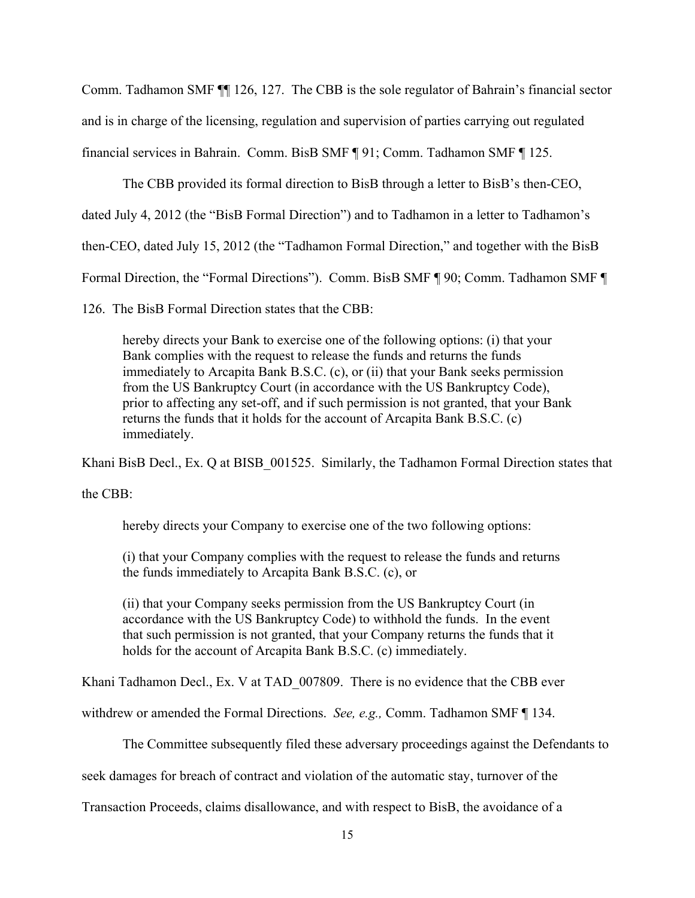Comm. Tadhamon SMF ¶¶ 126, 127. The CBB is the sole regulator of Bahrain's financial sector and is in charge of the licensing, regulation and supervision of parties carrying out regulated financial services in Bahrain. Comm. BisB SMF ¶ 91; Comm. Tadhamon SMF ¶ 125.

The CBB provided its formal direction to BisB through a letter to BisB's then-CEO,

dated July 4, 2012 (the "BisB Formal Direction") and to Tadhamon in a letter to Tadhamon's

then-CEO, dated July 15, 2012 (the "Tadhamon Formal Direction," and together with the BisB

Formal Direction, the "Formal Directions"). Comm. BisB SMF ¶ 90; Comm. Tadhamon SMF ¶

126. The BisB Formal Direction states that the CBB:

hereby directs your Bank to exercise one of the following options: (i) that your Bank complies with the request to release the funds and returns the funds immediately to Arcapita Bank B.S.C. (c), or (ii) that your Bank seeks permission from the US Bankruptcy Court (in accordance with the US Bankruptcy Code), prior to affecting any set-off, and if such permission is not granted, that your Bank returns the funds that it holds for the account of Arcapita Bank B.S.C. (c) immediately.

Khani BisB Decl., Ex. Q at BISB 001525. Similarly, the Tadhamon Formal Direction states that

the CBB:

hereby directs your Company to exercise one of the two following options:

(i) that your Company complies with the request to release the funds and returns the funds immediately to Arcapita Bank B.S.C. (c), or

(ii) that your Company seeks permission from the US Bankruptcy Court (in accordance with the US Bankruptcy Code) to withhold the funds. In the event that such permission is not granted, that your Company returns the funds that it holds for the account of Arcapita Bank B.S.C. (c) immediately.

Khani Tadhamon Decl., Ex. V at TAD 007809. There is no evidence that the CBB ever

withdrew or amended the Formal Directions. *See, e.g.,* Comm. Tadhamon SMF ¶ 134.

The Committee subsequently filed these adversary proceedings against the Defendants to

seek damages for breach of contract and violation of the automatic stay, turnover of the

Transaction Proceeds, claims disallowance, and with respect to BisB, the avoidance of a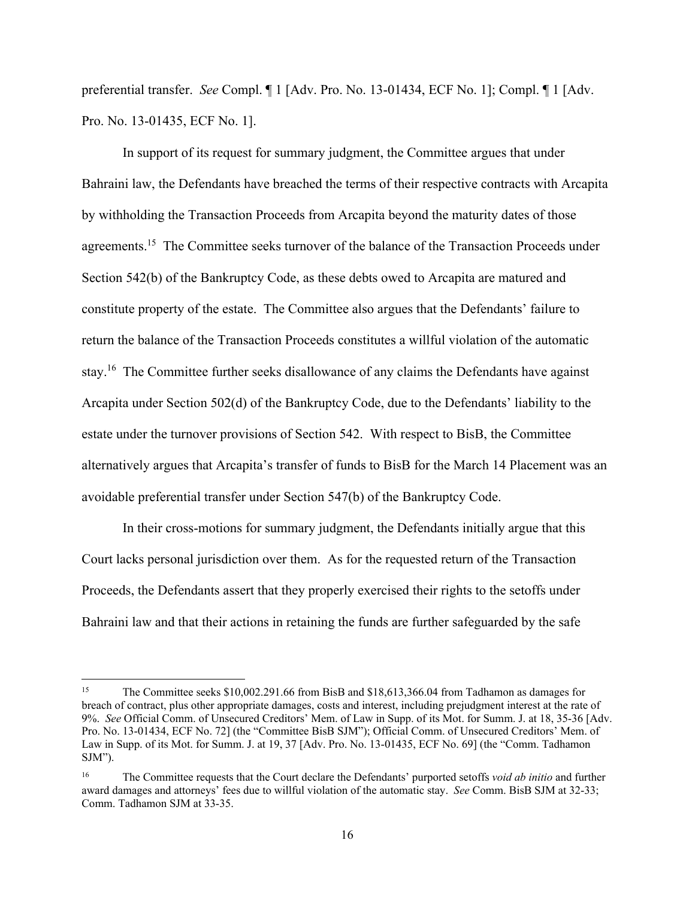preferential transfer. *See* Compl. ¶ 1 [Adv. Pro. No. 13-01434, ECF No. 1]; Compl. ¶ 1 [Adv. Pro. No. 13-01435, ECF No. 1].

In support of its request for summary judgment, the Committee argues that under Bahraini law, the Defendants have breached the terms of their respective contracts with Arcapita by withholding the Transaction Proceeds from Arcapita beyond the maturity dates of those agreements.<sup>15</sup> The Committee seeks turnover of the balance of the Transaction Proceeds under Section 542(b) of the Bankruptcy Code, as these debts owed to Arcapita are matured and constitute property of the estate. The Committee also argues that the Defendants' failure to return the balance of the Transaction Proceeds constitutes a willful violation of the automatic stay.<sup>16</sup> The Committee further seeks disallowance of any claims the Defendants have against Arcapita under Section 502(d) of the Bankruptcy Code, due to the Defendants' liability to the estate under the turnover provisions of Section 542. With respect to BisB, the Committee alternatively argues that Arcapita's transfer of funds to BisB for the March 14 Placement was an avoidable preferential transfer under Section 547(b) of the Bankruptcy Code.

In their cross-motions for summary judgment, the Defendants initially argue that this Court lacks personal jurisdiction over them. As for the requested return of the Transaction Proceeds, the Defendants assert that they properly exercised their rights to the setoffs under Bahraini law and that their actions in retaining the funds are further safeguarded by the safe

<sup>&</sup>lt;sup>15</sup> The Committee seeks \$10,002.291.66 from BisB and \$18,613,366.04 from Tadhamon as damages for breach of contract, plus other appropriate damages, costs and interest, including prejudgment interest at the rate of 9%. *See* Official Comm. of Unsecured Creditors' Mem. of Law in Supp. of its Mot. for Summ. J. at 18, 35-36 [Adv. Pro. No. 13-01434, ECF No. 72] (the "Committee BisB SJM"); Official Comm. of Unsecured Creditors' Mem. of Law in Supp. of its Mot. for Summ. J. at 19, 37 [Adv. Pro. No. 13-01435, ECF No. 69] (the "Comm. Tadhamon SJM").

<sup>16</sup> The Committee requests that the Court declare the Defendants' purported setoffs *void ab initio* and further award damages and attorneys' fees due to willful violation of the automatic stay. *See* Comm. BisB SJM at 32-33; Comm. Tadhamon SJM at 33-35.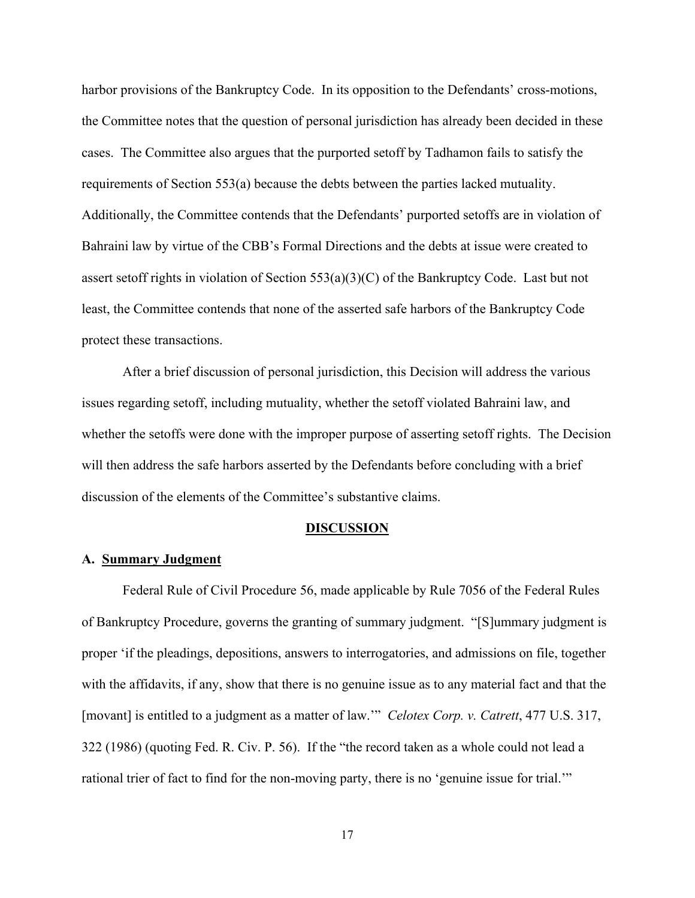harbor provisions of the Bankruptcy Code. In its opposition to the Defendants' cross-motions, the Committee notes that the question of personal jurisdiction has already been decided in these cases. The Committee also argues that the purported setoff by Tadhamon fails to satisfy the requirements of Section 553(a) because the debts between the parties lacked mutuality. Additionally, the Committee contends that the Defendants' purported setoffs are in violation of Bahraini law by virtue of the CBB's Formal Directions and the debts at issue were created to assert setoff rights in violation of Section 553(a)(3)(C) of the Bankruptcy Code. Last but not least, the Committee contends that none of the asserted safe harbors of the Bankruptcy Code protect these transactions.

After a brief discussion of personal jurisdiction, this Decision will address the various issues regarding setoff, including mutuality, whether the setoff violated Bahraini law, and whether the setoffs were done with the improper purpose of asserting setoff rights. The Decision will then address the safe harbors asserted by the Defendants before concluding with a brief discussion of the elements of the Committee's substantive claims.

#### **DISCUSSION**

## **A. Summary Judgment**

Federal Rule of Civil Procedure 56, made applicable by Rule 7056 of the Federal Rules of Bankruptcy Procedure, governs the granting of summary judgment. "[S]ummary judgment is proper 'if the pleadings, depositions, answers to interrogatories, and admissions on file, together with the affidavits, if any, show that there is no genuine issue as to any material fact and that the [movant] is entitled to a judgment as a matter of law.'" *Celotex Corp. v. Catrett*, 477 U.S. 317, 322 (1986) (quoting Fed. R. Civ. P. 56). If the "the record taken as a whole could not lead a rational trier of fact to find for the non-moving party, there is no 'genuine issue for trial.'"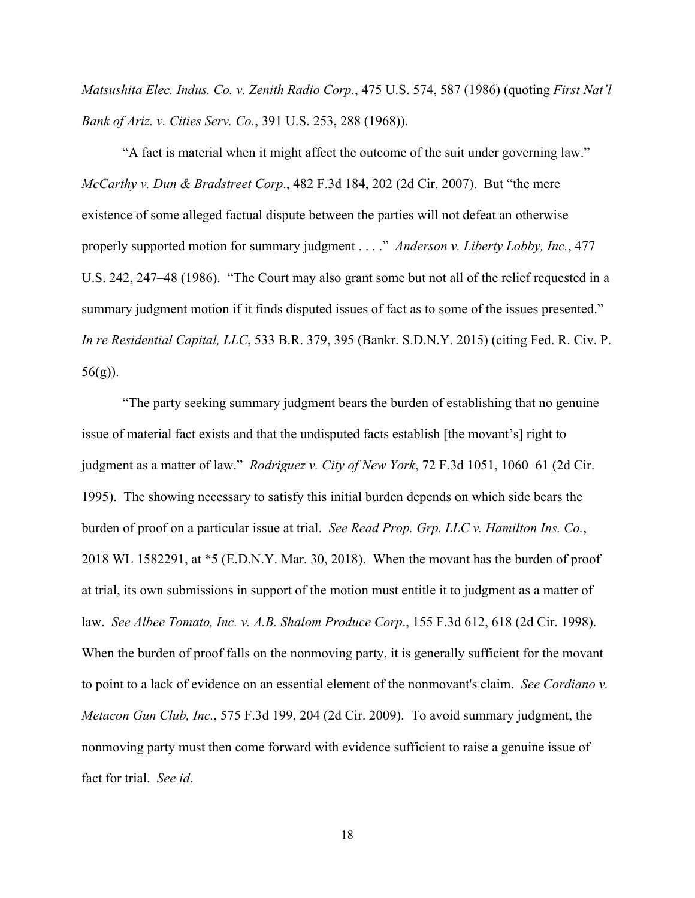*Matsushita Elec. Indus. Co. v. Zenith Radio Corp.*, 475 U.S. 574, 587 (1986) (quoting *First Nat'l Bank of Ariz. v. Cities Serv. Co.*, 391 U.S. 253, 288 (1968)).

"A fact is material when it might affect the outcome of the suit under governing law." *McCarthy v. Dun & Bradstreet Corp*., 482 F.3d 184, 202 (2d Cir. 2007). But "the mere existence of some alleged factual dispute between the parties will not defeat an otherwise properly supported motion for summary judgment . . . ." *Anderson v. Liberty Lobby, Inc.*, 477 U.S. 242, 247–48 (1986). "The Court may also grant some but not all of the relief requested in a summary judgment motion if it finds disputed issues of fact as to some of the issues presented." *In re Residential Capital, LLC*, 533 B.R. 379, 395 (Bankr. S.D.N.Y. 2015) (citing Fed. R. Civ. P.  $56(g)$ ).

"The party seeking summary judgment bears the burden of establishing that no genuine issue of material fact exists and that the undisputed facts establish [the movant's] right to judgment as a matter of law." *Rodriguez v. City of New York*, 72 F.3d 1051, 1060–61 (2d Cir. 1995). The showing necessary to satisfy this initial burden depends on which side bears the burden of proof on a particular issue at trial. *See Read Prop. Grp. LLC v. Hamilton Ins. Co.*, 2018 WL 1582291, at \*5 (E.D.N.Y. Mar. 30, 2018). When the movant has the burden of proof at trial, its own submissions in support of the motion must entitle it to judgment as a matter of law. *See Albee Tomato, Inc. v. A.B. Shalom Produce Corp*., 155 F.3d 612, 618 (2d Cir. 1998). When the burden of proof falls on the nonmoving party, it is generally sufficient for the movant to point to a lack of evidence on an essential element of the nonmovant's claim. *See Cordiano v. Metacon Gun Club, Inc.*, 575 F.3d 199, 204 (2d Cir. 2009). To avoid summary judgment, the nonmoving party must then come forward with evidence sufficient to raise a genuine issue of fact for trial. *See id*.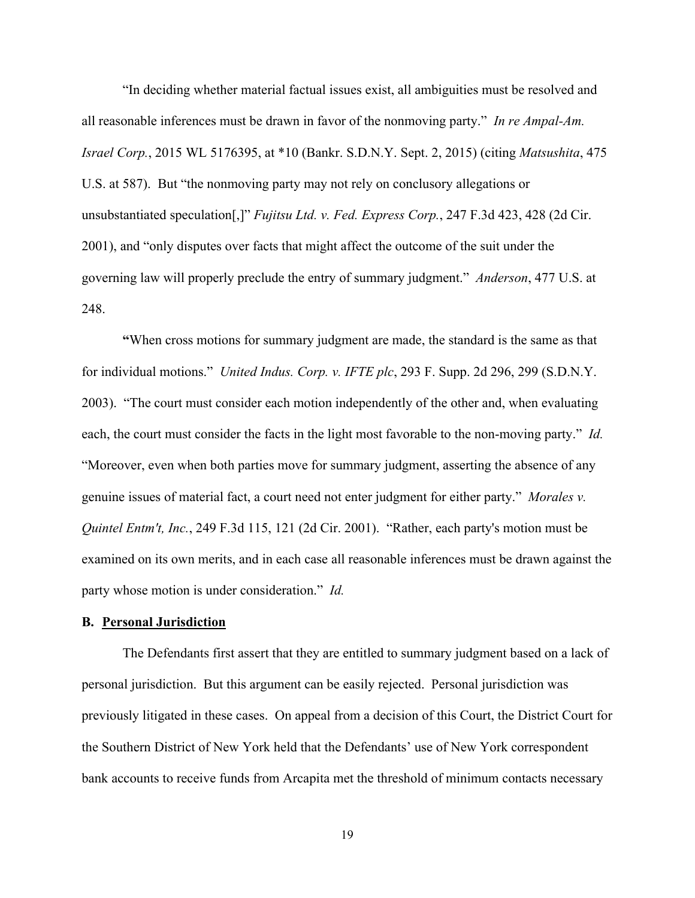"In deciding whether material factual issues exist, all ambiguities must be resolved and all reasonable inferences must be drawn in favor of the nonmoving party." *In re Ampal-Am. Israel Corp.*, 2015 WL 5176395, at \*10 (Bankr. S.D.N.Y. Sept. 2, 2015) (citing *Matsushita*, 475 U.S. at 587). But "the nonmoving party may not rely on conclusory allegations or unsubstantiated speculation[,]" *Fujitsu Ltd. v. Fed. Express Corp.*, 247 F.3d 423, 428 (2d Cir. 2001), and "only disputes over facts that might affect the outcome of the suit under the governing law will properly preclude the entry of summary judgment." *Anderson*, 477 U.S. at 248.

**"**When cross motions for summary judgment are made, the standard is the same as that for individual motions." *United Indus. Corp. v. IFTE plc*, 293 F. Supp. 2d 296, 299 (S.D.N.Y. 2003). "The court must consider each motion independently of the other and, when evaluating each, the court must consider the facts in the light most favorable to the non-moving party." *Id.* "Moreover, even when both parties move for summary judgment, asserting the absence of any genuine issues of material fact, a court need not enter judgment for either party." *Morales v. Quintel Entm't, Inc.*, 249 F.3d 115, 121 (2d Cir. 2001). "Rather, each party's motion must be examined on its own merits, and in each case all reasonable inferences must be drawn against the party whose motion is under consideration." *Id.*

#### **B. Personal Jurisdiction**

The Defendants first assert that they are entitled to summary judgment based on a lack of personal jurisdiction. But this argument can be easily rejected. Personal jurisdiction was previously litigated in these cases. On appeal from a decision of this Court, the District Court for the Southern District of New York held that the Defendants' use of New York correspondent bank accounts to receive funds from Arcapita met the threshold of minimum contacts necessary

19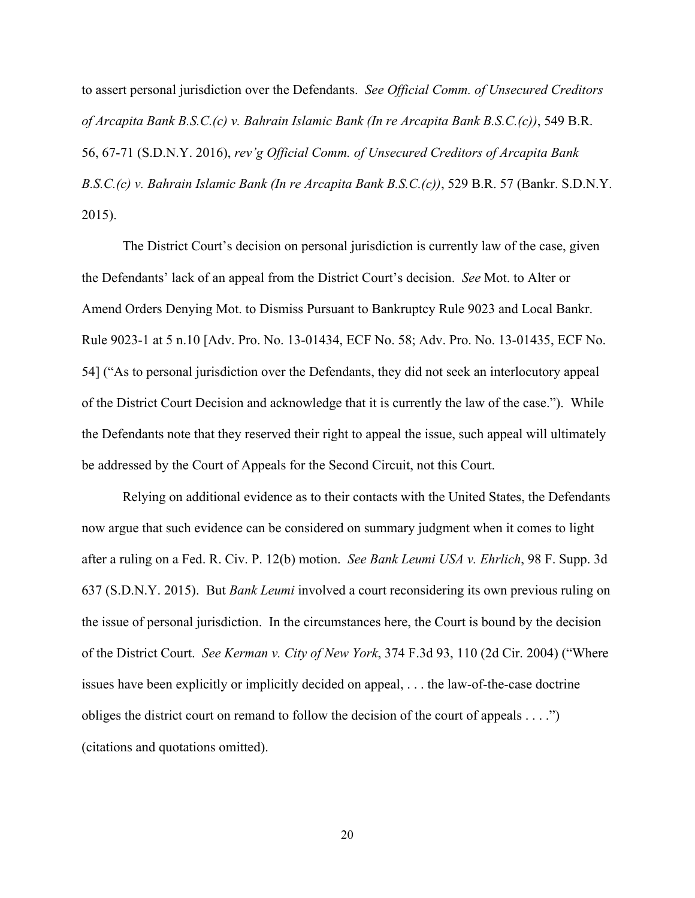to assert personal jurisdiction over the Defendants. *See Official Comm. of Unsecured Creditors of Arcapita Bank B.S.C.(c) v. Bahrain Islamic Bank (In re Arcapita Bank B.S.C.(c))*, 549 B.R. 56, 67-71 (S.D.N.Y. 2016), *rev'g Official Comm. of Unsecured Creditors of Arcapita Bank B.S.C.(c) v. Bahrain Islamic Bank (In re Arcapita Bank B.S.C.(c))*, 529 B.R. 57 (Bankr. S.D.N.Y. 2015).

 The District Court's decision on personal jurisdiction is currently law of the case, given the Defendants' lack of an appeal from the District Court's decision. *See* Mot. to Alter or Amend Orders Denying Mot. to Dismiss Pursuant to Bankruptcy Rule 9023 and Local Bankr. Rule 9023-1 at 5 n.10 [Adv. Pro. No. 13-01434, ECF No. 58; Adv. Pro. No. 13-01435, ECF No. 54] ("As to personal jurisdiction over the Defendants, they did not seek an interlocutory appeal of the District Court Decision and acknowledge that it is currently the law of the case."). While the Defendants note that they reserved their right to appeal the issue, such appeal will ultimately be addressed by the Court of Appeals for the Second Circuit, not this Court.

 Relying on additional evidence as to their contacts with the United States, the Defendants now argue that such evidence can be considered on summary judgment when it comes to light after a ruling on a Fed. R. Civ. P. 12(b) motion. *See Bank Leumi USA v. Ehrlich*, 98 F. Supp. 3d 637 (S.D.N.Y. 2015). But *Bank Leumi* involved a court reconsidering its own previous ruling on the issue of personal jurisdiction. In the circumstances here, the Court is bound by the decision of the District Court. *See Kerman v. City of New York*, 374 F.3d 93, 110 (2d Cir. 2004) ("Where issues have been explicitly or implicitly decided on appeal, . . . the law-of-the-case doctrine obliges the district court on remand to follow the decision of the court of appeals . . . .") (citations and quotations omitted).

20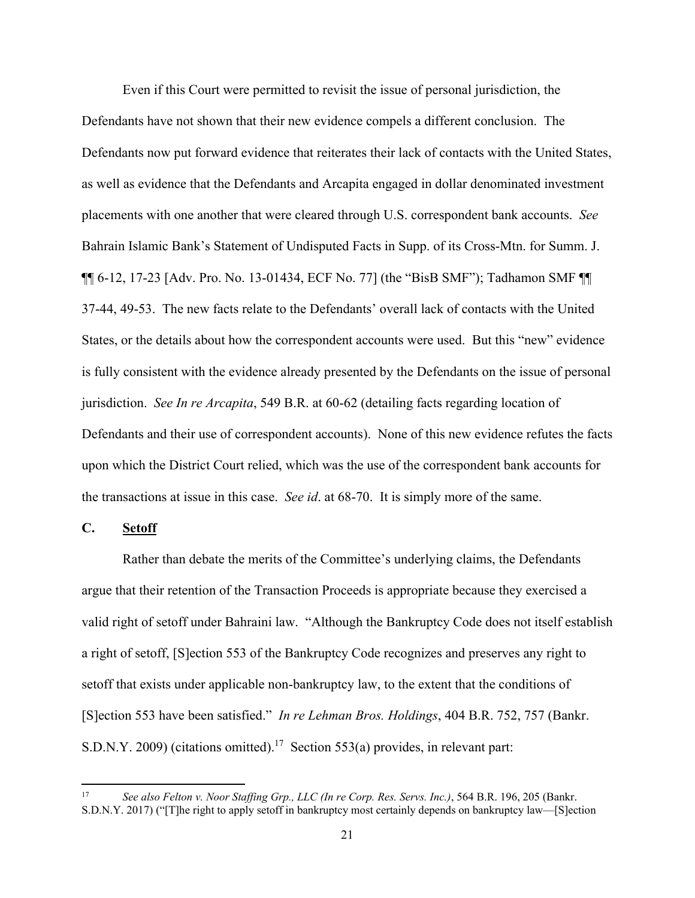Even if this Court were permitted to revisit the issue of personal jurisdiction, the Defendants have not shown that their new evidence compels a different conclusion. The Defendants now put forward evidence that reiterates their lack of contacts with the United States, as well as evidence that the Defendants and Arcapita engaged in dollar denominated investment placements with one another that were cleared through U.S. correspondent bank accounts. *See* Bahrain Islamic Bank's Statement of Undisputed Facts in Supp. of its Cross-Mtn. for Summ. J. ¶¶ 6-12, 17-23 [Adv. Pro. No. 13-01434, ECF No. 77] (the "BisB SMF"); Tadhamon SMF ¶¶ 37-44, 49-53. The new facts relate to the Defendants' overall lack of contacts with the United States, or the details about how the correspondent accounts were used. But this "new" evidence is fully consistent with the evidence already presented by the Defendants on the issue of personal jurisdiction. *See In re Arcapita*, 549 B.R. at 60-62 (detailing facts regarding location of Defendants and their use of correspondent accounts). None of this new evidence refutes the facts upon which the District Court relied, which was the use of the correspondent bank accounts for the transactions at issue in this case. *See id*. at 68-70. It is simply more of the same.

## **C. Setoff**

 Rather than debate the merits of the Committee's underlying claims, the Defendants argue that their retention of the Transaction Proceeds is appropriate because they exercised a valid right of setoff under Bahraini law. "Although the Bankruptcy Code does not itself establish a right of setoff, [S]ection 553 of the Bankruptcy Code recognizes and preserves any right to setoff that exists under applicable non-bankruptcy law, to the extent that the conditions of [S]ection 553 have been satisfied." *In re Lehman Bros. Holdings*, 404 B.R. 752, 757 (Bankr. S.D.N.Y. 2009) (citations omitted).17 Section 553(a) provides, in relevant part:

<sup>17</sup> *See also Felton v. Noor Staffing Grp., LLC (In re Corp. Res. Servs. Inc.)*, 564 B.R. 196, 205 (Bankr. S.D.N.Y. 2017) ("[T]he right to apply setoff in bankruptcy most certainly depends on bankruptcy law—[S]ection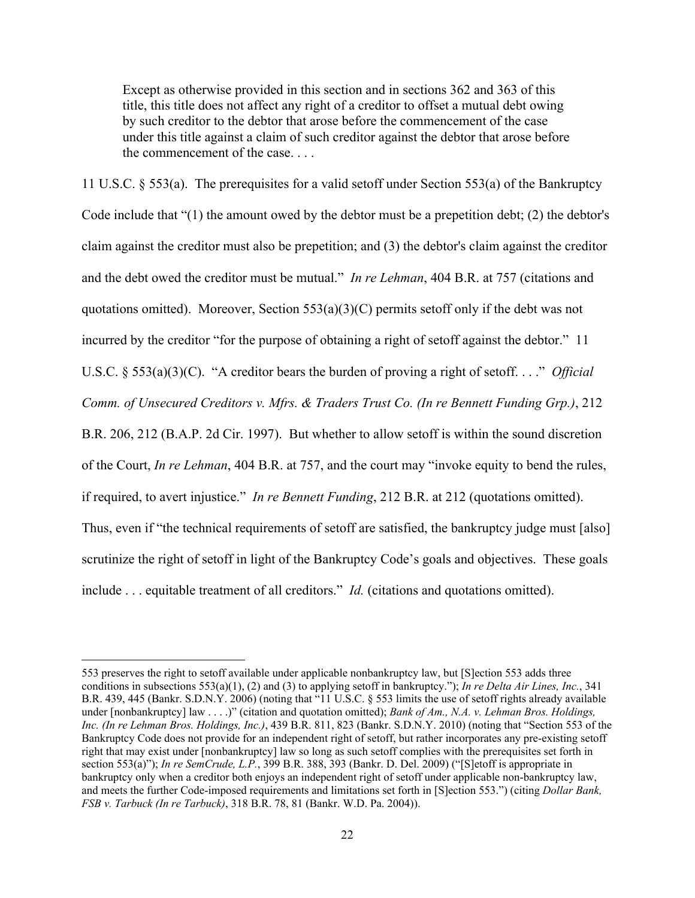Except as otherwise provided in this section and in sections 362 and 363 of this title, this title does not affect any right of a creditor to offset a mutual debt owing by such creditor to the debtor that arose before the commencement of the case under this title against a claim of such creditor against the debtor that arose before the commencement of the case. . . .

11 U.S.C. § 553(a). The prerequisites for a valid setoff under Section 553(a) of the Bankruptcy Code include that "(1) the amount owed by the debtor must be a prepetition debt; (2) the debtor's claim against the creditor must also be prepetition; and (3) the debtor's claim against the creditor and the debt owed the creditor must be mutual." *In re Lehman*, 404 B.R. at 757 (citations and quotations omitted). Moreover, Section  $553(a)(3)(C)$  permits setoff only if the debt was not incurred by the creditor "for the purpose of obtaining a right of setoff against the debtor." 11 U.S.C. § 553(a)(3)(C). "A creditor bears the burden of proving a right of setoff. . . ." *Official Comm. of Unsecured Creditors v. Mfrs. & Traders Trust Co. (In re Bennett Funding Grp.)*, 212 B.R. 206, 212 (B.A.P. 2d Cir. 1997). But whether to allow setoff is within the sound discretion of the Court, *In re Lehman*, 404 B.R. at 757, and the court may "invoke equity to bend the rules, if required, to avert injustice." *In re Bennett Funding*, 212 B.R. at 212 (quotations omitted). Thus, even if "the technical requirements of setoff are satisfied, the bankruptcy judge must [also] scrutinize the right of setoff in light of the Bankruptcy Code's goals and objectives. These goals include . . . equitable treatment of all creditors." *Id.* (citations and quotations omitted).

<sup>553</sup> preserves the right to setoff available under applicable nonbankruptcy law, but [S]ection 553 adds three conditions in subsections 553(a)(1), (2) and (3) to applying setoff in bankruptcy."); *In re Delta Air Lines, Inc.*, 341 B.R. 439, 445 (Bankr. S.D.N.Y. 2006) (noting that "11 U.S.C. § 553 limits the use of setoff rights already available under [nonbankruptcy] law . . . .)" (citation and quotation omitted); *Bank of Am., N.A. v. Lehman Bros. Holdings*, *Inc. (In re Lehman Bros. Holdings, Inc.)*, 439 B.R. 811, 823 (Bankr. S.D.N.Y. 2010) (noting that "Section 553 of the Bankruptcy Code does not provide for an independent right of setoff, but rather incorporates any pre-existing setoff right that may exist under [nonbankruptcy] law so long as such setoff complies with the prerequisites set forth in section 553(a)"); *In re SemCrude, L.P.*, 399 B.R. 388, 393 (Bankr. D. Del. 2009) ("[S]etoff is appropriate in bankruptcy only when a creditor both enjoys an independent right of setoff under applicable non-bankruptcy law, and meets the further Code-imposed requirements and limitations set forth in [S]ection 553.") (citing *Dollar Bank, FSB v. Tarbuck (In re Tarbuck)*, 318 B.R. 78, 81 (Bankr. W.D. Pa. 2004)).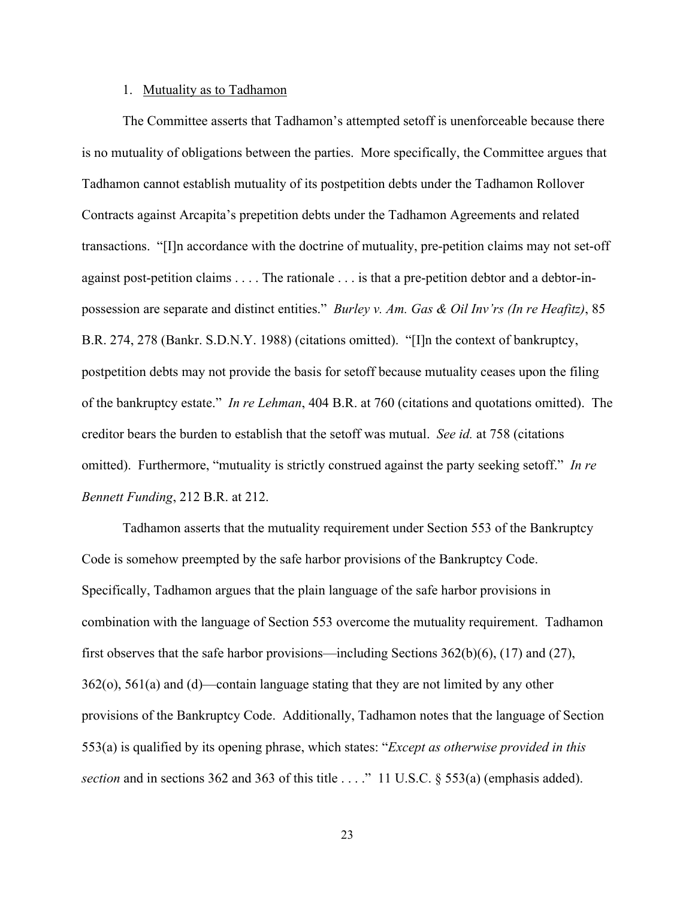## 1. Mutuality as to Tadhamon

The Committee asserts that Tadhamon's attempted setoff is unenforceable because there is no mutuality of obligations between the parties. More specifically, the Committee argues that Tadhamon cannot establish mutuality of its postpetition debts under the Tadhamon Rollover Contracts against Arcapita's prepetition debts under the Tadhamon Agreements and related transactions. "[I]n accordance with the doctrine of mutuality, pre-petition claims may not set-off against post-petition claims . . . . The rationale . . . is that a pre-petition debtor and a debtor-inpossession are separate and distinct entities." *Burley v. Am. Gas & Oil Inv'rs (In re Heafitz)*, 85 B.R. 274, 278 (Bankr. S.D.N.Y. 1988) (citations omitted). "[I]n the context of bankruptcy, postpetition debts may not provide the basis for setoff because mutuality ceases upon the filing of the bankruptcy estate." *In re Lehman*, 404 B.R. at 760 (citations and quotations omitted). The creditor bears the burden to establish that the setoff was mutual. *See id.* at 758 (citations omitted). Furthermore, "mutuality is strictly construed against the party seeking setoff." *In re Bennett Funding*, 212 B.R. at 212.

Tadhamon asserts that the mutuality requirement under Section 553 of the Bankruptcy Code is somehow preempted by the safe harbor provisions of the Bankruptcy Code. Specifically, Tadhamon argues that the plain language of the safe harbor provisions in combination with the language of Section 553 overcome the mutuality requirement. Tadhamon first observes that the safe harbor provisions—including Sections  $362(b)(6)$ ,  $(17)$  and  $(27)$ , 362(o), 561(a) and (d)—contain language stating that they are not limited by any other provisions of the Bankruptcy Code. Additionally, Tadhamon notes that the language of Section 553(a) is qualified by its opening phrase, which states: "*Except as otherwise provided in this section* and in sections 362 and 363 of this title . . . ." 11 U.S.C. § 553(a) (emphasis added).

23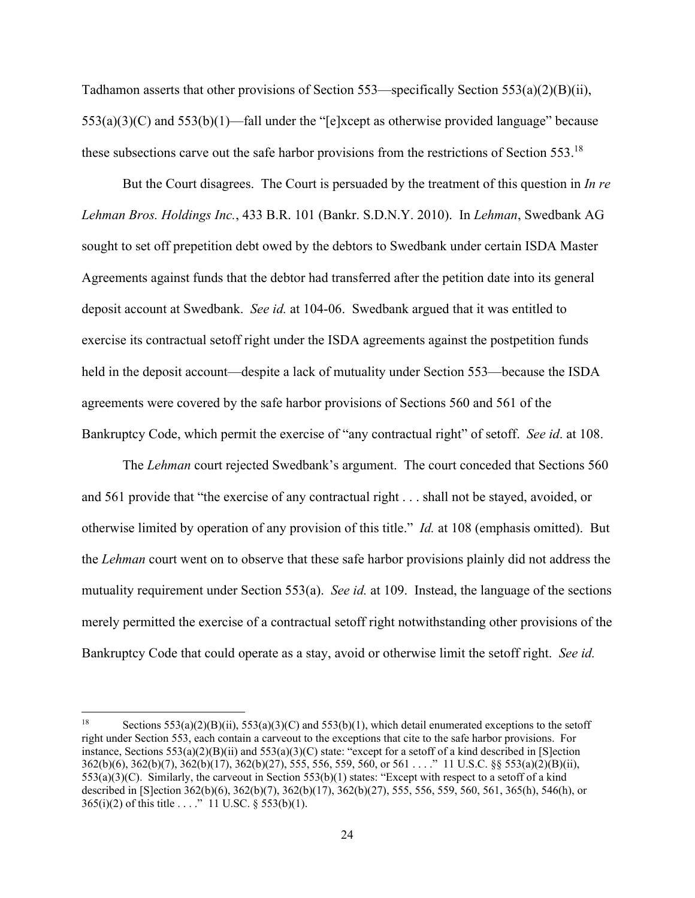Tadhamon asserts that other provisions of Section 553—specifically Section 553(a)(2)(B)(ii), 553(a)(3)(C) and 553(b)(1)—fall under the "[e]xcept as otherwise provided language" because these subsections carve out the safe harbor provisions from the restrictions of Section 553.<sup>18</sup>

But the Court disagrees. The Court is persuaded by the treatment of this question in *In re Lehman Bros. Holdings Inc.*, 433 B.R. 101 (Bankr. S.D.N.Y. 2010). In *Lehman*, Swedbank AG sought to set off prepetition debt owed by the debtors to Swedbank under certain ISDA Master Agreements against funds that the debtor had transferred after the petition date into its general deposit account at Swedbank. *See id.* at 104-06. Swedbank argued that it was entitled to exercise its contractual setoff right under the ISDA agreements against the postpetition funds held in the deposit account—despite a lack of mutuality under Section 553—because the ISDA agreements were covered by the safe harbor provisions of Sections 560 and 561 of the Bankruptcy Code, which permit the exercise of "any contractual right" of setoff. *See id*. at 108.

The *Lehman* court rejected Swedbank's argument. The court conceded that Sections 560 and 561 provide that "the exercise of any contractual right . . . shall not be stayed, avoided, or otherwise limited by operation of any provision of this title." *Id.* at 108 (emphasis omitted). But the *Lehman* court went on to observe that these safe harbor provisions plainly did not address the mutuality requirement under Section 553(a). *See id.* at 109. Instead, the language of the sections merely permitted the exercise of a contractual setoff right notwithstanding other provisions of the Bankruptcy Code that could operate as a stay, avoid or otherwise limit the setoff right. *See id.* 

<sup>&</sup>lt;sup>18</sup> Sections 553(a)(2)(B)(ii), 553(a)(3)(C) and 553(b)(1), which detail enumerated exceptions to the setoff right under Section 553, each contain a carveout to the exceptions that cite to the safe harbor provisions. For instance, Sections  $553(a)(2)(B)(i)$  and  $553(a)(3)(C)$  state: "except for a setoff of a kind described in [S]ection 362(b)(6), 362(b)(7), 362(b)(17), 362(b)(27), 555, 556, 559, 560, or 561 . . . ." 11 U.S.C. §§ 553(a)(2)(B)(ii), 553(a)(3)(C). Similarly, the carveout in Section 553(b)(1) states: "Except with respect to a setoff of a kind described in [S]ection 362(b)(6), 362(b)(7), 362(b)(17), 362(b)(27), 555, 556, 559, 560, 561, 365(h), 546(h), or  $365(i)(2)$  of this title . . . ." 11 U.SC. § 553(b)(1).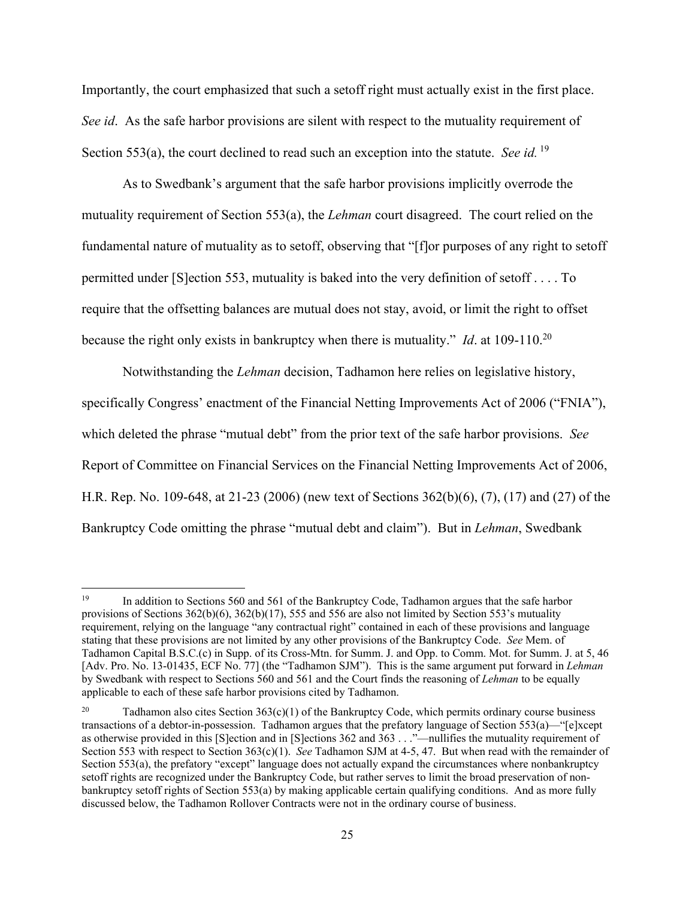Importantly, the court emphasized that such a setoff right must actually exist in the first place. *See id*. As the safe harbor provisions are silent with respect to the mutuality requirement of Section 553(a), the court declined to read such an exception into the statute. *See id.* 19

As to Swedbank's argument that the safe harbor provisions implicitly overrode the mutuality requirement of Section 553(a), the *Lehman* court disagreed. The court relied on the fundamental nature of mutuality as to setoff, observing that "[f]or purposes of any right to setoff permitted under [S]ection 553, mutuality is baked into the very definition of setoff . . . . To require that the offsetting balances are mutual does not stay, avoid, or limit the right to offset because the right only exists in bankruptcy when there is mutuality." *Id*. at 109-110.20

Notwithstanding the *Lehman* decision, Tadhamon here relies on legislative history, specifically Congress' enactment of the Financial Netting Improvements Act of 2006 ("FNIA"), which deleted the phrase "mutual debt" from the prior text of the safe harbor provisions. *See*  Report of Committee on Financial Services on the Financial Netting Improvements Act of 2006, H.R. Rep. No. 109-648, at 21-23 (2006) (new text of Sections 362(b)(6), (7), (17) and (27) of the Bankruptcy Code omitting the phrase "mutual debt and claim"). But in *Lehman*, Swedbank

<sup>&</sup>lt;sup>19</sup> In addition to Sections 560 and 561 of the Bankruptcy Code, Tadhamon argues that the safe harbor provisions of Sections  $362(b)(6)$ ,  $362(b)(17)$ , 555 and 556 are also not limited by Section 553's mutuality requirement, relying on the language "any contractual right" contained in each of these provisions and language stating that these provisions are not limited by any other provisions of the Bankruptcy Code. *See* Mem. of Tadhamon Capital B.S.C.(c) in Supp. of its Cross-Mtn. for Summ. J. and Opp. to Comm. Mot. for Summ. J. at 5, 46 [Adv. Pro. No. 13-01435, ECF No. 77] (the "Tadhamon SJM"). This is the same argument put forward in *Lehman* by Swedbank with respect to Sections 560 and 561 and the Court finds the reasoning of *Lehman* to be equally applicable to each of these safe harbor provisions cited by Tadhamon.

Tadhamon also cites Section  $363(c)(1)$  of the Bankruptcy Code, which permits ordinary course business transactions of a debtor-in-possession. Tadhamon argues that the prefatory language of Section 553(a)—"[e]xcept as otherwise provided in this [S]ection and in [S]ections 362 and 363 . . ."—nullifies the mutuality requirement of Section 553 with respect to Section 363(c)(1). *See* Tadhamon SJM at 4-5, 47. But when read with the remainder of Section 553(a), the prefatory "except" language does not actually expand the circumstances where nonbankruptcy setoff rights are recognized under the Bankruptcy Code, but rather serves to limit the broad preservation of nonbankruptcy setoff rights of Section 553(a) by making applicable certain qualifying conditions. And as more fully discussed below, the Tadhamon Rollover Contracts were not in the ordinary course of business.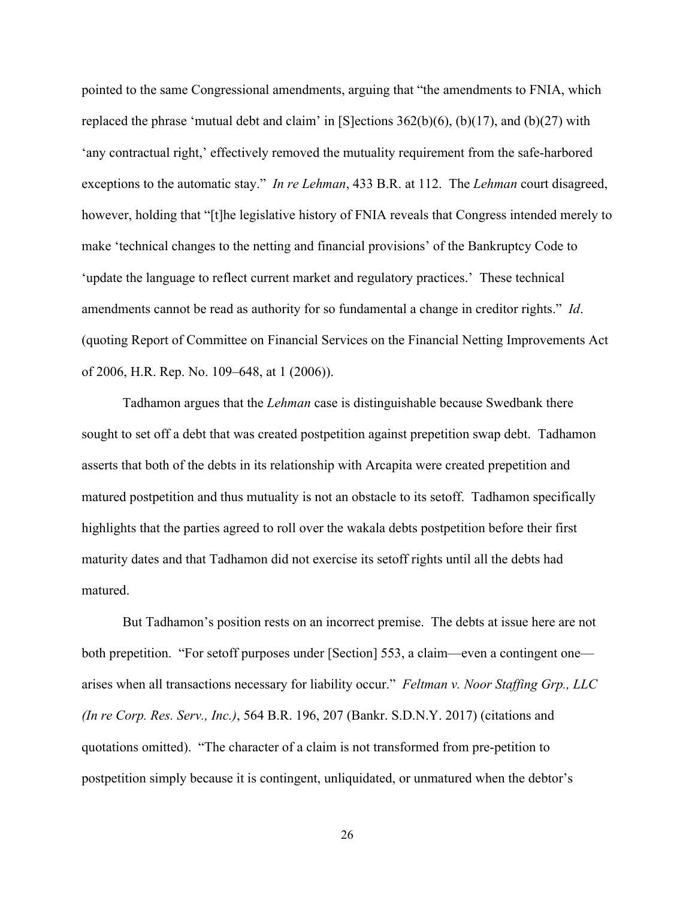pointed to the same Congressional amendments, arguing that "the amendments to FNIA, which replaced the phrase 'mutual debt and claim' in  $[S]$  ections  $362(b)(6)$ ,  $(b)(17)$ , and  $(b)(27)$  with 'any contractual right,' effectively removed the mutuality requirement from the safe-harbored exceptions to the automatic stay." *In re Lehman*, 433 B.R. at 112. The *Lehman* court disagreed, however, holding that "[t]he legislative history of FNIA reveals that Congress intended merely to make 'technical changes to the netting and financial provisions' of the Bankruptcy Code to 'update the language to reflect current market and regulatory practices.' These technical amendments cannot be read as authority for so fundamental a change in creditor rights." *Id*. (quoting Report of Committee on Financial Services on the Financial Netting Improvements Act of 2006, H.R. Rep. No. 109–648, at 1 (2006)).

Tadhamon argues that the *Lehman* case is distinguishable because Swedbank there sought to set off a debt that was created postpetition against prepetition swap debt. Tadhamon asserts that both of the debts in its relationship with Arcapita were created prepetition and matured postpetition and thus mutuality is not an obstacle to its setoff. Tadhamon specifically highlights that the parties agreed to roll over the wakala debts postpetition before their first maturity dates and that Tadhamon did not exercise its setoff rights until all the debts had matured.

But Tadhamon's position rests on an incorrect premise. The debts at issue here are not both prepetition. "For setoff purposes under [Section] 553, a claim—even a contingent one arises when all transactions necessary for liability occur." *Feltman v. Noor Staffing Grp., LLC (In re Corp. Res. Serv., Inc.)*, 564 B.R. 196, 207 (Bankr. S.D.N.Y. 2017) (citations and quotations omitted). "The character of a claim is not transformed from pre-petition to postpetition simply because it is contingent, unliquidated, or unmatured when the debtor's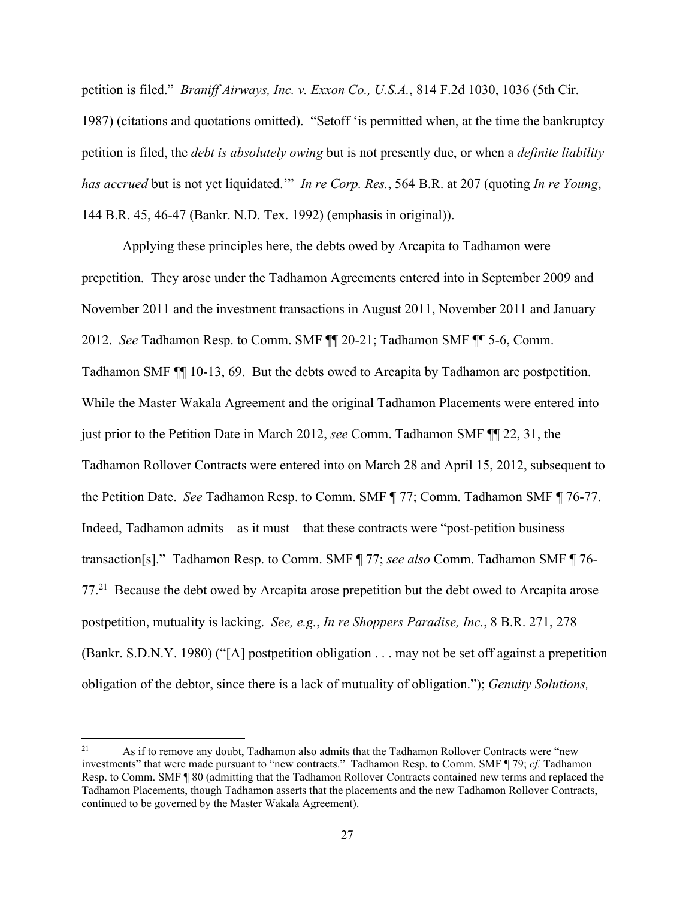petition is filed." *Braniff Airways, Inc. v. Exxon Co., U.S.A.*, 814 F.2d 1030, 1036 (5th Cir. 1987) (citations and quotations omitted). "Setoff 'is permitted when, at the time the bankruptcy petition is filed, the *debt is absolutely owing* but is not presently due, or when a *definite liability has accrued* but is not yet liquidated.'" *In re Corp. Res.*, 564 B.R. at 207 (quoting *In re Young*, 144 B.R. 45, 46-47 (Bankr. N.D. Tex. 1992) (emphasis in original)).

Applying these principles here, the debts owed by Arcapita to Tadhamon were prepetition. They arose under the Tadhamon Agreements entered into in September 2009 and November 2011 and the investment transactions in August 2011, November 2011 and January 2012. *See* Tadhamon Resp. to Comm. SMF ¶¶ 20-21; Tadhamon SMF ¶¶ 5-6, Comm. Tadhamon SMF ¶¶ 10-13, 69.But the debts owed to Arcapita by Tadhamon are postpetition. While the Master Wakala Agreement and the original Tadhamon Placements were entered into just prior to the Petition Date in March 2012, *see* Comm. Tadhamon SMF ¶¶ 22, 31, the Tadhamon Rollover Contracts were entered into on March 28 and April 15, 2012, subsequent to the Petition Date. *See* Tadhamon Resp. to Comm. SMF ¶ 77; Comm. Tadhamon SMF ¶ 76-77. Indeed, Tadhamon admits—as it must—that these contracts were "post-petition business transaction[s]." Tadhamon Resp. to Comm. SMF ¶ 77; *see also* Comm. Tadhamon SMF ¶ 76- 77.21 Because the debt owed by Arcapita arose prepetition but the debt owed to Arcapita arose postpetition, mutuality is lacking. *See, e.g.*, *In re Shoppers Paradise, Inc.*, 8 B.R. 271, 278 (Bankr. S.D.N.Y. 1980) ("[A] postpetition obligation . . . may not be set off against a prepetition obligation of the debtor, since there is a lack of mutuality of obligation."); *Genuity Solutions,* 

<sup>&</sup>lt;sup>21</sup> As if to remove any doubt, Tadhamon also admits that the Tadhamon Rollover Contracts were "new" investments" that were made pursuant to "new contracts." Tadhamon Resp. to Comm. SMF ¶ 79; *cf.* Tadhamon Resp. to Comm. SMF ¶ 80 (admitting that the Tadhamon Rollover Contracts contained new terms and replaced the Tadhamon Placements, though Tadhamon asserts that the placements and the new Tadhamon Rollover Contracts, continued to be governed by the Master Wakala Agreement).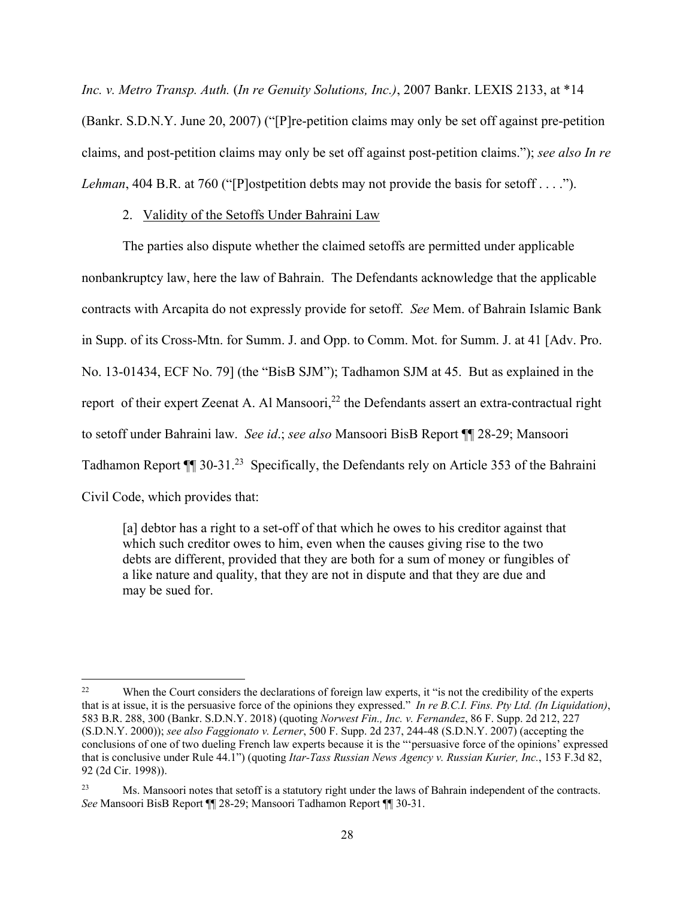*Inc. v. Metro Transp. Auth.* (*In re Genuity Solutions, Inc.)*, 2007 Bankr. LEXIS 2133, at \*14 (Bankr. S.D.N.Y. June 20, 2007) ("[P]re-petition claims may only be set off against pre-petition claims, and post-petition claims may only be set off against post-petition claims."); *see also In re Lehman*, 404 B.R. at 760 ("[P]ostpetition debts may not provide the basis for setoff . . . .").

## 2. Validity of the Setoffs Under Bahraini Law

 The parties also dispute whether the claimed setoffs are permitted under applicable nonbankruptcy law, here the law of Bahrain. The Defendants acknowledge that the applicable contracts with Arcapita do not expressly provide for setoff. *See* Mem. of Bahrain Islamic Bank in Supp. of its Cross-Mtn. for Summ. J. and Opp. to Comm. Mot. for Summ. J. at 41 [Adv. Pro. No. 13-01434, ECF No. 79] (the "BisB SJM"); Tadhamon SJM at 45. But as explained in the report of their expert Zeenat A. Al Mansoori, $^{22}$  the Defendants assert an extra-contractual right to setoff under Bahraini law. *See id*.; *see also* Mansoori BisB Report ¶¶ 28-29; Mansoori Tadhamon Report  $\P$  30-31.<sup>23</sup> Specifically, the Defendants rely on Article 353 of the Bahraini Civil Code, which provides that:

[a] debtor has a right to a set-off of that which he owes to his creditor against that which such creditor owes to him, even when the causes giving rise to the two debts are different, provided that they are both for a sum of money or fungibles of a like nature and quality, that they are not in dispute and that they are due and may be sued for.

<sup>&</sup>lt;sup>22</sup> When the Court considers the declarations of foreign law experts, it "is not the credibility of the experts that is at issue, it is the persuasive force of the opinions they expressed." *In re B.C.I. Fins. Pty Ltd. (In Liquidation)*, 583 B.R. 288, 300 (Bankr. S.D.N.Y. 2018) (quoting *Norwest Fin., Inc. v. Fernandez*, 86 F. Supp. 2d 212, 227 (S.D.N.Y. 2000)); *see also Faggionato v. Lerner*, 500 F. Supp. 2d 237, 244-48 (S.D.N.Y. 2007) (accepting the conclusions of one of two dueling French law experts because it is the "'persuasive force of the opinions' expressed that is conclusive under Rule 44.1") (quoting *Itar-Tass Russian News Agency v. Russian Kurier, Inc.*, 153 F.3d 82, 92 (2d Cir. 1998)).

Ms. Mansoori notes that setoff is a statutory right under the laws of Bahrain independent of the contracts. *See* Mansoori BisB Report ¶¶ 28-29; Mansoori Tadhamon Report ¶¶ 30-31.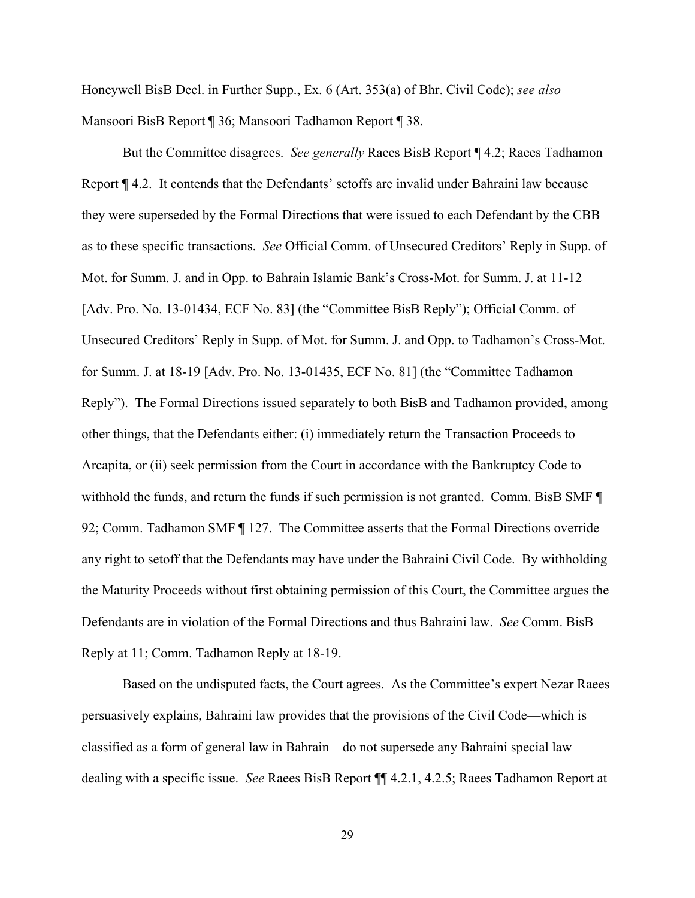Honeywell BisB Decl. in Further Supp., Ex. 6 (Art. 353(a) of Bhr. Civil Code); *see also* Mansoori BisB Report ¶ 36; Mansoori Tadhamon Report ¶ 38.

But the Committee disagrees. *See generally* Raees BisB Report ¶ 4.2; Raees Tadhamon Report ¶ 4.2. It contends that the Defendants' setoffs are invalid under Bahraini law because they were superseded by the Formal Directions that were issued to each Defendant by the CBB as to these specific transactions. *See* Official Comm. of Unsecured Creditors' Reply in Supp. of Mot. for Summ. J. and in Opp. to Bahrain Islamic Bank's Cross-Mot. for Summ. J. at 11-12 [Adv. Pro. No. 13-01434, ECF No. 83] (the "Committee BisB Reply"); Official Comm. of Unsecured Creditors' Reply in Supp. of Mot. for Summ. J. and Opp. to Tadhamon's Cross-Mot. for Summ. J. at 18-19 [Adv. Pro. No. 13-01435, ECF No. 81] (the "Committee Tadhamon Reply"). The Formal Directions issued separately to both BisB and Tadhamon provided, among other things, that the Defendants either: (i) immediately return the Transaction Proceeds to Arcapita, or (ii) seek permission from the Court in accordance with the Bankruptcy Code to withhold the funds, and return the funds if such permission is not granted. Comm. BisB SMF  $\P$ 92; Comm. Tadhamon SMF ¶ 127. The Committee asserts that the Formal Directions override any right to setoff that the Defendants may have under the Bahraini Civil Code. By withholding the Maturity Proceeds without first obtaining permission of this Court, the Committee argues the Defendants are in violation of the Formal Directions and thus Bahraini law. *See* Comm. BisB Reply at 11; Comm. Tadhamon Reply at 18-19.

Based on the undisputed facts, the Court agrees. As the Committee's expert Nezar Raees persuasively explains, Bahraini law provides that the provisions of the Civil Code—which is classified as a form of general law in Bahrain—do not supersede any Bahraini special law dealing with a specific issue. *See* Raees BisB Report ¶¶ 4.2.1, 4.2.5; Raees Tadhamon Report at

29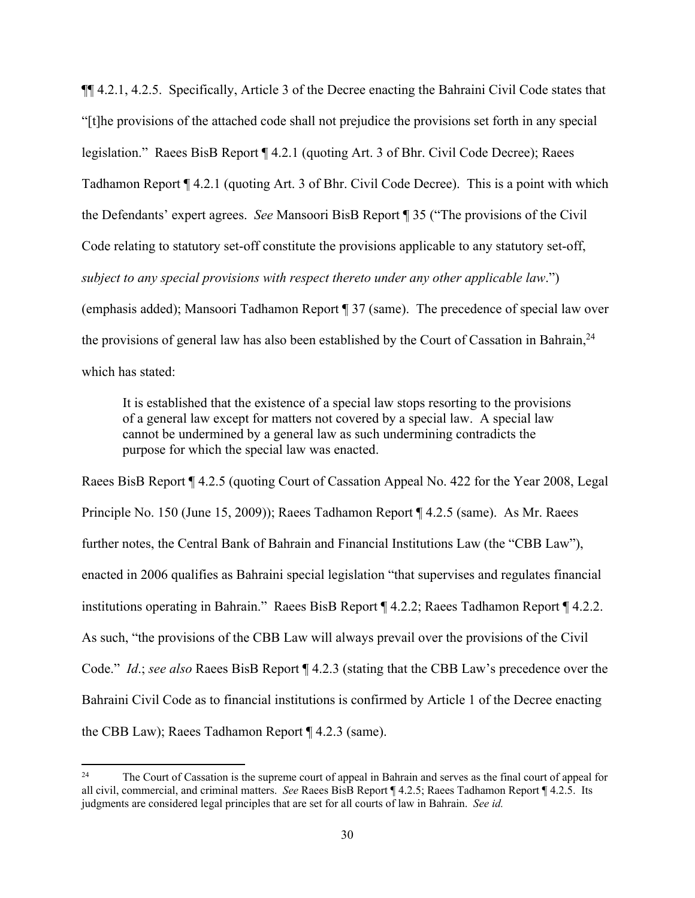¶¶ 4.2.1, 4.2.5. Specifically, Article 3 of the Decree enacting the Bahraini Civil Code states that "[t]he provisions of the attached code shall not prejudice the provisions set forth in any special legislation." Raees BisB Report ¶ 4.2.1 (quoting Art. 3 of Bhr. Civil Code Decree); Raees Tadhamon Report ¶ 4.2.1 (quoting Art. 3 of Bhr. Civil Code Decree). This is a point with which the Defendants' expert agrees. *See* Mansoori BisB Report ¶ 35 ("The provisions of the Civil Code relating to statutory set-off constitute the provisions applicable to any statutory set-off, *subject to any special provisions with respect thereto under any other applicable law*.") (emphasis added); Mansoori Tadhamon Report ¶ 37 (same). The precedence of special law over the provisions of general law has also been established by the Court of Cassation in Bahrain,  $24$ which has stated:

It is established that the existence of a special law stops resorting to the provisions of a general law except for matters not covered by a special law. A special law cannot be undermined by a general law as such undermining contradicts the purpose for which the special law was enacted.

Raees BisB Report ¶ 4.2.5 (quoting Court of Cassation Appeal No. 422 for the Year 2008, Legal Principle No. 150 (June 15, 2009)); Raees Tadhamon Report ¶ 4.2.5 (same). As Mr. Raees further notes, the Central Bank of Bahrain and Financial Institutions Law (the "CBB Law"), enacted in 2006 qualifies as Bahraini special legislation "that supervises and regulates financial institutions operating in Bahrain." Raees BisB Report ¶ 4.2.2; Raees Tadhamon Report ¶ 4.2.2. As such, "the provisions of the CBB Law will always prevail over the provisions of the Civil Code." *Id*.; *see also* Raees BisB Report ¶ 4.2.3 (stating that the CBB Law's precedence over the Bahraini Civil Code as to financial institutions is confirmed by Article 1 of the Decree enacting the CBB Law); Raees Tadhamon Report ¶ 4.2.3 (same).

<sup>&</sup>lt;sup>24</sup> The Court of Cassation is the supreme court of appeal in Bahrain and serves as the final court of appeal for all civil, commercial, and criminal matters. *See* Raees BisB Report ¶ 4.2.5; Raees Tadhamon Report ¶ 4.2.5. Its judgments are considered legal principles that are set for all courts of law in Bahrain. *See id.*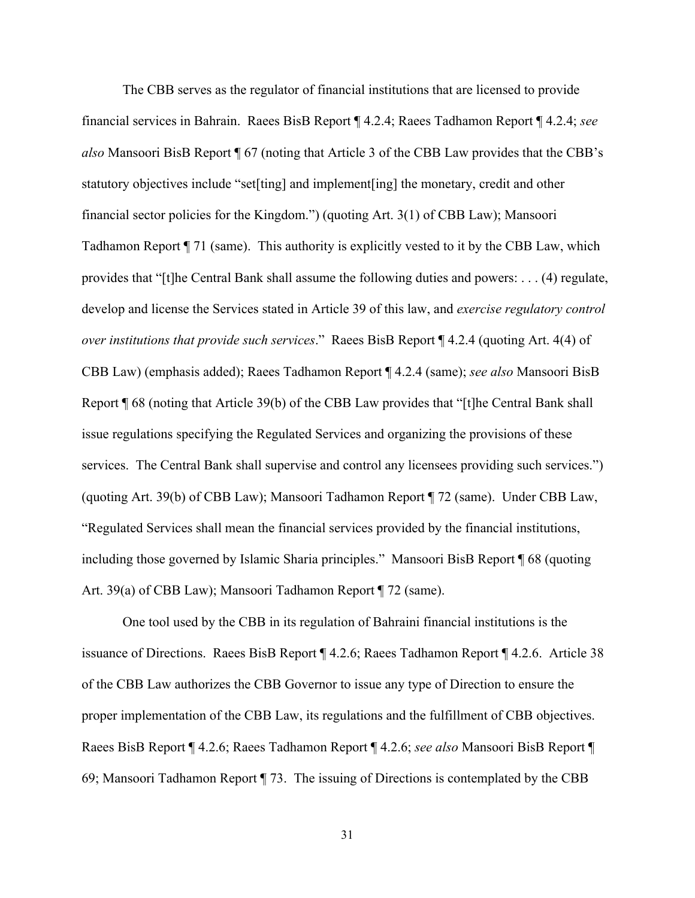The CBB serves as the regulator of financial institutions that are licensed to provide financial services in Bahrain. Raees BisB Report ¶ 4.2.4; Raees Tadhamon Report ¶ 4.2.4; *see also* Mansoori BisB Report ¶ 67 (noting that Article 3 of the CBB Law provides that the CBB's statutory objectives include "set[ting] and implement[ing] the monetary, credit and other financial sector policies for the Kingdom.") (quoting Art. 3(1) of CBB Law); Mansoori Tadhamon Report ¶ 71 (same). This authority is explicitly vested to it by the CBB Law, which provides that "[t]he Central Bank shall assume the following duties and powers: . . . (4) regulate, develop and license the Services stated in Article 39 of this law, and *exercise regulatory control over institutions that provide such services*." Raees BisB Report ¶ 4.2.4 (quoting Art. 4(4) of CBB Law) (emphasis added); Raees Tadhamon Report ¶ 4.2.4 (same); *see also* Mansoori BisB Report ¶ 68 (noting that Article 39(b) of the CBB Law provides that "[t]he Central Bank shall issue regulations specifying the Regulated Services and organizing the provisions of these services. The Central Bank shall supervise and control any licensees providing such services.") (quoting Art. 39(b) of CBB Law); Mansoori Tadhamon Report ¶ 72 (same). Under CBB Law, "Regulated Services shall mean the financial services provided by the financial institutions, including those governed by Islamic Sharia principles." Mansoori BisB Report ¶ 68 (quoting Art. 39(a) of CBB Law); Mansoori Tadhamon Report ¶ 72 (same).

One tool used by the CBB in its regulation of Bahraini financial institutions is the issuance of Directions. Raees BisB Report ¶ 4.2.6; Raees Tadhamon Report ¶ 4.2.6. Article 38 of the CBB Law authorizes the CBB Governor to issue any type of Direction to ensure the proper implementation of the CBB Law, its regulations and the fulfillment of CBB objectives. Raees BisB Report ¶ 4.2.6; Raees Tadhamon Report ¶ 4.2.6; *see also* Mansoori BisB Report ¶ 69; Mansoori Tadhamon Report ¶ 73. The issuing of Directions is contemplated by the CBB

31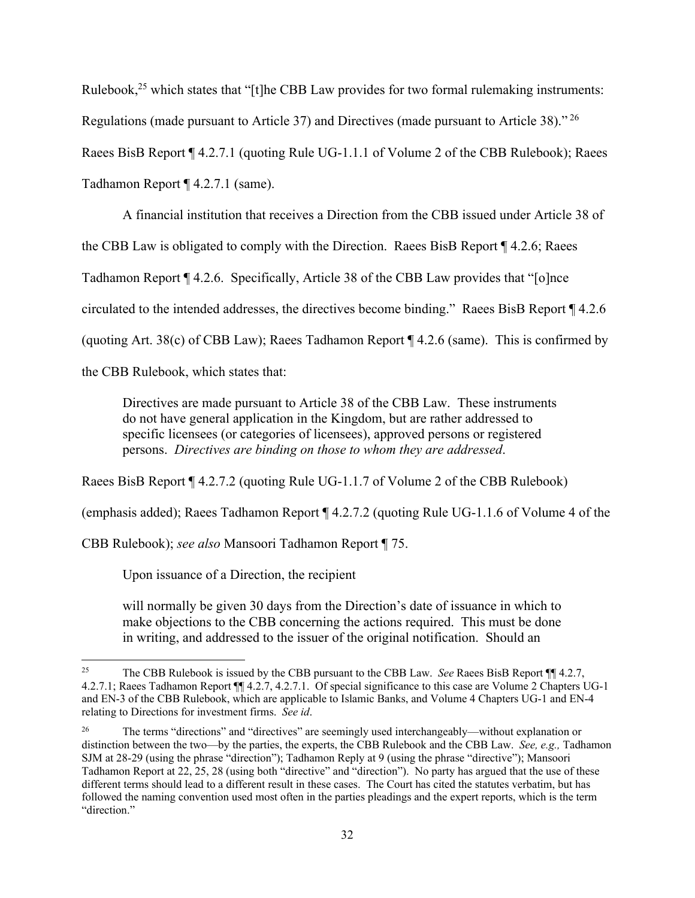Rulebook,<sup>25</sup> which states that "[t]he CBB Law provides for two formal rulemaking instruments: Regulations (made pursuant to Article 37) and Directives (made pursuant to Article 38)." 26 Raees BisB Report ¶ 4.2.7.1 (quoting Rule UG-1.1.1 of Volume 2 of the CBB Rulebook); Raees Tadhamon Report ¶ 4.2.7.1 (same).

A financial institution that receives a Direction from the CBB issued under Article 38 of the CBB Law is obligated to comply with the Direction. Raees BisB Report ¶ 4.2.6; Raees Tadhamon Report ¶ 4.2.6. Specifically, Article 38 of the CBB Law provides that "[o]nce circulated to the intended addresses, the directives become binding." Raees BisB Report ¶ 4.2.6 (quoting Art. 38(c) of CBB Law); Raees Tadhamon Report  $\P$  4.2.6 (same). This is confirmed by the CBB Rulebook, which states that:

Directives are made pursuant to Article 38 of the CBB Law. These instruments do not have general application in the Kingdom, but are rather addressed to specific licensees (or categories of licensees), approved persons or registered persons. *Directives are binding on those to whom they are addressed*.

Raees BisB Report ¶ 4.2.7.2 (quoting Rule UG-1.1.7 of Volume 2 of the CBB Rulebook)

(emphasis added); Raees Tadhamon Report ¶ 4.2.7.2 (quoting Rule UG-1.1.6 of Volume 4 of the

CBB Rulebook); *see also* Mansoori Tadhamon Report ¶ 75.

Upon issuance of a Direction, the recipient

will normally be given 30 days from the Direction's date of issuance in which to make objections to the CBB concerning the actions required. This must be done in writing, and addressed to the issuer of the original notification. Should an

<sup>25</sup> The CBB Rulebook is issued by the CBB pursuant to the CBB Law. *See* Raees BisB Report ¶¶ 4.2.7, 4.2.7.1; Raees Tadhamon Report ¶¶ 4.2.7, 4.2.7.1. Of special significance to this case are Volume 2 Chapters UG-1 and EN-3 of the CBB Rulebook, which are applicable to Islamic Banks, and Volume 4 Chapters UG-1 and EN-4 relating to Directions for investment firms. *See id*.

<sup>&</sup>lt;sup>26</sup> The terms "directions" and "directives" are seemingly used interchangeably—without explanation or distinction between the two—by the parties, the experts, the CBB Rulebook and the CBB Law. *See, e.g.,* Tadhamon SJM at 28-29 (using the phrase "direction"); Tadhamon Reply at 9 (using the phrase "directive"); Mansoori Tadhamon Report at 22, 25, 28 (using both "directive" and "direction"). No party has argued that the use of these different terms should lead to a different result in these cases. The Court has cited the statutes verbatim, but has followed the naming convention used most often in the parties pleadings and the expert reports, which is the term "direction."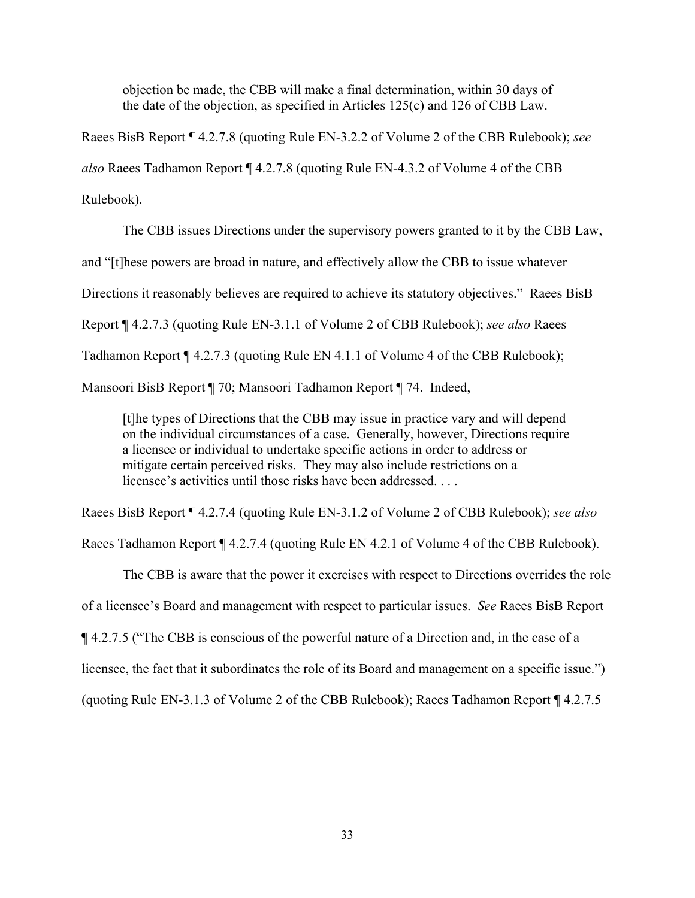objection be made, the CBB will make a final determination, within 30 days of the date of the objection, as specified in Articles 125(c) and 126 of CBB Law.

Raees BisB Report ¶ 4.2.7.8 (quoting Rule EN-3.2.2 of Volume 2 of the CBB Rulebook); *see also* Raees Tadhamon Report ¶ 4.2.7.8 (quoting Rule EN-4.3.2 of Volume 4 of the CBB Rulebook).

The CBB issues Directions under the supervisory powers granted to it by the CBB Law, and "[t]hese powers are broad in nature, and effectively allow the CBB to issue whatever Directions it reasonably believes are required to achieve its statutory objectives." Raees BisB Report ¶ 4.2.7.3 (quoting Rule EN-3.1.1 of Volume 2 of CBB Rulebook); *see also* Raees Tadhamon Report ¶ 4.2.7.3 (quoting Rule EN 4.1.1 of Volume 4 of the CBB Rulebook); Mansoori BisB Report ¶ 70; Mansoori Tadhamon Report ¶ 74. Indeed,

[t]he types of Directions that the CBB may issue in practice vary and will depend on the individual circumstances of a case. Generally, however, Directions require a licensee or individual to undertake specific actions in order to address or mitigate certain perceived risks. They may also include restrictions on a licensee's activities until those risks have been addressed. . . .

Raees BisB Report ¶ 4.2.7.4 (quoting Rule EN-3.1.2 of Volume 2 of CBB Rulebook); *see also* 

Raees Tadhamon Report ¶ 4.2.7.4 (quoting Rule EN 4.2.1 of Volume 4 of the CBB Rulebook).

The CBB is aware that the power it exercises with respect to Directions overrides the role of a licensee's Board and management with respect to particular issues. *See* Raees BisB Report ¶ 4.2.7.5 ("The CBB is conscious of the powerful nature of a Direction and, in the case of a licensee, the fact that it subordinates the role of its Board and management on a specific issue.")

(quoting Rule EN-3.1.3 of Volume 2 of the CBB Rulebook); Raees Tadhamon Report ¶ 4.2.7.5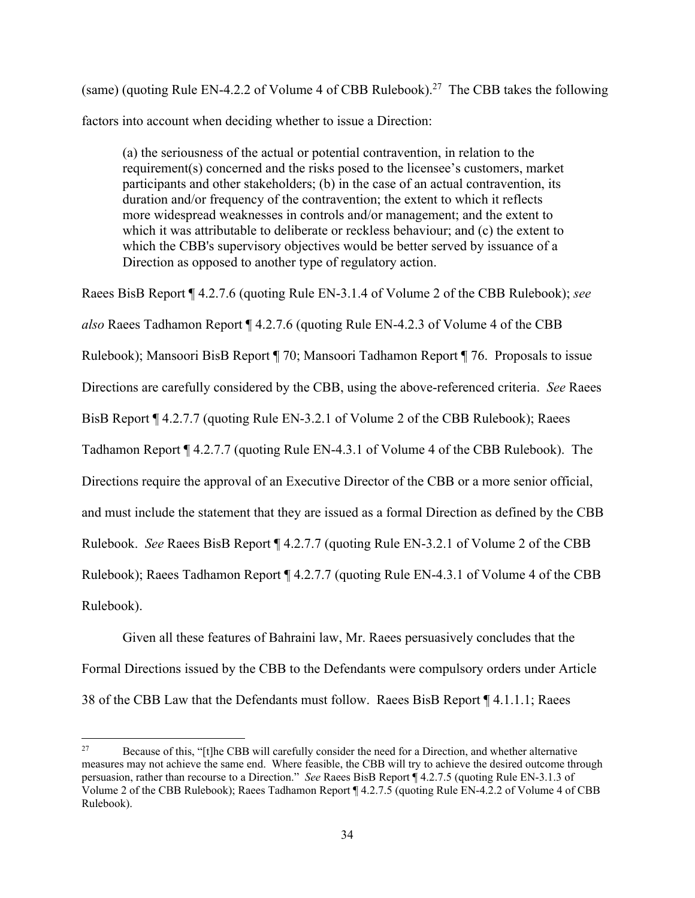(same) (quoting Rule EN-4.2.2 of Volume 4 of CBB Rulebook).<sup>27</sup> The CBB takes the following factors into account when deciding whether to issue a Direction:

(a) the seriousness of the actual or potential contravention, in relation to the requirement(s) concerned and the risks posed to the licensee's customers, market participants and other stakeholders; (b) in the case of an actual contravention, its duration and/or frequency of the contravention; the extent to which it reflects more widespread weaknesses in controls and/or management; and the extent to which it was attributable to deliberate or reckless behaviour; and (c) the extent to which the CBB's supervisory objectives would be better served by issuance of a Direction as opposed to another type of regulatory action.

Raees BisB Report ¶ 4.2.7.6 (quoting Rule EN-3.1.4 of Volume 2 of the CBB Rulebook); *see also* Raees Tadhamon Report ¶ 4.2.7.6 (quoting Rule EN-4.2.3 of Volume 4 of the CBB Rulebook); Mansoori BisB Report ¶ 70; Mansoori Tadhamon Report ¶ 76. Proposals to issue Directions are carefully considered by the CBB, using the above-referenced criteria. *See* Raees BisB Report ¶ 4.2.7.7 (quoting Rule EN-3.2.1 of Volume 2 of the CBB Rulebook); Raees Tadhamon Report ¶ 4.2.7.7 (quoting Rule EN-4.3.1 of Volume 4 of the CBB Rulebook). The Directions require the approval of an Executive Director of the CBB or a more senior official, and must include the statement that they are issued as a formal Direction as defined by the CBB Rulebook. *See* Raees BisB Report ¶ 4.2.7.7 (quoting Rule EN-3.2.1 of Volume 2 of the CBB Rulebook); Raees Tadhamon Report ¶ 4.2.7.7 (quoting Rule EN-4.3.1 of Volume 4 of the CBB Rulebook).

Given all these features of Bahraini law, Mr. Raees persuasively concludes that the Formal Directions issued by the CBB to the Defendants were compulsory orders under Article 38 of the CBB Law that the Defendants must follow. Raees BisB Report ¶ 4.1.1.1; Raees

<sup>&</sup>lt;sup>27</sup> Because of this, "[t]he CBB will carefully consider the need for a Direction, and whether alternative measures may not achieve the same end. Where feasible, the CBB will try to achieve the desired outcome through persuasion, rather than recourse to a Direction." *See* Raees BisB Report ¶ 4.2.7.5 (quoting Rule EN-3.1.3 of Volume 2 of the CBB Rulebook); Raees Tadhamon Report ¶ 4.2.7.5 (quoting Rule EN-4.2.2 of Volume 4 of CBB Rulebook).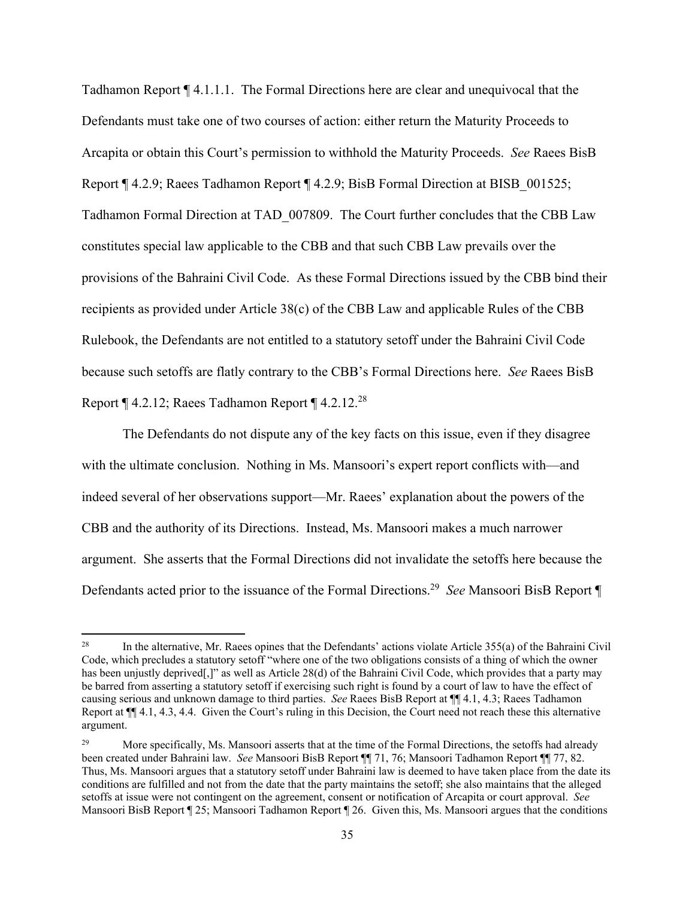Tadhamon Report ¶ 4.1.1.1. The Formal Directions here are clear and unequivocal that the Defendants must take one of two courses of action: either return the Maturity Proceeds to Arcapita or obtain this Court's permission to withhold the Maturity Proceeds. *See* Raees BisB Report ¶ 4.2.9; Raees Tadhamon Report ¶ 4.2.9; BisB Formal Direction at BISB\_001525; Tadhamon Formal Direction at TAD\_007809. The Court further concludes that the CBB Law constitutes special law applicable to the CBB and that such CBB Law prevails over the provisions of the Bahraini Civil Code. As these Formal Directions issued by the CBB bind their recipients as provided under Article 38(c) of the CBB Law and applicable Rules of the CBB Rulebook, the Defendants are not entitled to a statutory setoff under the Bahraini Civil Code because such setoffs are flatly contrary to the CBB's Formal Directions here. *See* Raees BisB Report  $\P$  4.2.12; Raees Tadhamon Report  $\P$  4.2.12.<sup>28</sup>

 The Defendants do not dispute any of the key facts on this issue, even if they disagree with the ultimate conclusion. Nothing in Ms. Mansoori's expert report conflicts with—and indeed several of her observations support—Mr. Raees' explanation about the powers of the CBB and the authority of its Directions. Instead, Ms. Mansoori makes a much narrower argument. She asserts that the Formal Directions did not invalidate the setoffs here because the Defendants acted prior to the issuance of the Formal Directions.29 *See* Mansoori BisB Report ¶

<sup>&</sup>lt;sup>28</sup> In the alternative, Mr. Raees opines that the Defendants' actions violate Article  $355(a)$  of the Bahraini Civil Code, which precludes a statutory setoff "where one of the two obligations consists of a thing of which the owner has been unjustly deprived[,]" as well as Article 28(d) of the Bahraini Civil Code, which provides that a party may be barred from asserting a statutory setoff if exercising such right is found by a court of law to have the effect of causing serious and unknown damage to third parties. *See* Raees BisB Report at ¶¶ 4.1, 4.3; Raees Tadhamon Report at ¶¶ 4.1, 4.3, 4.4. Given the Court's ruling in this Decision, the Court need not reach these this alternative argument.

<sup>&</sup>lt;sup>29</sup> More specifically, Ms. Mansoori asserts that at the time of the Formal Directions, the setoffs had already been created under Bahraini law. *See* Mansoori BisB Report ¶¶ 71, 76; Mansoori Tadhamon Report ¶¶ 77, 82. Thus, Ms. Mansoori argues that a statutory setoff under Bahraini law is deemed to have taken place from the date its conditions are fulfilled and not from the date that the party maintains the setoff; she also maintains that the alleged setoffs at issue were not contingent on the agreement, consent or notification of Arcapita or court approval. *See*  Mansoori BisB Report ¶ 25; Mansoori Tadhamon Report ¶ 26. Given this, Ms. Mansoori argues that the conditions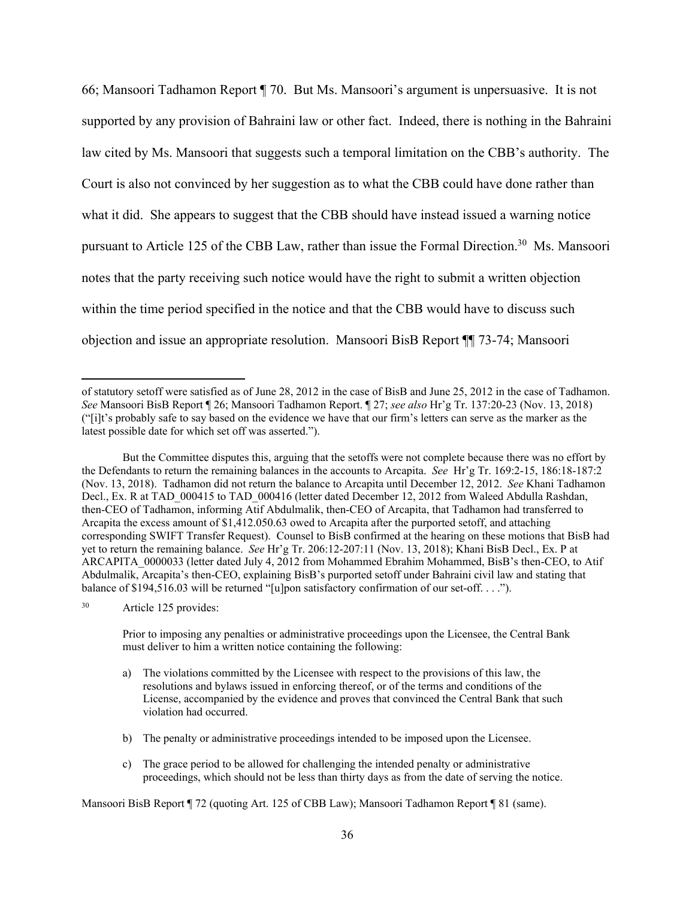66; Mansoori Tadhamon Report ¶ 70. But Ms. Mansoori's argument is unpersuasive. It is not supported by any provision of Bahraini law or other fact. Indeed, there is nothing in the Bahraini law cited by Ms. Mansoori that suggests such a temporal limitation on the CBB's authority. The Court is also not convinced by her suggestion as to what the CBB could have done rather than what it did. She appears to suggest that the CBB should have instead issued a warning notice pursuant to Article 125 of the CBB Law, rather than issue the Formal Direction.<sup>30</sup> Ms. Mansoori notes that the party receiving such notice would have the right to submit a written objection within the time period specified in the notice and that the CBB would have to discuss such objection and issue an appropriate resolution. Mansoori BisB Report ¶¶ 73-74; Mansoori

30 Article 125 provides:

Prior to imposing any penalties or administrative proceedings upon the Licensee, the Central Bank must deliver to him a written notice containing the following:

- a) The violations committed by the Licensee with respect to the provisions of this law, the resolutions and bylaws issued in enforcing thereof, or of the terms and conditions of the License, accompanied by the evidence and proves that convinced the Central Bank that such violation had occurred.
- b) The penalty or administrative proceedings intended to be imposed upon the Licensee.
- c) The grace period to be allowed for challenging the intended penalty or administrative proceedings, which should not be less than thirty days as from the date of serving the notice.

Mansoori BisB Report ¶ 72 (quoting Art. 125 of CBB Law); Mansoori Tadhamon Report ¶ 81 (same).

of statutory setoff were satisfied as of June 28, 2012 in the case of BisB and June 25, 2012 in the case of Tadhamon. *See* Mansoori BisB Report ¶ 26; Mansoori Tadhamon Report. ¶ 27; *see also* Hr'g Tr. 137:20-23 (Nov. 13, 2018) ("[i]t's probably safe to say based on the evidence we have that our firm's letters can serve as the marker as the latest possible date for which set off was asserted.").

But the Committee disputes this, arguing that the setoffs were not complete because there was no effort by the Defendants to return the remaining balances in the accounts to Arcapita. *See* Hr'g Tr. 169:2-15, 186:18-187:2 (Nov. 13, 2018). Tadhamon did not return the balance to Arcapita until December 12, 2012. *See* Khani Tadhamon Decl., Ex. R at TAD 000415 to TAD 000416 (letter dated December 12, 2012 from Waleed Abdulla Rashdan, then-CEO of Tadhamon, informing Atif Abdulmalik, then-CEO of Arcapita, that Tadhamon had transferred to Arcapita the excess amount of \$1,412.050.63 owed to Arcapita after the purported setoff, and attaching corresponding SWIFT Transfer Request). Counsel to BisB confirmed at the hearing on these motions that BisB had yet to return the remaining balance. *See* Hr'g Tr. 206:12-207:11 (Nov. 13, 2018); Khani BisB Decl., Ex. P at ARCAPITA\_0000033 (letter dated July 4, 2012 from Mohammed Ebrahim Mohammed, BisB's then-CEO, to Atif Abdulmalik, Arcapita's then-CEO, explaining BisB's purported setoff under Bahraini civil law and stating that balance of \$194,516.03 will be returned "[u]pon satisfactory confirmation of our set-off. . . .").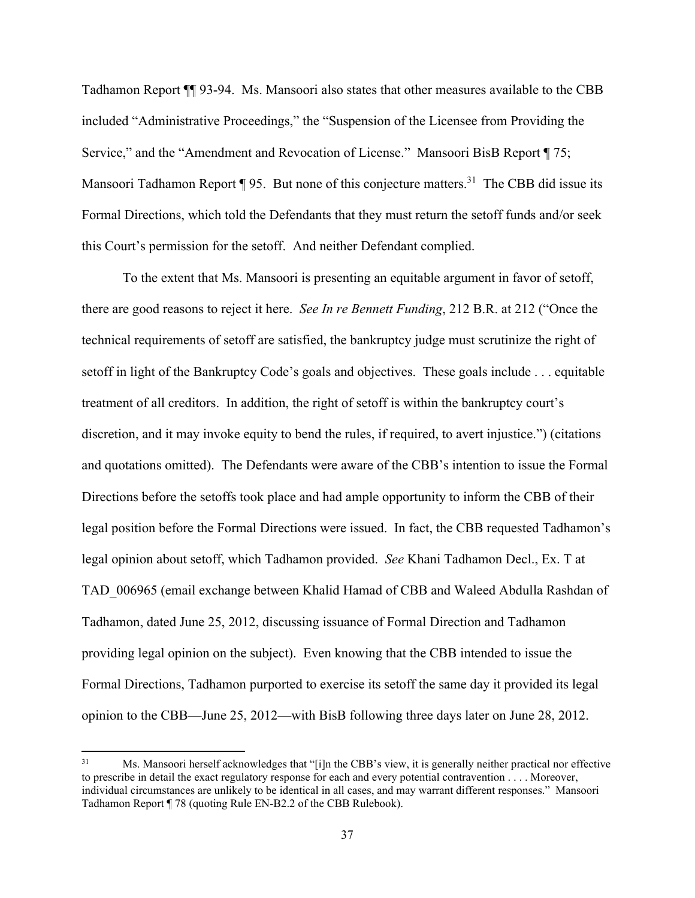Tadhamon Report ¶¶ 93-94. Ms. Mansoori also states that other measures available to the CBB included "Administrative Proceedings," the "Suspension of the Licensee from Providing the Service," and the "Amendment and Revocation of License." Mansoori BisB Report ¶ 75; Mansoori Tadhamon Report ¶ 95. But none of this conjecture matters.<sup>31</sup> The CBB did issue its Formal Directions, which told the Defendants that they must return the setoff funds and/or seek this Court's permission for the setoff. And neither Defendant complied.

To the extent that Ms. Mansoori is presenting an equitable argument in favor of setoff, there are good reasons to reject it here. *See In re Bennett Funding*, 212 B.R. at 212 ("Once the technical requirements of setoff are satisfied, the bankruptcy judge must scrutinize the right of setoff in light of the Bankruptcy Code's goals and objectives. These goals include . . . equitable treatment of all creditors. In addition, the right of setoff is within the bankruptcy court's discretion, and it may invoke equity to bend the rules, if required, to avert injustice.") (citations and quotations omitted). The Defendants were aware of the CBB's intention to issue the Formal Directions before the setoffs took place and had ample opportunity to inform the CBB of their legal position before the Formal Directions were issued. In fact, the CBB requested Tadhamon's legal opinion about setoff, which Tadhamon provided. *See* Khani Tadhamon Decl., Ex. T at TAD\_006965 (email exchange between Khalid Hamad of CBB and Waleed Abdulla Rashdan of Tadhamon, dated June 25, 2012, discussing issuance of Formal Direction and Tadhamon providing legal opinion on the subject). Even knowing that the CBB intended to issue the Formal Directions, Tadhamon purported to exercise its setoff the same day it provided its legal opinion to the CBB—June 25, 2012—with BisB following three days later on June 28, 2012.

<sup>31</sup> Ms. Mansoori herself acknowledges that "[i]n the CBB's view, it is generally neither practical nor effective to prescribe in detail the exact regulatory response for each and every potential contravention . . . . Moreover, individual circumstances are unlikely to be identical in all cases, and may warrant different responses." Mansoori Tadhamon Report ¶ 78 (quoting Rule EN-B2.2 of the CBB Rulebook).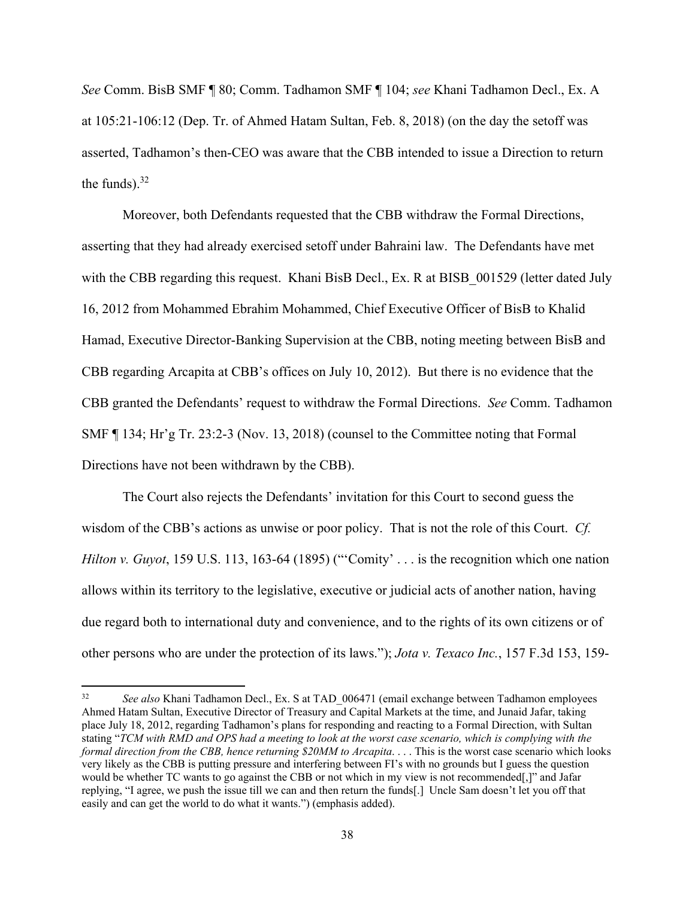*See* Comm. BisB SMF ¶ 80; Comm. Tadhamon SMF ¶ 104; *see* Khani Tadhamon Decl., Ex. A at 105:21-106:12 (Dep. Tr. of Ahmed Hatam Sultan, Feb. 8, 2018) (on the day the setoff was asserted, Tadhamon's then-CEO was aware that the CBB intended to issue a Direction to return the funds). $32$ 

Moreover, both Defendants requested that the CBB withdraw the Formal Directions, asserting that they had already exercised setoff under Bahraini law. The Defendants have met with the CBB regarding this request. Khani BisB Decl., Ex. R at BISB 001529 (letter dated July 16, 2012 from Mohammed Ebrahim Mohammed, Chief Executive Officer of BisB to Khalid Hamad, Executive Director-Banking Supervision at the CBB, noting meeting between BisB and CBB regarding Arcapita at CBB's offices on July 10, 2012). But there is no evidence that the CBB granted the Defendants' request to withdraw the Formal Directions. *See* Comm. Tadhamon SMF ¶ 134; Hr'g Tr. 23:2-3 (Nov. 13, 2018) (counsel to the Committee noting that Formal Directions have not been withdrawn by the CBB).

The Court also rejects the Defendants' invitation for this Court to second guess the wisdom of the CBB's actions as unwise or poor policy. That is not the role of this Court. *Cf. Hilton v. Guyot*, 159 U.S. 113, 163-64 (1895) ("'Comity' . . . is the recognition which one nation allows within its territory to the legislative, executive or judicial acts of another nation, having due regard both to international duty and convenience, and to the rights of its own citizens or of other persons who are under the protection of its laws."); *Jota v. Texaco Inc.*, 157 F.3d 153, 159-

<sup>&</sup>lt;sup>32</sup> *See also* Khani Tadhamon Decl., Ex. S at TAD 006471 (email exchange between Tadhamon employees Ahmed Hatam Sultan, Executive Director of Treasury and Capital Markets at the time, and Junaid Jafar, taking place July 18, 2012, regarding Tadhamon's plans for responding and reacting to a Formal Direction, with Sultan stating "*TCM with RMD and OPS had a meeting to look at the worst case scenario, which is complying with the formal direction from the CBB, hence returning \$20MM to Arcapita*. . . . This is the worst case scenario which looks very likely as the CBB is putting pressure and interfering between FI's with no grounds but I guess the question would be whether TC wants to go against the CBB or not which in my view is not recommended[,]" and Jafar replying, "I agree, we push the issue till we can and then return the funds[.] Uncle Sam doesn't let you off that easily and can get the world to do what it wants.") (emphasis added).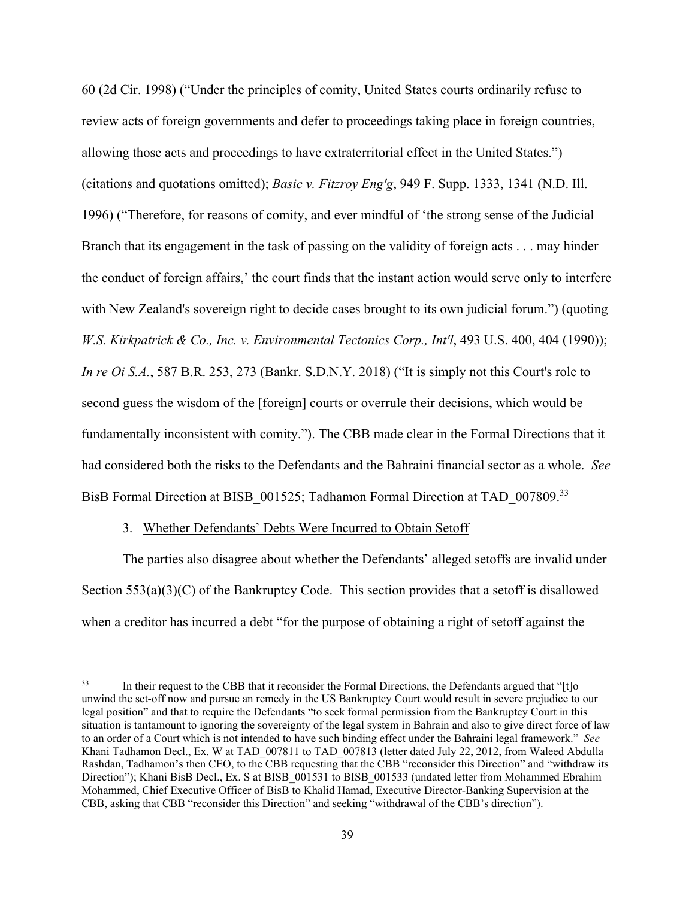60 (2d Cir. 1998) ("Under the principles of comity, United States courts ordinarily refuse to review acts of foreign governments and defer to proceedings taking place in foreign countries, allowing those acts and proceedings to have extraterritorial effect in the United States.") (citations and quotations omitted); *Basic v. Fitzroy Eng'g*, 949 F. Supp. 1333, 1341 (N.D. Ill. 1996) ("Therefore, for reasons of comity, and ever mindful of 'the strong sense of the Judicial Branch that its engagement in the task of passing on the validity of foreign acts . . . may hinder the conduct of foreign affairs,' the court finds that the instant action would serve only to interfere with New Zealand's sovereign right to decide cases brought to its own judicial forum.") (quoting *W.S. Kirkpatrick & Co., Inc. v. Environmental Tectonics Corp., Int'l*, 493 U.S. 400, 404 (1990)); *In re Oi S.A.*, 587 B.R. 253, 273 (Bankr. S.D.N.Y. 2018) ("It is simply not this Court's role to second guess the wisdom of the [foreign] courts or overrule their decisions, which would be fundamentally inconsistent with comity."). The CBB made clear in the Formal Directions that it had considered both the risks to the Defendants and the Bahraini financial sector as a whole. *See*  BisB Formal Direction at BISB 001525; Tadhamon Formal Direction at TAD 007809.<sup>33</sup>

## 3. Whether Defendants' Debts Were Incurred to Obtain Setoff

 The parties also disagree about whether the Defendants' alleged setoffs are invalid under Section  $553(a)(3)(C)$  of the Bankruptcy Code. This section provides that a setoff is disallowed when a creditor has incurred a debt "for the purpose of obtaining a right of setoff against the

<sup>&</sup>lt;sup>33</sup> In their request to the CBB that it reconsider the Formal Directions, the Defendants argued that "[t]o unwind the set-off now and pursue an remedy in the US Bankruptcy Court would result in severe prejudice to our legal position" and that to require the Defendants "to seek formal permission from the Bankruptcy Court in this situation is tantamount to ignoring the sovereignty of the legal system in Bahrain and also to give direct force of law to an order of a Court which is not intended to have such binding effect under the Bahraini legal framework." *See* Khani Tadhamon Decl., Ex. W at TAD 007811 to TAD 007813 (letter dated July 22, 2012, from Waleed Abdulla Rashdan, Tadhamon's then CEO, to the CBB requesting that the CBB "reconsider this Direction" and "withdraw its Direction"); Khani BisB Decl., Ex. S at BISB 001531 to BISB 001533 (undated letter from Mohammed Ebrahim Mohammed, Chief Executive Officer of BisB to Khalid Hamad, Executive Director-Banking Supervision at the CBB, asking that CBB "reconsider this Direction" and seeking "withdrawal of the CBB's direction").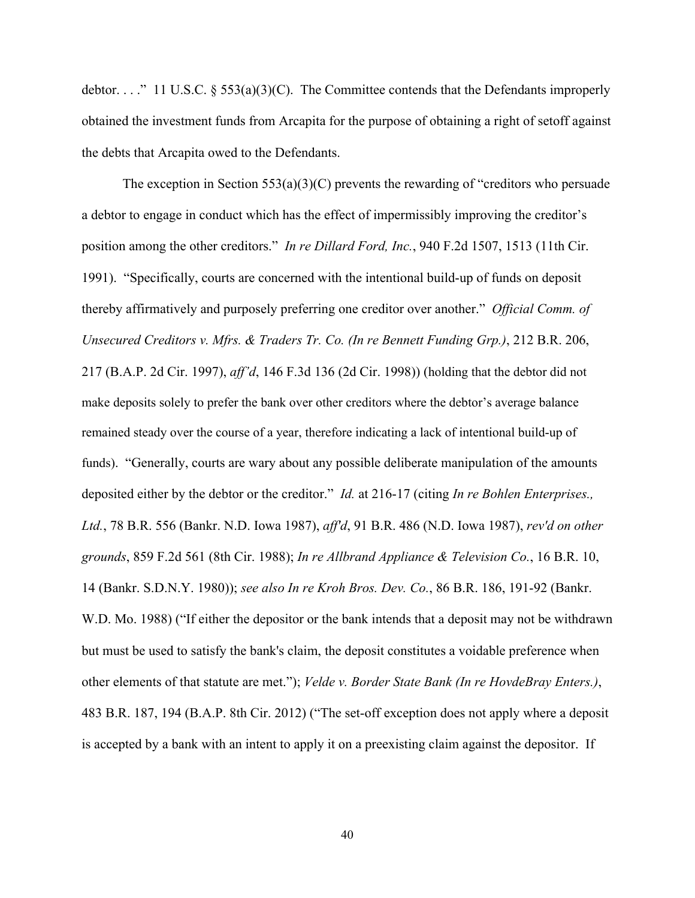debtor. . . ." 11 U.S.C. § 553(a)(3)(C). The Committee contends that the Defendants improperly obtained the investment funds from Arcapita for the purpose of obtaining a right of setoff against the debts that Arcapita owed to the Defendants.

The exception in Section  $553(a)(3)(C)$  prevents the rewarding of "creditors who persuade" a debtor to engage in conduct which has the effect of impermissibly improving the creditor's position among the other creditors." *In re Dillard Ford, Inc.*, 940 F.2d 1507, 1513 (11th Cir. 1991). "Specifically, courts are concerned with the intentional build-up of funds on deposit thereby affirmatively and purposely preferring one creditor over another." *Official Comm. of Unsecured Creditors v. Mfrs. & Traders Tr. Co. (In re Bennett Funding Grp.)*, 212 B.R. 206, 217 (B.A.P. 2d Cir. 1997), *aff'd*, 146 F.3d 136 (2d Cir. 1998)) (holding that the debtor did not make deposits solely to prefer the bank over other creditors where the debtor's average balance remained steady over the course of a year, therefore indicating a lack of intentional build-up of funds). "Generally, courts are wary about any possible deliberate manipulation of the amounts deposited either by the debtor or the creditor." *Id.* at 216-17 (citing *In re Bohlen Enterprises., Ltd.*, 78 B.R. 556 (Bankr. N.D. Iowa 1987), *aff'd*, 91 B.R. 486 (N.D. Iowa 1987), *rev'd on other grounds*, 859 F.2d 561 (8th Cir. 1988); *In re Allbrand Appliance & Television Co.*, 16 B.R. 10, 14 (Bankr. S.D.N.Y. 1980)); *see also In re Kroh Bros. Dev. Co.*, 86 B.R. 186, 191-92 (Bankr. W.D. Mo. 1988) ("If either the depositor or the bank intends that a deposit may not be withdrawn but must be used to satisfy the bank's claim, the deposit constitutes a voidable preference when other elements of that statute are met."); *Velde v. Border State Bank (In re HovdeBray Enters.)*, 483 B.R. 187, 194 (B.A.P. 8th Cir. 2012) ("The set-off exception does not apply where a deposit is accepted by a bank with an intent to apply it on a preexisting claim against the depositor. If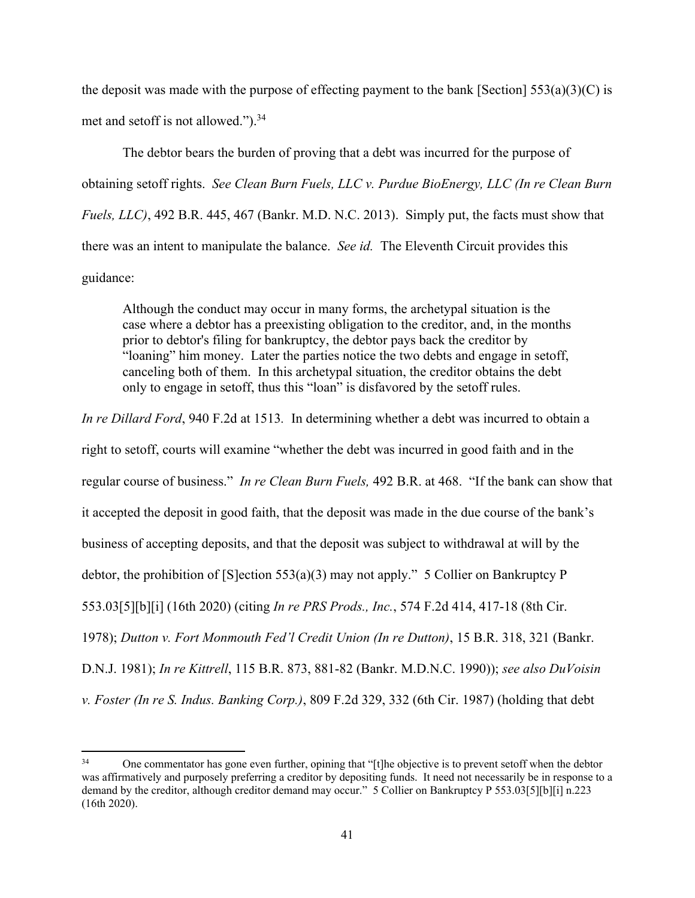the deposit was made with the purpose of effecting payment to the bank [Section]  $553(a)(3)(C)$  is met and setoff is not allowed.").<sup>34</sup>

The debtor bears the burden of proving that a debt was incurred for the purpose of obtaining setoff rights. *See Clean Burn Fuels, LLC v. Purdue BioEnergy, LLC (In re Clean Burn Fuels, LLC)*, 492 B.R. 445, 467 (Bankr. M.D. N.C. 2013). Simply put, the facts must show that there was an intent to manipulate the balance. *See id.* The Eleventh Circuit provides this guidance:

Although the conduct may occur in many forms, the archetypal situation is the case where a debtor has a preexisting obligation to the creditor, and, in the months prior to debtor's filing for bankruptcy, the debtor pays back the creditor by "loaning" him money. Later the parties notice the two debts and engage in setoff, canceling both of them. In this archetypal situation, the creditor obtains the debt only to engage in setoff, thus this "loan" is disfavored by the setoff rules.

*In re Dillard Ford*, 940 F.2d at 1513*.* In determining whether a debt was incurred to obtain a right to setoff, courts will examine "whether the debt was incurred in good faith and in the regular course of business." *In re Clean Burn Fuels,* 492 B.R. at 468. "If the bank can show that it accepted the deposit in good faith, that the deposit was made in the due course of the bank's business of accepting deposits, and that the deposit was subject to withdrawal at will by the debtor, the prohibition of [S]ection 553(a)(3) may not apply." 5 Collier on Bankruptcy P 553.03[5][b][i] (16th 2020) (citing *In re PRS Prods., Inc.*, 574 F.2d 414, 417-18 (8th Cir. 1978); *Dutton v. Fort Monmouth Fed'l Credit Union (In re Dutton)*, 15 B.R. 318, 321 (Bankr. D.N.J. 1981); *In re Kittrell*, 115 B.R. 873, 881-82 (Bankr. M.D.N.C. 1990)); *see also DuVoisin v. Foster (In re S. Indus. Banking Corp.)*, 809 F.2d 329, 332 (6th Cir. 1987) (holding that debt

<sup>34</sup> One commentator has gone even further, opining that "[t]he objective is to prevent setoff when the debtor was affirmatively and purposely preferring a creditor by depositing funds. It need not necessarily be in response to a demand by the creditor, although creditor demand may occur." 5 Collier on Bankruptcy P 553.03[5][b][i] n.223 (16th 2020).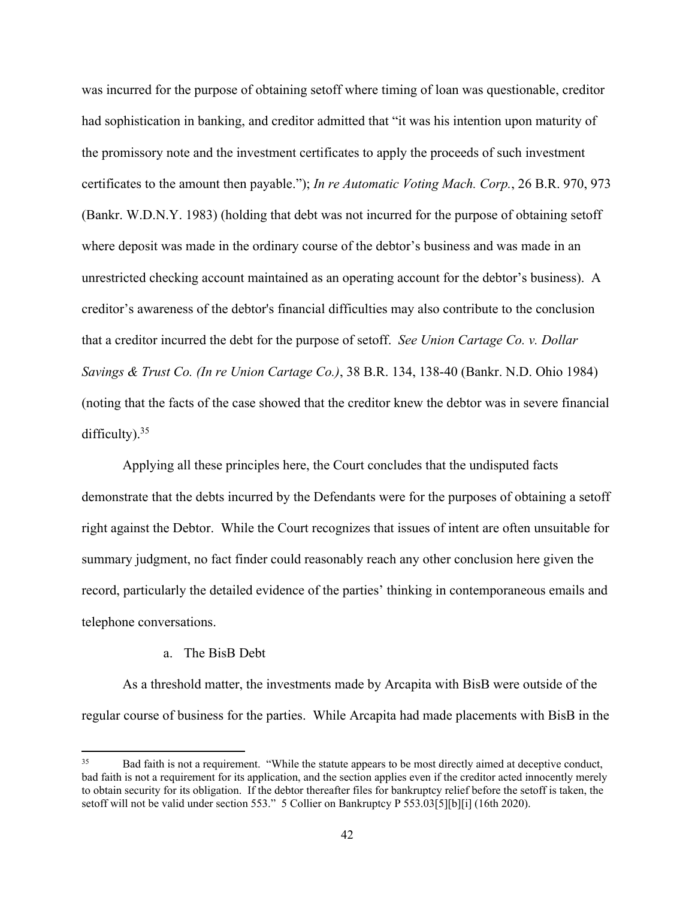was incurred for the purpose of obtaining setoff where timing of loan was questionable, creditor had sophistication in banking, and creditor admitted that "it was his intention upon maturity of the promissory note and the investment certificates to apply the proceeds of such investment certificates to the amount then payable."); *In re Automatic Voting Mach. Corp.*, 26 B.R. 970, 973 (Bankr. W.D.N.Y. 1983) (holding that debt was not incurred for the purpose of obtaining setoff where deposit was made in the ordinary course of the debtor's business and was made in an unrestricted checking account maintained as an operating account for the debtor's business). A creditor's awareness of the debtor's financial difficulties may also contribute to the conclusion that a creditor incurred the debt for the purpose of setoff. *See Union Cartage Co. v. Dollar Savings & Trust Co. (In re Union Cartage Co.)*, 38 B.R. 134, 138-40 (Bankr. N.D. Ohio 1984) (noting that the facts of the case showed that the creditor knew the debtor was in severe financial difficulty). $35$ 

 Applying all these principles here, the Court concludes that the undisputed facts demonstrate that the debts incurred by the Defendants were for the purposes of obtaining a setoff right against the Debtor. While the Court recognizes that issues of intent are often unsuitable for summary judgment, no fact finder could reasonably reach any other conclusion here given the record, particularly the detailed evidence of the parties' thinking in contemporaneous emails and telephone conversations.

#### a. The BisB Debt

As a threshold matter, the investments made by Arcapita with BisB were outside of the regular course of business for the parties. While Arcapita had made placements with BisB in the

Bad faith is not a requirement. "While the statute appears to be most directly aimed at deceptive conduct, bad faith is not a requirement for its application, and the section applies even if the creditor acted innocently merely to obtain security for its obligation. If the debtor thereafter files for bankruptcy relief before the setoff is taken, the setoff will not be valid under section 553." 5 Collier on Bankruptcy P 553.03[5][b][i] (16th 2020).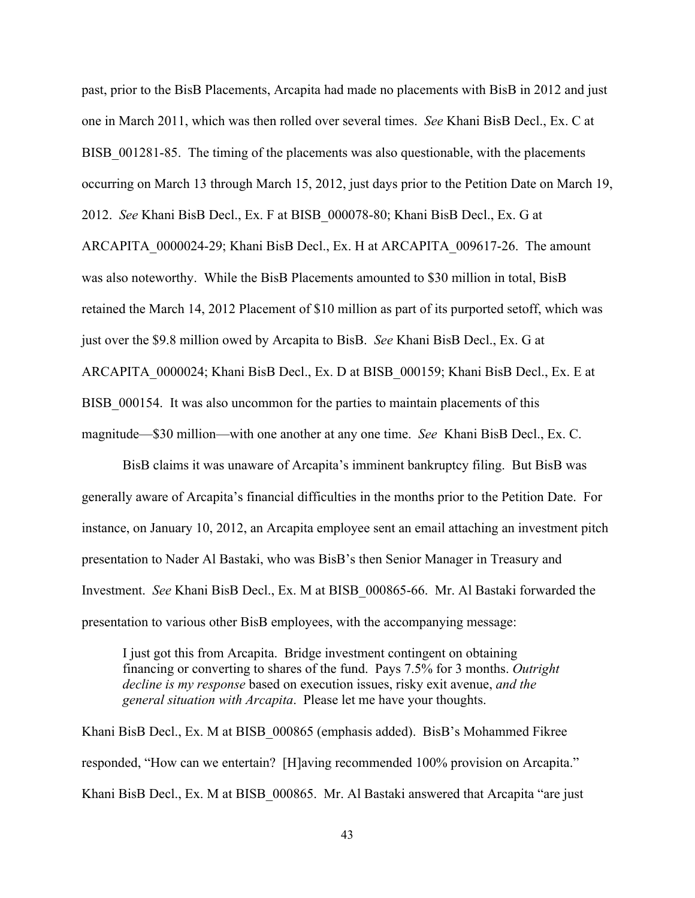past, prior to the BisB Placements, Arcapita had made no placements with BisB in 2012 and just one in March 2011, which was then rolled over several times. *See* Khani BisB Decl., Ex. C at BISB 001281-85. The timing of the placements was also questionable, with the placements occurring on March 13 through March 15, 2012, just days prior to the Petition Date on March 19, 2012. *See* Khani BisB Decl., Ex. F at BISB\_000078-80; Khani BisB Decl., Ex. G at ARCAPITA\_0000024-29; Khani BisB Decl., Ex. H at ARCAPITA\_009617-26. The amount was also noteworthy. While the BisB Placements amounted to \$30 million in total, BisB retained the March 14, 2012 Placement of \$10 million as part of its purported setoff, which was just over the \$9.8 million owed by Arcapita to BisB. *See* Khani BisB Decl., Ex. G at ARCAPITA\_0000024; Khani BisB Decl., Ex. D at BISB\_000159; Khani BisB Decl., Ex. E at BISB\_000154.It was also uncommon for the parties to maintain placements of this magnitude—\$30 million—with one another at any one time. *See* Khani BisB Decl., Ex. C.

BisB claims it was unaware of Arcapita's imminent bankruptcy filing. But BisB was generally aware of Arcapita's financial difficulties in the months prior to the Petition Date. For instance, on January 10, 2012, an Arcapita employee sent an email attaching an investment pitch presentation to Nader Al Bastaki, who was BisB's then Senior Manager in Treasury and Investment. *See* Khani BisB Decl., Ex. M at BISB\_000865-66. Mr. Al Bastaki forwarded the presentation to various other BisB employees, with the accompanying message:

I just got this from Arcapita. Bridge investment contingent on obtaining financing or converting to shares of the fund. Pays 7.5% for 3 months. *Outright decline is my response* based on execution issues, risky exit avenue, *and the general situation with Arcapita*. Please let me have your thoughts.

Khani BisB Decl., Ex. M at BISB\_000865 (emphasis added). BisB's Mohammed Fikree responded, "How can we entertain? [H]aving recommended 100% provision on Arcapita." Khani BisB Decl., Ex. M at BISB\_000865. Mr. Al Bastaki answered that Arcapita "are just

43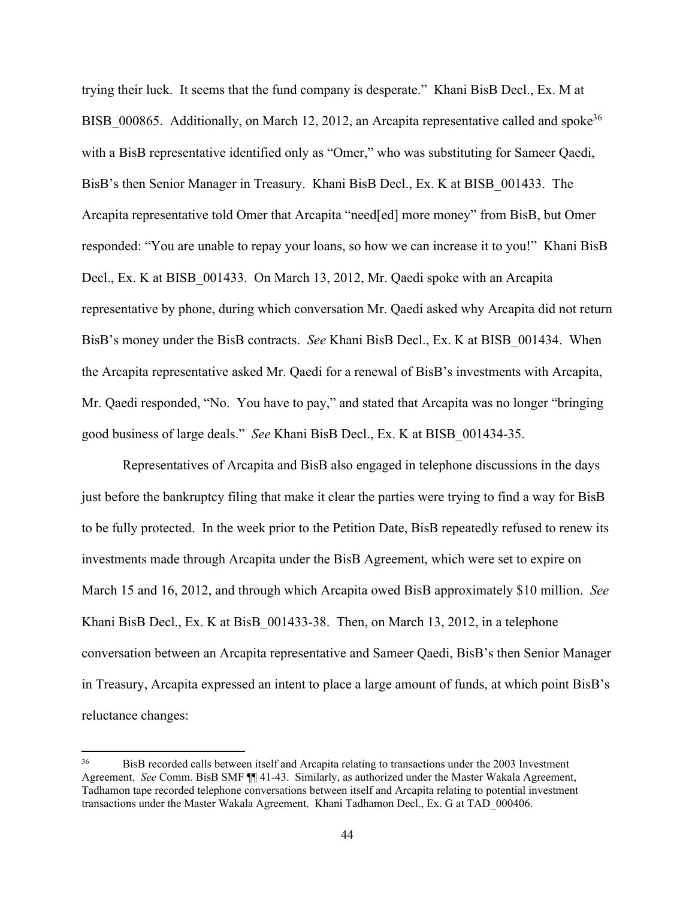trying their luck. It seems that the fund company is desperate." Khani BisB Decl., Ex. M at BISB 000865. Additionally, on March 12, 2012, an Arcapita representative called and spoke<sup>36</sup> with a BisB representative identified only as "Omer," who was substituting for Sameer Qaedi, BisB's then Senior Manager in Treasury. Khani BisB Decl., Ex. K at BISB\_001433. The Arcapita representative told Omer that Arcapita "need[ed] more money" from BisB, but Omer responded: "You are unable to repay your loans, so how we can increase it to you!" Khani BisB Decl., Ex. K at BISB\_001433. On March 13, 2012, Mr. Qaedi spoke with an Arcapita representative by phone, during which conversation Mr. Qaedi asked why Arcapita did not return BisB's money under the BisB contracts. *See* Khani BisB Decl., Ex. K at BISB\_001434. When the Arcapita representative asked Mr. Qaedi for a renewal of BisB's investments with Arcapita, Mr. Qaedi responded, "No. You have to pay," and stated that Arcapita was no longer "bringing good business of large deals." *See* Khani BisB Decl., Ex. K at BISB\_001434-35.

Representatives of Arcapita and BisB also engaged in telephone discussions in the days just before the bankruptcy filing that make it clear the parties were trying to find a way for BisB to be fully protected. In the week prior to the Petition Date, BisB repeatedly refused to renew its investments made through Arcapita under the BisB Agreement, which were set to expire on March 15 and 16, 2012, and through which Arcapita owed BisB approximately \$10 million. *See* Khani BisB Decl., Ex. K at BisB 001433-38. Then, on March 13, 2012, in a telephone conversation between an Arcapita representative and Sameer Qaedi, BisB's then Senior Manager in Treasury, Arcapita expressed an intent to place a large amount of funds, at which point BisB's reluctance changes:

<sup>36</sup> BisB recorded calls between itself and Arcapita relating to transactions under the 2003 Investment Agreement. *See* Comm. BisB SMF ¶¶ 41-43. Similarly, as authorized under the Master Wakala Agreement, Tadhamon tape recorded telephone conversations between itself and Arcapita relating to potential investment transactions under the Master Wakala Agreement. Khani Tadhamon Decl., Ex. G at TAD\_000406.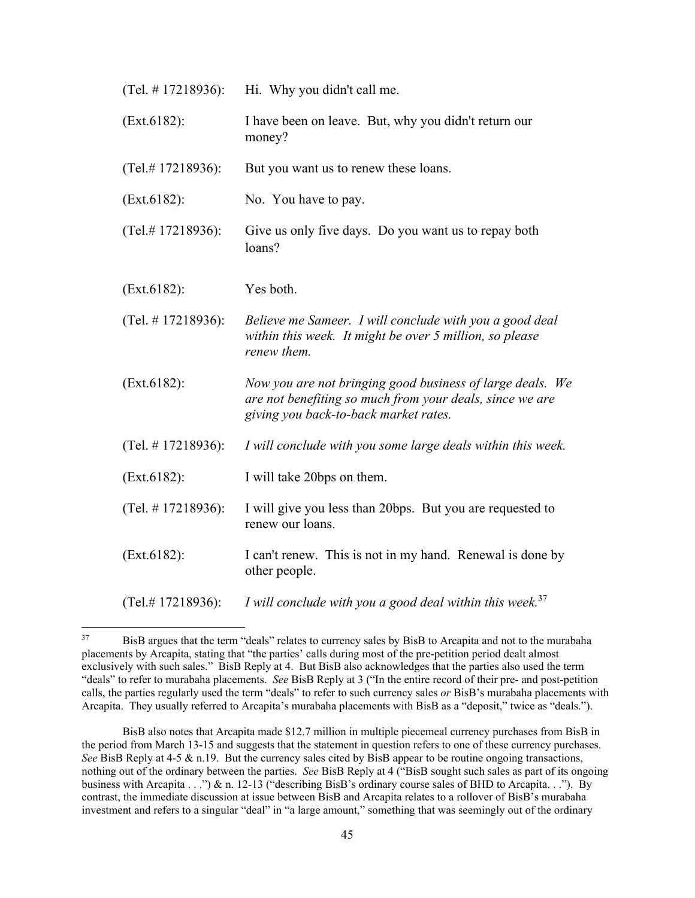| (Tel. $# 17218936$ ):  | Hi. Why you didn't call me.                                                                                                                                    |
|------------------------|----------------------------------------------------------------------------------------------------------------------------------------------------------------|
| (Ext.6182):            | I have been on leave. But, why you didn't return our<br>money?                                                                                                 |
| (Tel.#17218936):       | But you want us to renew these loans.                                                                                                                          |
| (Ext.6182):            | No. You have to pay.                                                                                                                                           |
| (Tel.#17218936):       | Give us only five days. Do you want us to repay both<br>loans?                                                                                                 |
| (Ext.6182):            | Yes both.                                                                                                                                                      |
| (Tel. $\#$ 17218936):  | Believe me Sameer. I will conclude with you a good deal<br>within this week. It might be over 5 million, so please<br>renew them.                              |
| (Ext.6182):            | Now you are not bringing good business of large deals. We<br>are not benefiting so much from your deals, since we are<br>giving you back-to-back market rates. |
| (Tel. $\#$ 17218936):  | I will conclude with you some large deals within this week.                                                                                                    |
| (Ext.6182):            | I will take 20bps on them.                                                                                                                                     |
| (Tel. $# 17218936$ ):  | I will give you less than 20bps. But you are requested to<br>renew our loans.                                                                                  |
| (Ext.6182):            | I can't renew. This is not in my hand. Renewal is done by<br>other people.                                                                                     |
| $(Tel. \# 17218936)$ : | I will conclude with you a good deal within this week. <sup>37</sup>                                                                                           |

<sup>&</sup>lt;sup>37</sup> BisB argues that the term "deals" relates to currency sales by BisB to Arcapita and not to the murabaha placements by Arcapita, stating that "the parties' calls during most of the pre-petition period dealt almost exclusively with such sales." BisB Reply at 4. But BisB also acknowledges that the parties also used the term "deals" to refer to murabaha placements. *See* BisB Reply at 3 ("In the entire record of their pre- and post-petition calls, the parties regularly used the term "deals" to refer to such currency sales *or* BisB's murabaha placements with Arcapita. They usually referred to Arcapita's murabaha placements with BisB as a "deposit," twice as "deals.").

BisB also notes that Arcapita made \$12.7 million in multiple piecemeal currency purchases from BisB in the period from March 13-15 and suggests that the statement in question refers to one of these currency purchases. *See* BisB Reply at 4-5 & n.19. But the currency sales cited by BisB appear to be routine ongoing transactions, nothing out of the ordinary between the parties. *See* BisB Reply at 4 ("BisB sought such sales as part of its ongoing business with Arcapita . . .") & n. 12-13 ("describing BisB's ordinary course sales of BHD to Arcapita. . ."). By contrast, the immediate discussion at issue between BisB and Arcapita relates to a rollover of BisB's murabaha investment and refers to a singular "deal" in "a large amount," something that was seemingly out of the ordinary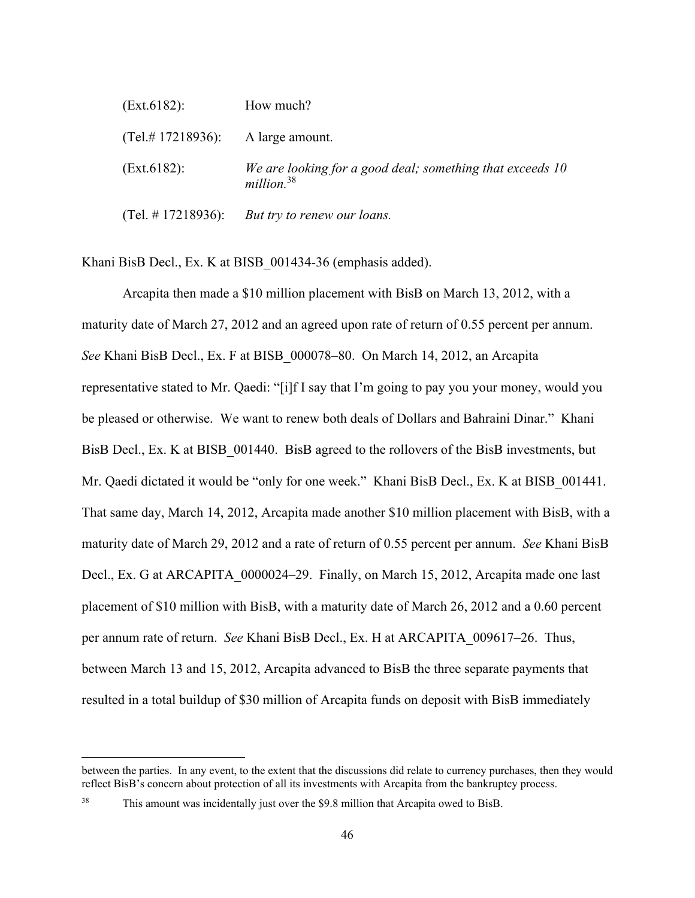| (Ext.6182):            | How much?                                                                           |
|------------------------|-------------------------------------------------------------------------------------|
| $(Tel. \# 17218936)$ : | A large amount.                                                                     |
| (Ext.6182):            | We are looking for a good deal; something that exceeds 10<br>million. <sup>38</sup> |
| (Tel. # 17218936):     | But try to renew our loans.                                                         |

Khani BisB Decl., Ex. K at BISB\_001434-36 (emphasis added).

Arcapita then made a \$10 million placement with BisB on March 13, 2012, with a maturity date of March 27, 2012 and an agreed upon rate of return of 0.55 percent per annum. *See* Khani BisB Decl., Ex. F at BISB\_000078–80. On March 14, 2012, an Arcapita representative stated to Mr. Qaedi: "[i]f I say that I'm going to pay you your money, would you be pleased or otherwise. We want to renew both deals of Dollars and Bahraini Dinar." Khani BisB Decl., Ex. K at BISB 001440. BisB agreed to the rollovers of the BisB investments, but Mr. Qaedi dictated it would be "only for one week." Khani BisB Decl., Ex. K at BISB\_001441. That same day, March 14, 2012, Arcapita made another \$10 million placement with BisB, with a maturity date of March 29, 2012 and a rate of return of 0.55 percent per annum. *See* Khani BisB Decl., Ex. G at ARCAPITA 0000024–29. Finally, on March 15, 2012, Arcapita made one last placement of \$10 million with BisB, with a maturity date of March 26, 2012 and a 0.60 percent per annum rate of return. *See* Khani BisB Decl., Ex. H at ARCAPITA\_009617–26. Thus, between March 13 and 15, 2012, Arcapita advanced to BisB the three separate payments that resulted in a total buildup of \$30 million of Arcapita funds on deposit with BisB immediately

between the parties. In any event, to the extent that the discussions did relate to currency purchases, then they would reflect BisB's concern about protection of all its investments with Arcapita from the bankruptcy process.

<sup>&</sup>lt;sup>38</sup> This amount was incidentally just over the \$9.8 million that Arcapita owed to BisB.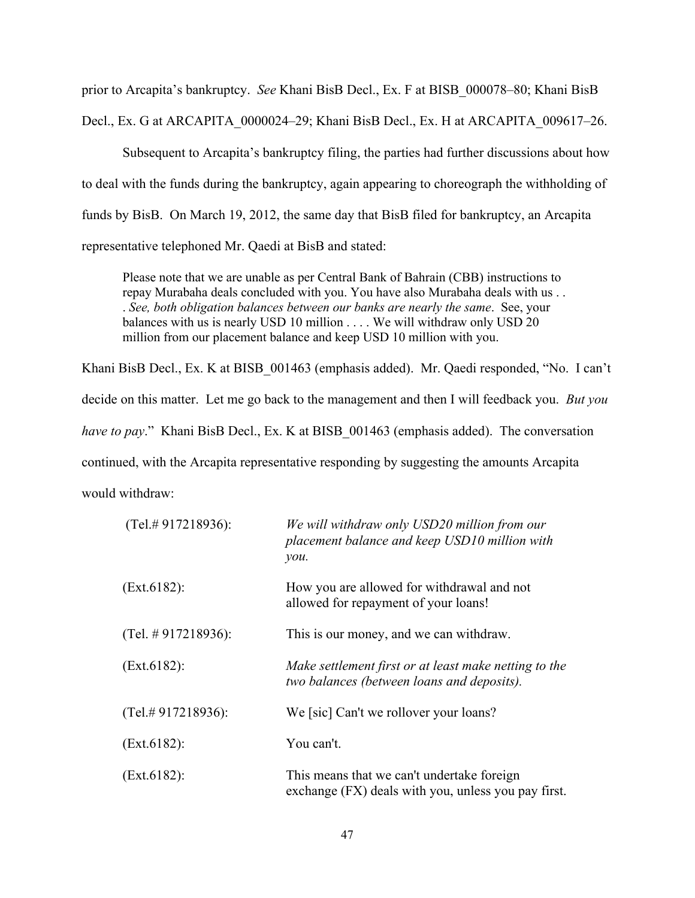prior to Arcapita's bankruptcy. *See* Khani BisB Decl., Ex. F at BISB\_000078–80; Khani BisB Decl., Ex. G at ARCAPITA\_0000024–29; Khani BisB Decl., Ex. H at ARCAPITA\_009617–26.

Subsequent to Arcapita's bankruptcy filing, the parties had further discussions about how to deal with the funds during the bankruptcy, again appearing to choreograph the withholding of funds by BisB. On March 19, 2012, the same day that BisB filed for bankruptcy, an Arcapita representative telephoned Mr. Qaedi at BisB and stated:

Please note that we are unable as per Central Bank of Bahrain (CBB) instructions to repay Murabaha deals concluded with you. You have also Murabaha deals with us . . . *See, both obligation balances between our banks are nearly the same*. See, your balances with us is nearly USD 10 million . . . . We will withdraw only USD 20 million from our placement balance and keep USD 10 million with you.

Khani BisB Decl., Ex. K at BISB\_001463 (emphasis added). Mr. Qaedi responded, "No. I can't decide on this matter. Let me go back to the management and then I will feedback you. *But you have to pay.*" Khani BisB Decl., Ex. K at BISB 001463 (emphasis added). The conversation continued, with the Arcapita representative responding by suggesting the amounts Arcapita would withdraw:

| $(Tel. \# 917218936)$ : | We will withdraw only USD20 million from our<br>placement balance and keep USD10 million with<br>$\mathcal{V}$ <i>ou</i> . |
|-------------------------|----------------------------------------------------------------------------------------------------------------------------|
| (Ext.6182):             | How you are allowed for withdrawal and not<br>allowed for repayment of your loans!                                         |
| (Tel. # 917218936):     | This is our money, and we can withdraw.                                                                                    |
| (Ext.6182):             | Make settlement first or at least make netting to the<br>two balances (between loans and deposits).                        |
| $(Tel. \# 917218936)$ : | We [sic] Can't we rollover your loans?                                                                                     |
| (Ext.6182):             | You can't.                                                                                                                 |
| (Ext.6182):             | This means that we can't undertake foreign<br>exchange (FX) deals with you, unless you pay first.                          |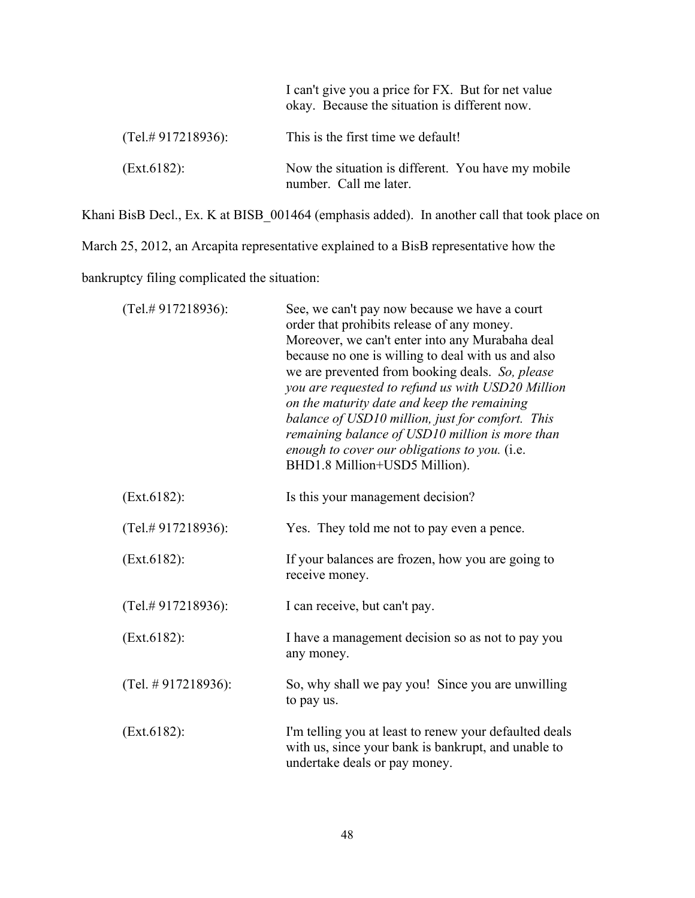|                         | I can't give you a price for FX. But for net value<br>okay. Because the situation is different now. |
|-------------------------|-----------------------------------------------------------------------------------------------------|
| $(Tel. \# 917218936)$ : | This is the first time we default!                                                                  |
| (Ext.6182):             | Now the situation is different. You have my mobile<br>number. Call me later.                        |

Khani BisB Decl., Ex. K at BISB\_001464 (emphasis added). In another call that took place on

March 25, 2012, an Arcapita representative explained to a BisB representative how the

bankruptcy filing complicated the situation:

| (Tel.#917218936):       | See, we can't pay now because we have a court<br>order that prohibits release of any money.<br>Moreover, we can't enter into any Murabaha deal<br>because no one is willing to deal with us and also<br>we are prevented from booking deals. So, please<br>you are requested to refund us with USD20 Million<br>on the maturity date and keep the remaining<br>balance of USD10 million, just for comfort. This<br>remaining balance of USD10 million is more than<br>enough to cover our obligations to you. (i.e.<br>BHD1.8 Million+USD5 Million). |
|-------------------------|------------------------------------------------------------------------------------------------------------------------------------------------------------------------------------------------------------------------------------------------------------------------------------------------------------------------------------------------------------------------------------------------------------------------------------------------------------------------------------------------------------------------------------------------------|
| (Ext.6182):             | Is this your management decision?                                                                                                                                                                                                                                                                                                                                                                                                                                                                                                                    |
| (Tel.#917218936):       | Yes. They told me not to pay even a pence.                                                                                                                                                                                                                                                                                                                                                                                                                                                                                                           |
| (Ext.6182):             | If your balances are frozen, how you are going to<br>receive money.                                                                                                                                                                                                                                                                                                                                                                                                                                                                                  |
| $(Tel. \# 917218936)$ : | I can receive, but can't pay.                                                                                                                                                                                                                                                                                                                                                                                                                                                                                                                        |
| (Ext.6182):             | I have a management decision so as not to pay you<br>any money.                                                                                                                                                                                                                                                                                                                                                                                                                                                                                      |
| (Tel. $\#$ 917218936):  | So, why shall we pay you! Since you are unwilling<br>to pay us.                                                                                                                                                                                                                                                                                                                                                                                                                                                                                      |
| (Ext.6182):             | I'm telling you at least to renew your defaulted deals<br>with us, since your bank is bankrupt, and unable to<br>undertake deals or pay money.                                                                                                                                                                                                                                                                                                                                                                                                       |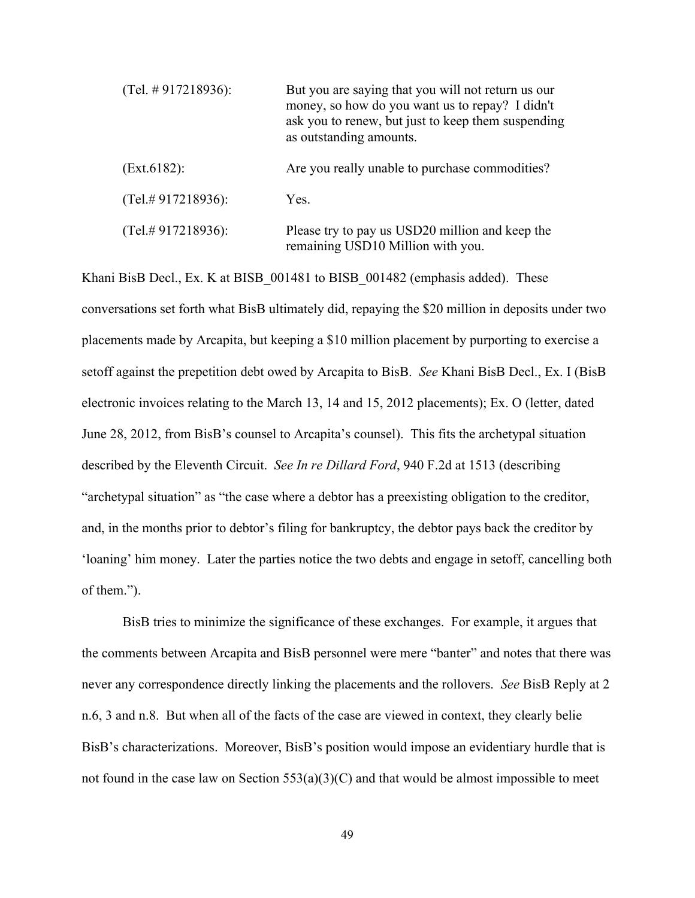| (Tel. # 917218936):     | But you are saying that you will not return us our<br>money, so how do you want us to repay? I didn't<br>ask you to renew, but just to keep them suspending<br>as outstanding amounts. |
|-------------------------|----------------------------------------------------------------------------------------------------------------------------------------------------------------------------------------|
| (Ext.6182):             | Are you really unable to purchase commodities?                                                                                                                                         |
| $(Tel. \# 917218936)$ : | Yes.                                                                                                                                                                                   |
| $(Tel. \# 917218936)$ : | Please try to pay us USD20 million and keep the<br>remaining USD10 Million with you.                                                                                                   |

Khani BisB Decl., Ex. K at BISB 001481 to BISB 001482 (emphasis added). These conversations set forth what BisB ultimately did, repaying the \$20 million in deposits under two placements made by Arcapita, but keeping a \$10 million placement by purporting to exercise a setoff against the prepetition debt owed by Arcapita to BisB. *See* Khani BisB Decl., Ex. I (BisB electronic invoices relating to the March 13, 14 and 15, 2012 placements); Ex. O (letter, dated June 28, 2012, from BisB's counsel to Arcapita's counsel). This fits the archetypal situation described by the Eleventh Circuit. *See In re Dillard Ford*, 940 F.2d at 1513 (describing "archetypal situation" as "the case where a debtor has a preexisting obligation to the creditor, and, in the months prior to debtor's filing for bankruptcy, the debtor pays back the creditor by 'loaning' him money. Later the parties notice the two debts and engage in setoff, cancelling both of them.").

BisB tries to minimize the significance of these exchanges. For example, it argues that the comments between Arcapita and BisB personnel were mere "banter" and notes that there was never any correspondence directly linking the placements and the rollovers. *See* BisB Reply at 2 n.6, 3 and n.8. But when all of the facts of the case are viewed in context, they clearly belie BisB's characterizations. Moreover, BisB's position would impose an evidentiary hurdle that is not found in the case law on Section  $553(a)(3)(C)$  and that would be almost impossible to meet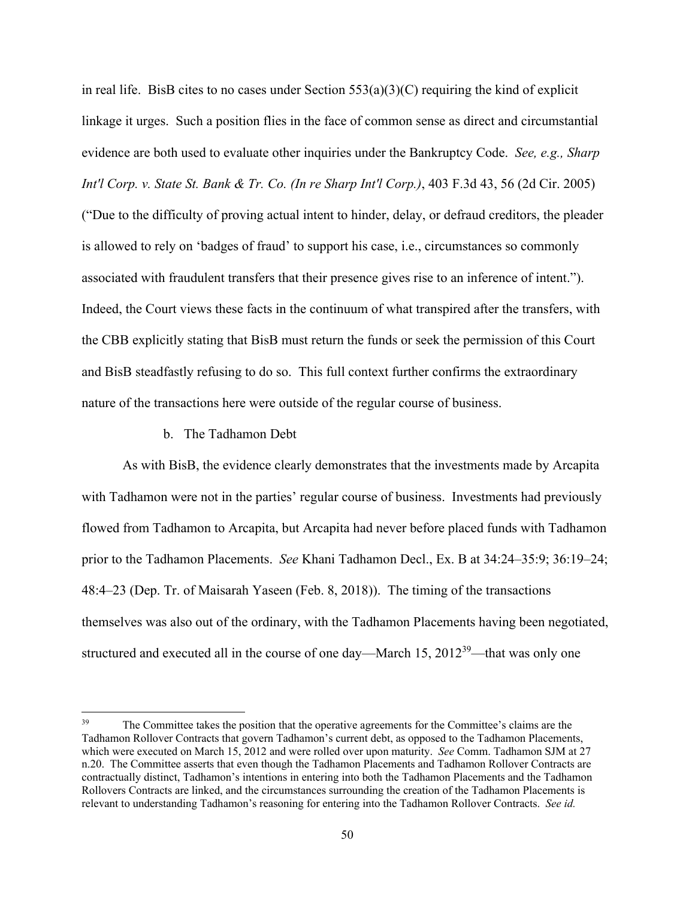in real life. BisB cites to no cases under Section  $553(a)(3)(C)$  requiring the kind of explicit linkage it urges. Such a position flies in the face of common sense as direct and circumstantial evidence are both used to evaluate other inquiries under the Bankruptcy Code. *See, e.g., Sharp Int'l Corp. v. State St. Bank & Tr. Co. (In re Sharp Int'l Corp.)*, 403 F.3d 43, 56 (2d Cir. 2005) ("Due to the difficulty of proving actual intent to hinder, delay, or defraud creditors, the pleader is allowed to rely on 'badges of fraud' to support his case, i.e., circumstances so commonly associated with fraudulent transfers that their presence gives rise to an inference of intent."). Indeed, the Court views these facts in the continuum of what transpired after the transfers, with the CBB explicitly stating that BisB must return the funds or seek the permission of this Court and BisB steadfastly refusing to do so. This full context further confirms the extraordinary nature of the transactions here were outside of the regular course of business.

#### b. The Tadhamon Debt

 As with BisB, the evidence clearly demonstrates that the investments made by Arcapita with Tadhamon were not in the parties' regular course of business. Investments had previously flowed from Tadhamon to Arcapita, but Arcapita had never before placed funds with Tadhamon prior to the Tadhamon Placements. *See* Khani Tadhamon Decl., Ex. B at 34:24–35:9; 36:19–24; 48:4–23 (Dep. Tr. of Maisarah Yaseen (Feb. 8, 2018)). The timing of the transactions themselves was also out of the ordinary, with the Tadhamon Placements having been negotiated, structured and executed all in the course of one day—March 15,  $2012^{39}$ —that was only one

<sup>&</sup>lt;sup>39</sup> The Committee takes the position that the operative agreements for the Committee's claims are the Tadhamon Rollover Contracts that govern Tadhamon's current debt, as opposed to the Tadhamon Placements, which were executed on March 15, 2012 and were rolled over upon maturity. *See* Comm. Tadhamon SJM at 27 n.20. The Committee asserts that even though the Tadhamon Placements and Tadhamon Rollover Contracts are contractually distinct, Tadhamon's intentions in entering into both the Tadhamon Placements and the Tadhamon Rollovers Contracts are linked, and the circumstances surrounding the creation of the Tadhamon Placements is relevant to understanding Tadhamon's reasoning for entering into the Tadhamon Rollover Contracts. *See id.*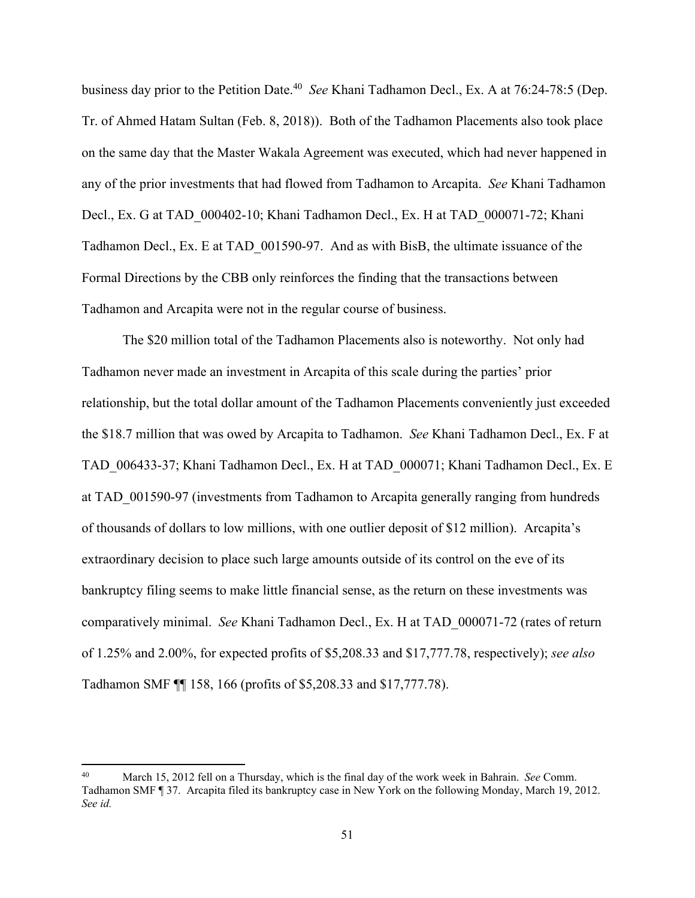business day prior to the Petition Date.40 *See* Khani Tadhamon Decl., Ex. A at 76:24-78:5 (Dep. Tr. of Ahmed Hatam Sultan (Feb. 8, 2018)). Both of the Tadhamon Placements also took place on the same day that the Master Wakala Agreement was executed, which had never happened in any of the prior investments that had flowed from Tadhamon to Arcapita. *See* Khani Tadhamon Decl., Ex. G at TAD\_000402-10; Khani Tadhamon Decl., Ex. H at TAD\_000071-72; Khani Tadhamon Decl., Ex. E at TAD\_001590-97. And as with BisB, the ultimate issuance of the Formal Directions by the CBB only reinforces the finding that the transactions between Tadhamon and Arcapita were not in the regular course of business.

The \$20 million total of the Tadhamon Placements also is noteworthy. Not only had Tadhamon never made an investment in Arcapita of this scale during the parties' prior relationship, but the total dollar amount of the Tadhamon Placements conveniently just exceeded the \$18.7 million that was owed by Arcapita to Tadhamon. *See* Khani Tadhamon Decl., Ex. F at TAD\_006433-37; Khani Tadhamon Decl., Ex. H at TAD\_000071; Khani Tadhamon Decl., Ex. E at TAD\_001590-97 (investments from Tadhamon to Arcapita generally ranging from hundreds of thousands of dollars to low millions, with one outlier deposit of \$12 million).Arcapita's extraordinary decision to place such large amounts outside of its control on the eve of its bankruptcy filing seems to make little financial sense, as the return on these investments was comparatively minimal. *See* Khani Tadhamon Decl., Ex. H at TAD\_000071-72 (rates of return of 1.25% and 2.00%, for expected profits of \$5,208.33 and \$17,777.78, respectively); *see also* Tadhamon SMF ¶¶ 158, 166 (profits of \$5,208.33 and \$17,777.78).

<sup>40</sup> March 15, 2012 fell on a Thursday, which is the final day of the work week in Bahrain. *See* Comm. Tadhamon SMF ¶ 37. Arcapita filed its bankruptcy case in New York on the following Monday, March 19, 2012. *See id.*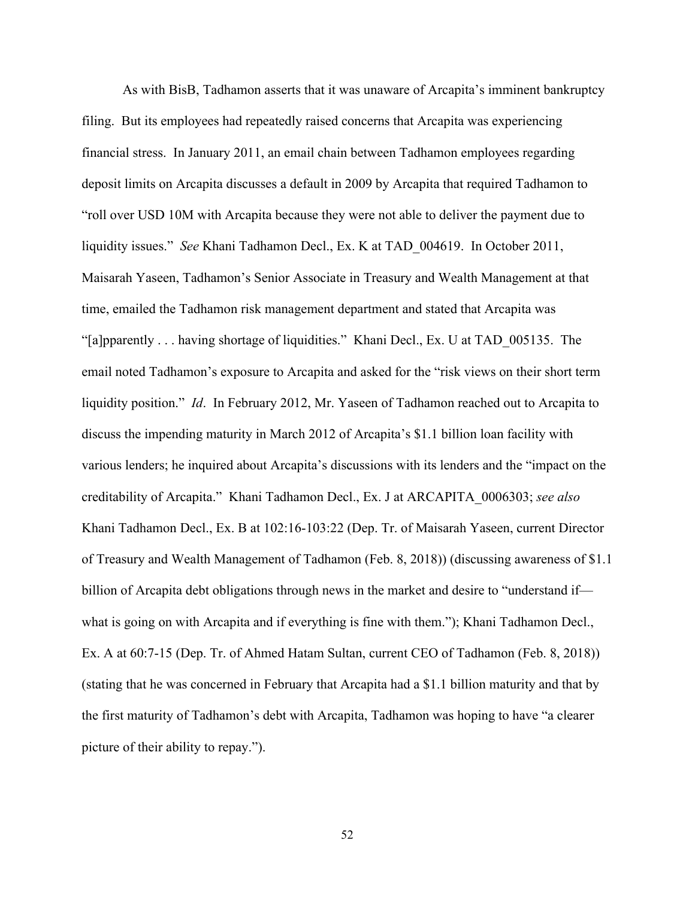As with BisB, Tadhamon asserts that it was unaware of Arcapita's imminent bankruptcy filing. But its employees had repeatedly raised concerns that Arcapita was experiencing financial stress. In January 2011, an email chain between Tadhamon employees regarding deposit limits on Arcapita discusses a default in 2009 by Arcapita that required Tadhamon to "roll over USD 10M with Arcapita because they were not able to deliver the payment due to liquidity issues." *See* Khani Tadhamon Decl., Ex. K at TAD\_004619. In October 2011, Maisarah Yaseen, Tadhamon's Senior Associate in Treasury and Wealth Management at that time, emailed the Tadhamon risk management department and stated that Arcapita was "[a]pparently . . . having shortage of liquidities." Khani Decl., Ex. U at TAD\_005135. The email noted Tadhamon's exposure to Arcapita and asked for the "risk views on their short term liquidity position." *Id*. In February 2012, Mr. Yaseen of Tadhamon reached out to Arcapita to discuss the impending maturity in March 2012 of Arcapita's \$1.1 billion loan facility with various lenders; he inquired about Arcapita's discussions with its lenders and the "impact on the creditability of Arcapita." Khani Tadhamon Decl., Ex. J at ARCAPITA\_0006303; *see also*  Khani Tadhamon Decl., Ex. B at 102:16-103:22 (Dep. Tr. of Maisarah Yaseen, current Director of Treasury and Wealth Management of Tadhamon (Feb. 8, 2018)) (discussing awareness of \$1.1 billion of Arcapita debt obligations through news in the market and desire to "understand if what is going on with Arcapita and if everything is fine with them."); Khani Tadhamon Decl., Ex. A at 60:7-15 (Dep. Tr. of Ahmed Hatam Sultan, current CEO of Tadhamon (Feb. 8, 2018)) (stating that he was concerned in February that Arcapita had a \$1.1 billion maturity and that by the first maturity of Tadhamon's debt with Arcapita, Tadhamon was hoping to have "a clearer picture of their ability to repay.").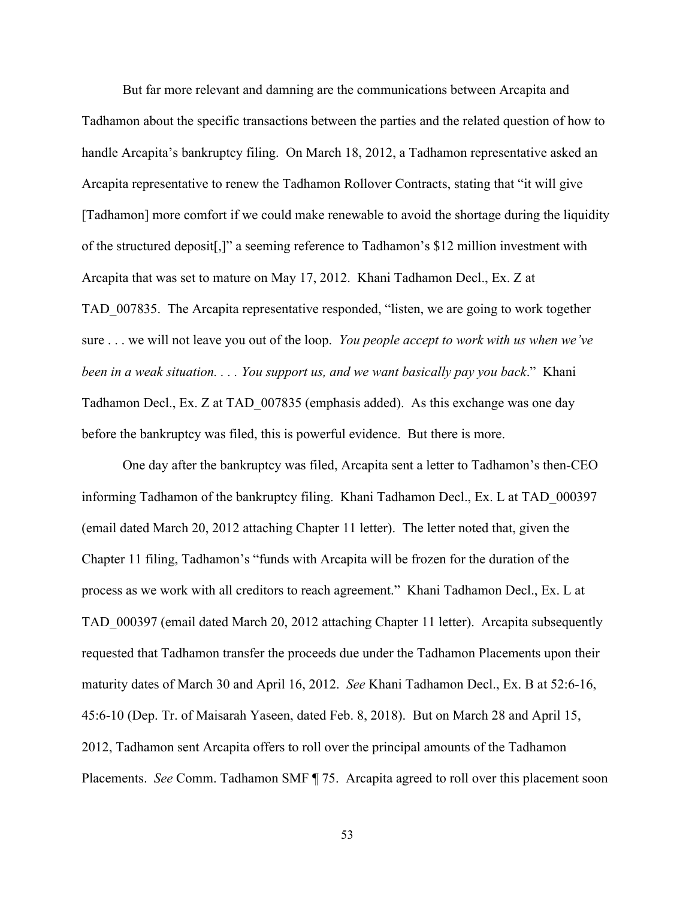But far more relevant and damning are the communications between Arcapita and Tadhamon about the specific transactions between the parties and the related question of how to handle Arcapita's bankruptcy filing. On March 18, 2012, a Tadhamon representative asked an Arcapita representative to renew the Tadhamon Rollover Contracts, stating that "it will give [Tadhamon] more comfort if we could make renewable to avoid the shortage during the liquidity of the structured deposit[,]" a seeming reference to Tadhamon's \$12 million investment with Arcapita that was set to mature on May 17, 2012. Khani Tadhamon Decl., Ex. Z at TAD\_007835. The Arcapita representative responded, "listen, we are going to work together sure . . . we will not leave you out of the loop. *You people accept to work with us when we've been in a weak situation. . . . You support us, and we want basically pay you back*." Khani Tadhamon Decl., Ex. Z at TAD\_007835 (emphasis added). As this exchange was one day before the bankruptcy was filed, this is powerful evidence. But there is more.

One day after the bankruptcy was filed, Arcapita sent a letter to Tadhamon's then-CEO informing Tadhamon of the bankruptcy filing. Khani Tadhamon Decl., Ex. L at TAD\_000397 (email dated March 20, 2012 attaching Chapter 11 letter). The letter noted that, given the Chapter 11 filing, Tadhamon's "funds with Arcapita will be frozen for the duration of the process as we work with all creditors to reach agreement." Khani Tadhamon Decl., Ex. L at TAD\_000397 (email dated March 20, 2012 attaching Chapter 11 letter). Arcapita subsequently requested that Tadhamon transfer the proceeds due under the Tadhamon Placements upon their maturity dates of March 30 and April 16, 2012. *See* Khani Tadhamon Decl., Ex. B at 52:6-16, 45:6-10 (Dep. Tr. of Maisarah Yaseen, dated Feb. 8, 2018). But on March 28 and April 15, 2012, Tadhamon sent Arcapita offers to roll over the principal amounts of the Tadhamon Placements. *See* Comm. Tadhamon SMF ¶ 75. Arcapita agreed to roll over this placement soon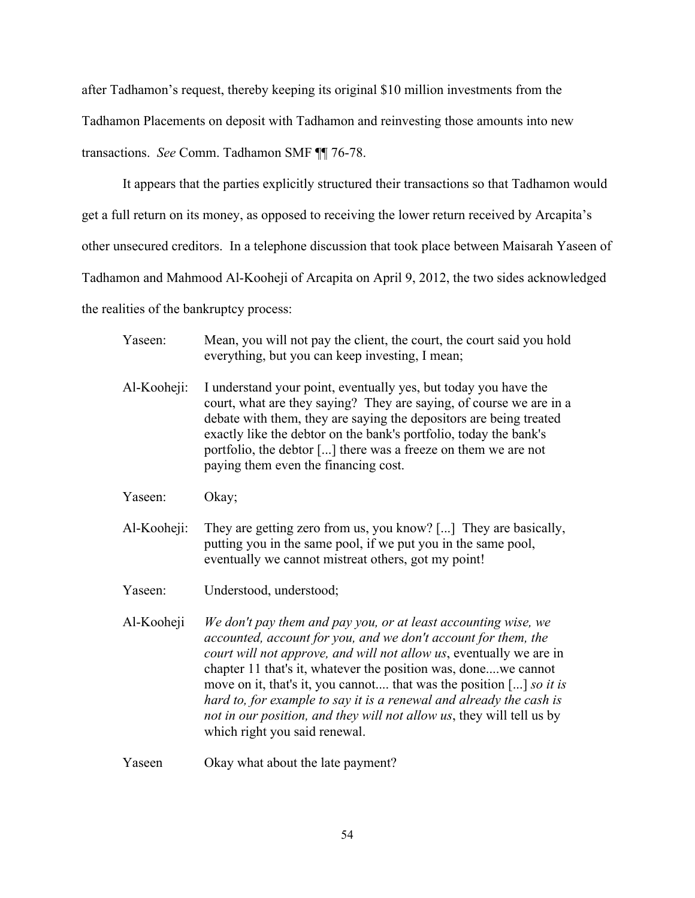after Tadhamon's request, thereby keeping its original \$10 million investments from the Tadhamon Placements on deposit with Tadhamon and reinvesting those amounts into new transactions. *See* Comm. Tadhamon SMF ¶¶ 76-78.

It appears that the parties explicitly structured their transactions so that Tadhamon would get a full return on its money, as opposed to receiving the lower return received by Arcapita's other unsecured creditors. In a telephone discussion that took place between Maisarah Yaseen of Tadhamon and Mahmood Al-Kooheji of Arcapita on April 9, 2012, the two sides acknowledged the realities of the bankruptcy process:

- Yaseen: Mean, you will not pay the client, the court, the court said you hold everything, but you can keep investing, I mean; Al-Kooheji: I understand your point, eventually yes, but today you have the court, what are they saying? They are saying, of course we are in a debate with them, they are saying the depositors are being treated exactly like the debtor on the bank's portfolio, today the bank's portfolio, the debtor [...] there was a freeze on them we are not paying them even the financing cost. Yaseen: Okay; Al-Kooheji: They are getting zero from us, you know? [...] They are basically, putting you in the same pool, if we put you in the same pool, eventually we cannot mistreat others, got my point! Yaseen: Understood, understood; Al-Kooheji *We don't pay them and pay you, or at least accounting wise, we accounted, account for you, and we don't account for them, the court will not approve, and will not allow us*, eventually we are in chapter 11 that's it, whatever the position was, done....we cannot move on it, that's it, you cannot.... that was the position [...] *so it is hard to, for example to say it is a renewal and already the cash is not in our position, and they will not allow us*, they will tell us by which right you said renewal.
- Yaseen Okay what about the late payment?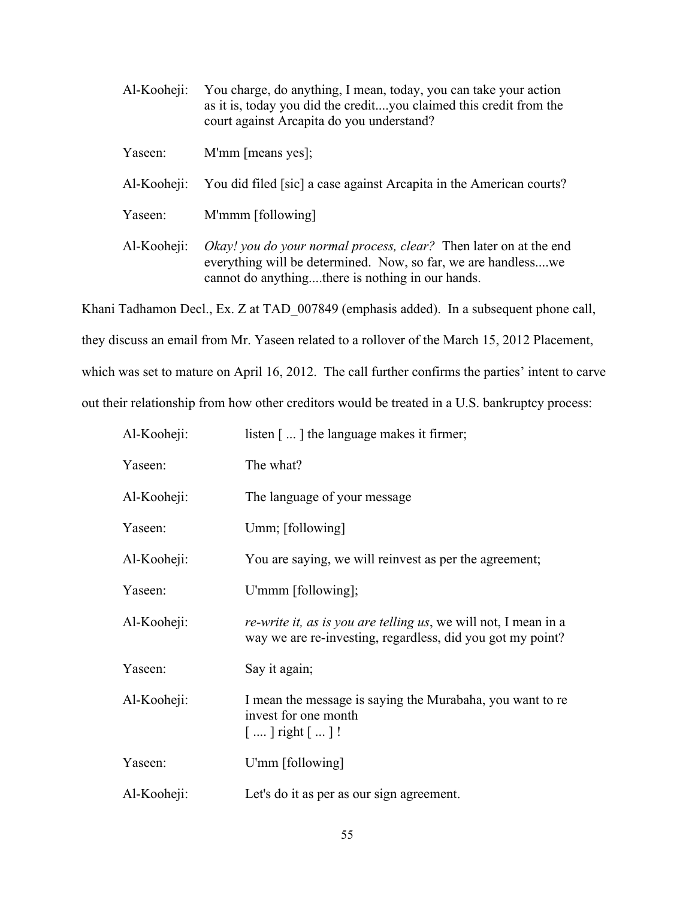| Al-Kooheji: | You charge, do anything, I mean, today, you can take your action<br>as it is, today you did the credityou claimed this credit from the<br>court against Arcapita do you understand?    |
|-------------|----------------------------------------------------------------------------------------------------------------------------------------------------------------------------------------|
| Yaseen:     | M'mm [means yes];                                                                                                                                                                      |
| Al-Kooheji: | You did filed [sic] a case against Arcapita in the American courts?                                                                                                                    |
| Yaseen:     | M'mmm [following]                                                                                                                                                                      |
| Al-Kooheji: | Okay! you do your normal process, clear? Then later on at the end<br>everything will be determined. Now, so far, we are handlesswe<br>cannot do anythingthere is nothing in our hands. |

Khani Tadhamon Decl., Ex. Z at TAD\_007849 (emphasis added). In a subsequent phone call,

they discuss an email from Mr. Yaseen related to a rollover of the March 15, 2012 Placement,

which was set to mature on April 16, 2012. The call further confirms the parties' intent to carve

out their relationship from how other creditors would be treated in a U.S. bankruptcy process:

| Al-Kooheji: | listen $\lceil \dots \rceil$ the language makes it firmer;                                                                    |
|-------------|-------------------------------------------------------------------------------------------------------------------------------|
| Yaseen:     | The what?                                                                                                                     |
| Al-Kooheji: | The language of your message                                                                                                  |
| Yaseen:     | Umm; [following]                                                                                                              |
| Al-Kooheji: | You are saying, we will reinvest as per the agreement;                                                                        |
| Yaseen:     | U'mmm [following];                                                                                                            |
| Al-Kooheji: | re-write it, as is you are telling us, we will not, I mean in a<br>way we are re-investing, regardless, did you got my point? |
| Yaseen:     | Say it again;                                                                                                                 |
| Al-Kooheji: | I mean the message is saying the Murabaha, you want to re<br>invest for one month<br>$[]$ right $[]!$                         |
| Yaseen:     | U'mm [following]                                                                                                              |
| Al-Kooheji: | Let's do it as per as our sign agreement.                                                                                     |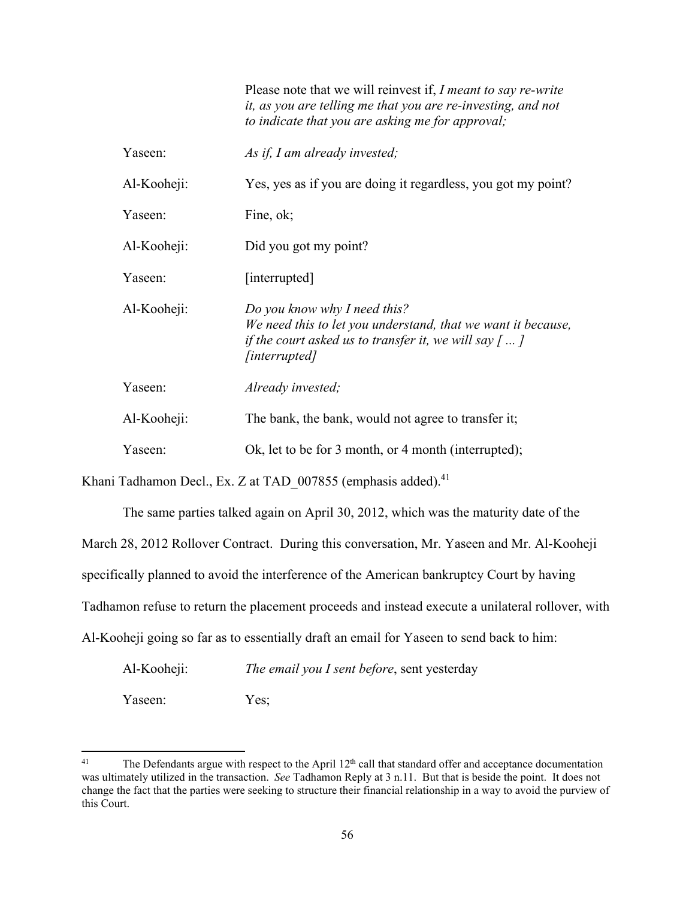|             | Please note that we will reinvest if, I meant to say re-write<br>it, as you are telling me that you are re-investing, and not<br>to indicate that you are asking me for approval;   |
|-------------|-------------------------------------------------------------------------------------------------------------------------------------------------------------------------------------|
| Yaseen:     | As if, I am already invested;                                                                                                                                                       |
| Al-Kooheji: | Yes, yes as if you are doing it regardless, you got my point?                                                                                                                       |
| Yaseen:     | Fine, ok;                                                                                                                                                                           |
| Al-Kooheji: | Did you got my point?                                                                                                                                                               |
| Yaseen:     | [interrupted]                                                                                                                                                                       |
| Al-Kooheji: | Do you know why I need this?<br>We need this to let you understand, that we want it because,<br>if the court asked us to transfer it, we will say $\lceil  \rceil$<br>[interrupted] |
| Yaseen:     | Already invested;                                                                                                                                                                   |
| Al-Kooheji: | The bank, the bank, would not agree to transfer it;                                                                                                                                 |
| Yaseen:     | Ok, let to be for 3 month, or 4 month (interrupted);                                                                                                                                |

Khani Tadhamon Decl., Ex. Z at TAD 007855 (emphasis added).<sup>41</sup>

The same parties talked again on April 30, 2012, which was the maturity date of the March 28, 2012 Rollover Contract. During this conversation, Mr. Yaseen and Mr. Al-Kooheji specifically planned to avoid the interference of the American bankruptcy Court by having Tadhamon refuse to return the placement proceeds and instead execute a unilateral rollover, with Al-Kooheji going so far as to essentially draft an email for Yaseen to send back to him:

Al-Kooheji: *The email you I sent before*, sent yesterday Yaseen: Yes;

<sup>&</sup>lt;sup>41</sup> The Defendants argue with respect to the April 12<sup>th</sup> call that standard offer and acceptance documentation was ultimately utilized in the transaction. *See* Tadhamon Reply at 3 n.11. But that is beside the point. It does not change the fact that the parties were seeking to structure their financial relationship in a way to avoid the purview of this Court.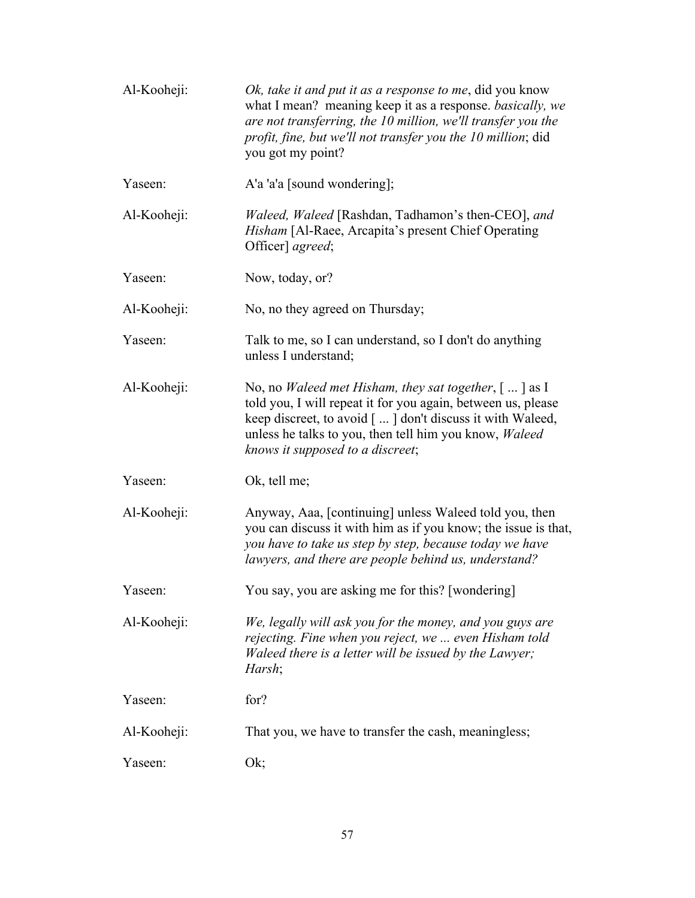| Al-Kooheji: | Ok, take it and put it as a response to me, did you know<br>what I mean? meaning keep it as a response. basically, we<br>are not transferring, the 10 million, we'll transfer you the<br>profit, fine, but we'll not transfer you the 10 million; did<br>you got my point?                                       |
|-------------|------------------------------------------------------------------------------------------------------------------------------------------------------------------------------------------------------------------------------------------------------------------------------------------------------------------|
| Yaseen:     | A'a 'a'a [sound wondering];                                                                                                                                                                                                                                                                                      |
| Al-Kooheji: | Waleed, Waleed [Rashdan, Tadhamon's then-CEO], and<br><i>Hisham</i> [Al-Raee, Arcapita's present Chief Operating<br>Officer] agreed;                                                                                                                                                                             |
| Yaseen:     | Now, today, or?                                                                                                                                                                                                                                                                                                  |
| Al-Kooheji: | No, no they agreed on Thursday;                                                                                                                                                                                                                                                                                  |
| Yaseen:     | Talk to me, so I can understand, so I don't do anything<br>unless I understand;                                                                                                                                                                                                                                  |
| Al-Kooheji: | No, no <i>Waleed met Hisham, they sat together</i> , $\lceil \dots \rceil$ as I<br>told you, I will repeat it for you again, between us, please<br>keep discreet, to avoid [] don't discuss it with Waleed,<br>unless he talks to you, then tell him you know, <i>Waleed</i><br>knows it supposed to a discreet; |
| Yaseen:     | Ok, tell me;                                                                                                                                                                                                                                                                                                     |
| Al-Kooheji: | Anyway, Aaa, [continuing] unless Waleed told you, then<br>you can discuss it with him as if you know; the issue is that,<br>you have to take us step by step, because today we have<br>lawyers, and there are people behind us, understand?                                                                      |
| Yaseen:     | You say, you are asking me for this? [wondering]                                                                                                                                                                                                                                                                 |
| Al-Kooheji: | We, legally will ask you for the money, and you guys are<br>rejecting. Fine when you reject, we  even Hisham told<br>Waleed there is a letter will be issued by the Lawyer;<br>Harsh;                                                                                                                            |
| Yaseen:     | for?                                                                                                                                                                                                                                                                                                             |
| Al-Kooheji: | That you, we have to transfer the cash, meaningless;                                                                                                                                                                                                                                                             |
| Yaseen:     | Ok;                                                                                                                                                                                                                                                                                                              |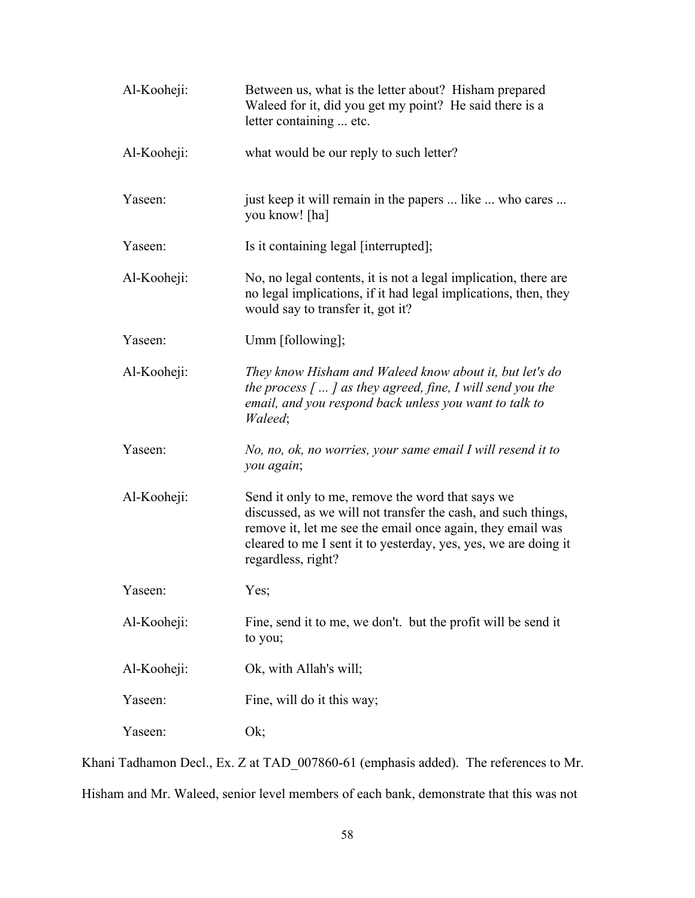| Al-Kooheji: | Between us, what is the letter about? Hisham prepared<br>Waleed for it, did you get my point? He said there is a<br>letter containing  etc.                                                                                                                              |
|-------------|--------------------------------------------------------------------------------------------------------------------------------------------------------------------------------------------------------------------------------------------------------------------------|
| Al-Kooheji: | what would be our reply to such letter?                                                                                                                                                                                                                                  |
| Yaseen:     | just keep it will remain in the papers  like  who cares<br>you know! [ha]                                                                                                                                                                                                |
| Yaseen:     | Is it containing legal [interrupted];                                                                                                                                                                                                                                    |
| Al-Kooheji: | No, no legal contents, it is not a legal implication, there are<br>no legal implications, if it had legal implications, then, they<br>would say to transfer it, got it?                                                                                                  |
| Yaseen:     | Umm [following];                                                                                                                                                                                                                                                         |
| Al-Kooheji: | They know Hisham and Waleed know about it, but let's do<br>the process $\lceil \dots \rceil$ as they agreed, fine, I will send you the<br>email, and you respond back unless you want to talk to<br>Waleed;                                                              |
| Yaseen:     | No, no, ok, no worries, your same email I will resend it to<br>you again;                                                                                                                                                                                                |
| Al-Kooheji: | Send it only to me, remove the word that says we<br>discussed, as we will not transfer the cash, and such things,<br>remove it, let me see the email once again, they email was<br>cleared to me I sent it to yesterday, yes, yes, we are doing it<br>regardless, right? |
| Yaseen:     | Yes;                                                                                                                                                                                                                                                                     |
| Al-Kooheji: | Fine, send it to me, we don't. but the profit will be send it<br>to you;                                                                                                                                                                                                 |
| Al-Kooheji: | Ok, with Allah's will;                                                                                                                                                                                                                                                   |
| Yaseen:     | Fine, will do it this way;                                                                                                                                                                                                                                               |
| Yaseen:     | Ok;                                                                                                                                                                                                                                                                      |

Khani Tadhamon Decl., Ex. Z at TAD\_007860-61 (emphasis added). The references to Mr. Hisham and Mr. Waleed, senior level members of each bank, demonstrate that this was not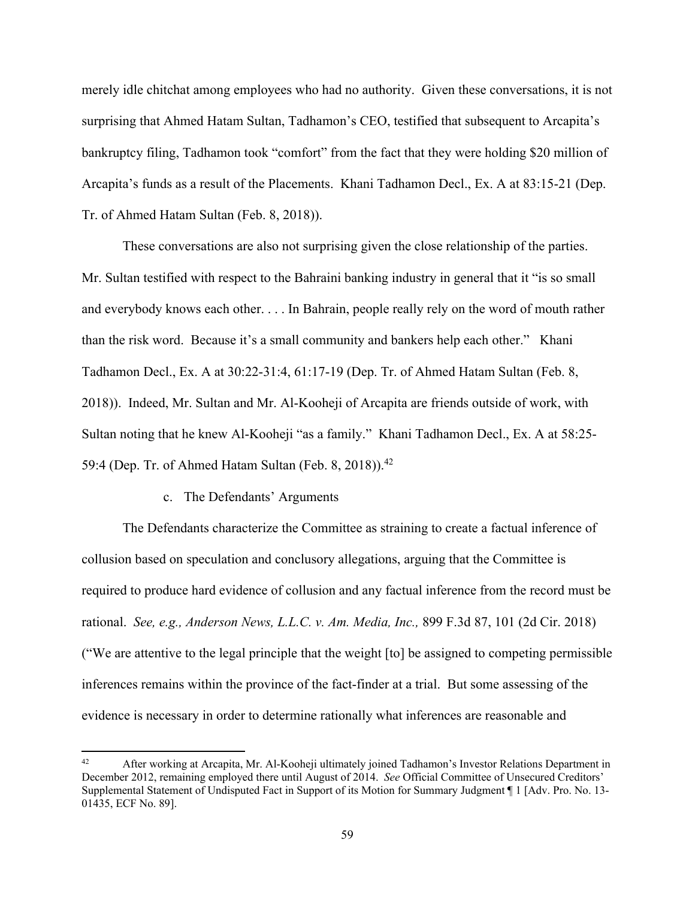merely idle chitchat among employees who had no authority. Given these conversations, it is not surprising that Ahmed Hatam Sultan, Tadhamon's CEO, testified that subsequent to Arcapita's bankruptcy filing, Tadhamon took "comfort" from the fact that they were holding \$20 million of Arcapita's funds as a result of the Placements. Khani Tadhamon Decl., Ex. A at 83:15-21 (Dep. Tr. of Ahmed Hatam Sultan (Feb. 8, 2018)).

These conversations are also not surprising given the close relationship of the parties. Mr. Sultan testified with respect to the Bahraini banking industry in general that it "is so small and everybody knows each other. . . . In Bahrain, people really rely on the word of mouth rather than the risk word. Because it's a small community and bankers help each other." Khani Tadhamon Decl., Ex. A at 30:22-31:4, 61:17-19 (Dep. Tr. of Ahmed Hatam Sultan (Feb. 8, 2018)). Indeed, Mr. Sultan and Mr. Al-Kooheji of Arcapita are friends outside of work, with Sultan noting that he knew Al-Kooheji "as a family." Khani Tadhamon Decl., Ex. A at 58:25- 59:4 (Dep. Tr. of Ahmed Hatam Sultan (Feb. 8, 2018)).<sup>42</sup>

## c. The Defendants' Arguments

 The Defendants characterize the Committee as straining to create a factual inference of collusion based on speculation and conclusory allegations, arguing that the Committee is required to produce hard evidence of collusion and any factual inference from the record must be rational. *See, e.g., Anderson News, L.L.C. v. Am. Media, Inc.,* 899 F.3d 87, 101 (2d Cir. 2018) ("We are attentive to the legal principle that the weight [to] be assigned to competing permissible inferences remains within the province of the fact-finder at a trial. But some assessing of the evidence is necessary in order to determine rationally what inferences are reasonable and

After working at Arcapita, Mr. Al-Kooheji ultimately joined Tadhamon's Investor Relations Department in December 2012, remaining employed there until August of 2014. *See* Official Committee of Unsecured Creditors' Supplemental Statement of Undisputed Fact in Support of its Motion for Summary Judgment ¶ 1 [Adv. Pro. No. 13- 01435, ECF No. 89].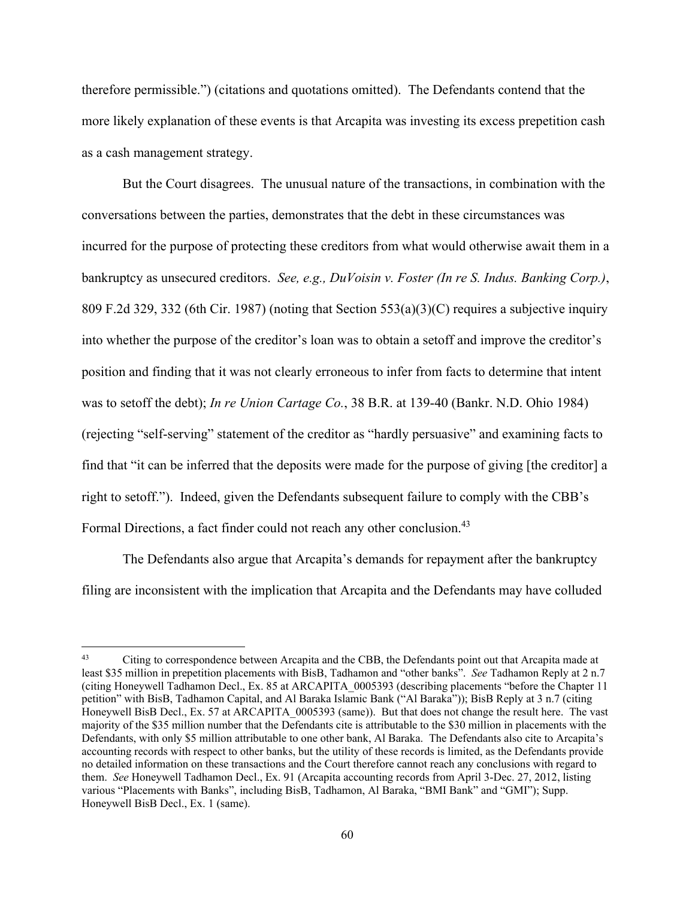therefore permissible.") (citations and quotations omitted). The Defendants contend that the more likely explanation of these events is that Arcapita was investing its excess prepetition cash as a cash management strategy.

But the Court disagrees. The unusual nature of the transactions, in combination with the conversations between the parties, demonstrates that the debt in these circumstances was incurred for the purpose of protecting these creditors from what would otherwise await them in a bankruptcy as unsecured creditors. *See, e.g., DuVoisin v. Foster (In re S. Indus. Banking Corp.)*, 809 F.2d 329, 332 (6th Cir. 1987) (noting that Section 553(a)(3)(C) requires a subjective inquiry into whether the purpose of the creditor's loan was to obtain a setoff and improve the creditor's position and finding that it was not clearly erroneous to infer from facts to determine that intent was to setoff the debt); *In re Union Cartage Co.*, 38 B.R. at 139-40 (Bankr. N.D. Ohio 1984) (rejecting "self-serving" statement of the creditor as "hardly persuasive" and examining facts to find that "it can be inferred that the deposits were made for the purpose of giving [the creditor] a right to setoff."). Indeed, given the Defendants subsequent failure to comply with the CBB's Formal Directions, a fact finder could not reach any other conclusion.<sup>43</sup>

The Defendants also argue that Arcapita's demands for repayment after the bankruptcy filing are inconsistent with the implication that Arcapita and the Defendants may have colluded

<sup>&</sup>lt;sup>43</sup> Citing to correspondence between Arcapita and the CBB, the Defendants point out that Arcapita made at least \$35 million in prepetition placements with BisB, Tadhamon and "other banks". *See* Tadhamon Reply at 2 n.7 (citing Honeywell Tadhamon Decl., Ex. 85 at ARCAPITA\_0005393 (describing placements "before the Chapter 11 petition" with BisB, Tadhamon Capital, and Al Baraka Islamic Bank ("Al Baraka")); BisB Reply at 3 n.7 (citing Honeywell BisB Decl., Ex. 57 at ARCAPITA 0005393 (same)). But that does not change the result here. The vast majority of the \$35 million number that the Defendants cite is attributable to the \$30 million in placements with the Defendants, with only \$5 million attributable to one other bank, Al Baraka. The Defendants also cite to Arcapita's accounting records with respect to other banks, but the utility of these records is limited, as the Defendants provide no detailed information on these transactions and the Court therefore cannot reach any conclusions with regard to them. *See* Honeywell Tadhamon Decl., Ex. 91 (Arcapita accounting records from April 3-Dec. 27, 2012, listing various "Placements with Banks", including BisB, Tadhamon, Al Baraka, "BMI Bank" and "GMI"); Supp. Honeywell BisB Decl., Ex. 1 (same).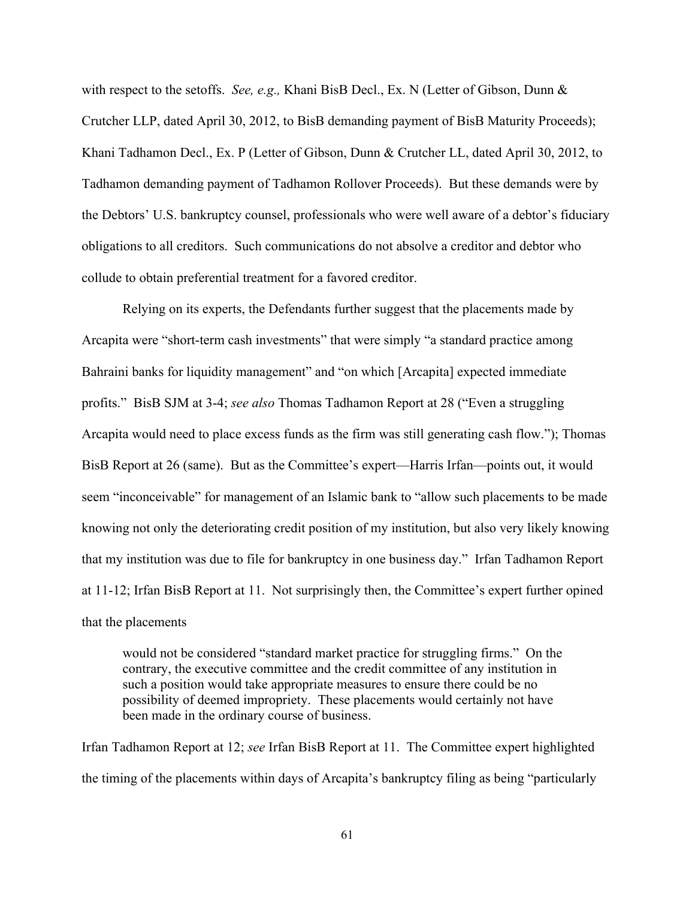with respect to the setoffs. *See, e.g.,* Khani BisB Decl., Ex. N (Letter of Gibson, Dunn & Crutcher LLP, dated April 30, 2012, to BisB demanding payment of BisB Maturity Proceeds); Khani Tadhamon Decl., Ex. P (Letter of Gibson, Dunn & Crutcher LL, dated April 30, 2012, to Tadhamon demanding payment of Tadhamon Rollover Proceeds). But these demands were by the Debtors' U.S. bankruptcy counsel, professionals who were well aware of a debtor's fiduciary obligations to all creditors. Such communications do not absolve a creditor and debtor who collude to obtain preferential treatment for a favored creditor.

 Relying on its experts, the Defendants further suggest that the placements made by Arcapita were "short-term cash investments" that were simply "a standard practice among Bahraini banks for liquidity management" and "on which [Arcapita] expected immediate profits." BisB SJM at 3-4; *see also* Thomas Tadhamon Report at 28 ("Even a struggling Arcapita would need to place excess funds as the firm was still generating cash flow."); Thomas BisB Report at 26 (same). But as the Committee's expert—Harris Irfan—points out, it would seem "inconceivable" for management of an Islamic bank to "allow such placements to be made knowing not only the deteriorating credit position of my institution, but also very likely knowing that my institution was due to file for bankruptcy in one business day." Irfan Tadhamon Report at 11-12; Irfan BisB Report at 11. Not surprisingly then, the Committee's expert further opined that the placements

would not be considered "standard market practice for struggling firms." On the contrary, the executive committee and the credit committee of any institution in such a position would take appropriate measures to ensure there could be no possibility of deemed impropriety. These placements would certainly not have been made in the ordinary course of business.

Irfan Tadhamon Report at 12; *see* Irfan BisB Report at 11. The Committee expert highlighted the timing of the placements within days of Arcapita's bankruptcy filing as being "particularly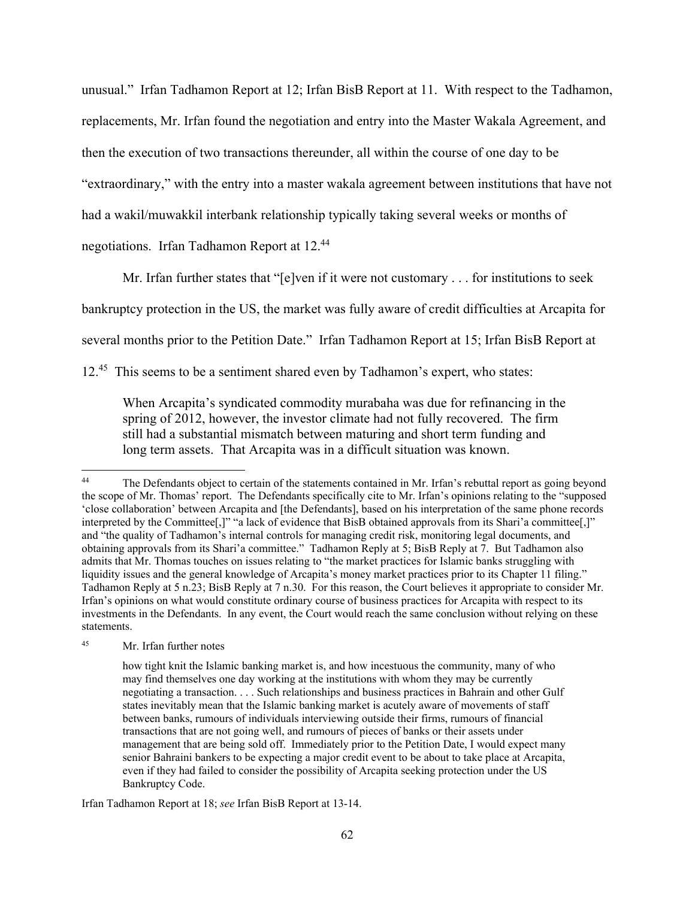unusual." Irfan Tadhamon Report at 12; Irfan BisB Report at 11. With respect to the Tadhamon, replacements, Mr. Irfan found the negotiation and entry into the Master Wakala Agreement, and then the execution of two transactions thereunder, all within the course of one day to be "extraordinary," with the entry into a master wakala agreement between institutions that have not had a wakil/muwakkil interbank relationship typically taking several weeks or months of negotiations. Irfan Tadhamon Report at 12.44

Mr. Irfan further states that "[e]ven if it were not customary . . . for institutions to seek

bankruptcy protection in the US, the market was fully aware of credit difficulties at Arcapita for

several months prior to the Petition Date." Irfan Tadhamon Report at 15; Irfan BisB Report at

12.45 This seems to be a sentiment shared even by Tadhamon's expert, who states:

When Arcapita's syndicated commodity murabaha was due for refinancing in the spring of 2012, however, the investor climate had not fully recovered. The firm still had a substantial mismatch between maturing and short term funding and long term assets. That Arcapita was in a difficult situation was known.

<sup>&</sup>lt;sup>44</sup> The Defendants object to certain of the statements contained in Mr. Irfan's rebuttal report as going beyond the scope of Mr. Thomas' report. The Defendants specifically cite to Mr. Irfan's opinions relating to the "supposed 'close collaboration' between Arcapita and [the Defendants], based on his interpretation of the same phone records interpreted by the Committee[,]" "a lack of evidence that BisB obtained approvals from its Shari'a committee[,]" and "the quality of Tadhamon's internal controls for managing credit risk, monitoring legal documents, and obtaining approvals from its Shari'a committee." Tadhamon Reply at 5; BisB Reply at 7. But Tadhamon also admits that Mr. Thomas touches on issues relating to "the market practices for Islamic banks struggling with liquidity issues and the general knowledge of Arcapita's money market practices prior to its Chapter 11 filing." Tadhamon Reply at 5 n.23; BisB Reply at 7 n.30. For this reason, the Court believes it appropriate to consider Mr. Irfan's opinions on what would constitute ordinary course of business practices for Arcapita with respect to its investments in the Defendants. In any event, the Court would reach the same conclusion without relying on these statements.

<sup>45</sup> Mr. Irfan further notes

how tight knit the Islamic banking market is, and how incestuous the community, many of who may find themselves one day working at the institutions with whom they may be currently negotiating a transaction. . . . Such relationships and business practices in Bahrain and other Gulf states inevitably mean that the Islamic banking market is acutely aware of movements of staff between banks, rumours of individuals interviewing outside their firms, rumours of financial transactions that are not going well, and rumours of pieces of banks or their assets under management that are being sold off. Immediately prior to the Petition Date, I would expect many senior Bahraini bankers to be expecting a major credit event to be about to take place at Arcapita, even if they had failed to consider the possibility of Arcapita seeking protection under the US Bankruptcy Code.

Irfan Tadhamon Report at 18; *see* Irfan BisB Report at 13-14.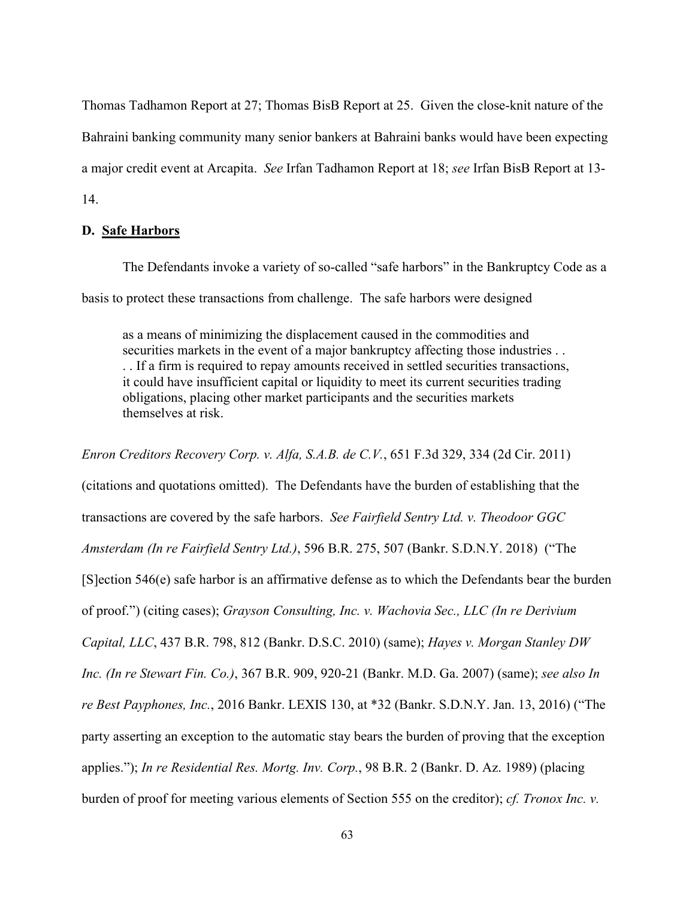Thomas Tadhamon Report at 27; Thomas BisB Report at 25. Given the close-knit nature of the Bahraini banking community many senior bankers at Bahraini banks would have been expecting a major credit event at Arcapita. *See* Irfan Tadhamon Report at 18; *see* Irfan BisB Report at 13- 14.

# **D. Safe Harbors**

 The Defendants invoke a variety of so-called "safe harbors" in the Bankruptcy Code as a basis to protect these transactions from challenge. The safe harbors were designed

as a means of minimizing the displacement caused in the commodities and securities markets in the event of a major bankruptcy affecting those industries . . . . If a firm is required to repay amounts received in settled securities transactions, it could have insufficient capital or liquidity to meet its current securities trading obligations, placing other market participants and the securities markets themselves at risk.

*Enron Creditors Recovery Corp. v. Alfa, S.A.B. de C.V.*, 651 F.3d 329, 334 (2d Cir. 2011) (citations and quotations omitted). The Defendants have the burden of establishing that the transactions are covered by the safe harbors. *See Fairfield Sentry Ltd. v. Theodoor GGC Amsterdam (In re Fairfield Sentry Ltd.)*, 596 B.R. 275, 507 (Bankr. S.D.N.Y. 2018) ("The [S]ection 546(e) safe harbor is an affirmative defense as to which the Defendants bear the burden of proof.") (citing cases); *Grayson Consulting, Inc. v. Wachovia Sec., LLC (In re Derivium Capital, LLC*, 437 B.R. 798, 812 (Bankr. D.S.C. 2010) (same); *Hayes v. Morgan Stanley DW Inc. (In re Stewart Fin. Co.)*, 367 B.R. 909, 920-21 (Bankr. M.D. Ga. 2007) (same); *see also In re Best Payphones, Inc.*, 2016 Bankr. LEXIS 130, at \*32 (Bankr. S.D.N.Y. Jan. 13, 2016) ("The party asserting an exception to the automatic stay bears the burden of proving that the exception applies."); *In re Residential Res. Mortg. Inv. Corp.*, 98 B.R. 2 (Bankr. D. Az. 1989) (placing burden of proof for meeting various elements of Section 555 on the creditor); *cf. Tronox Inc. v.*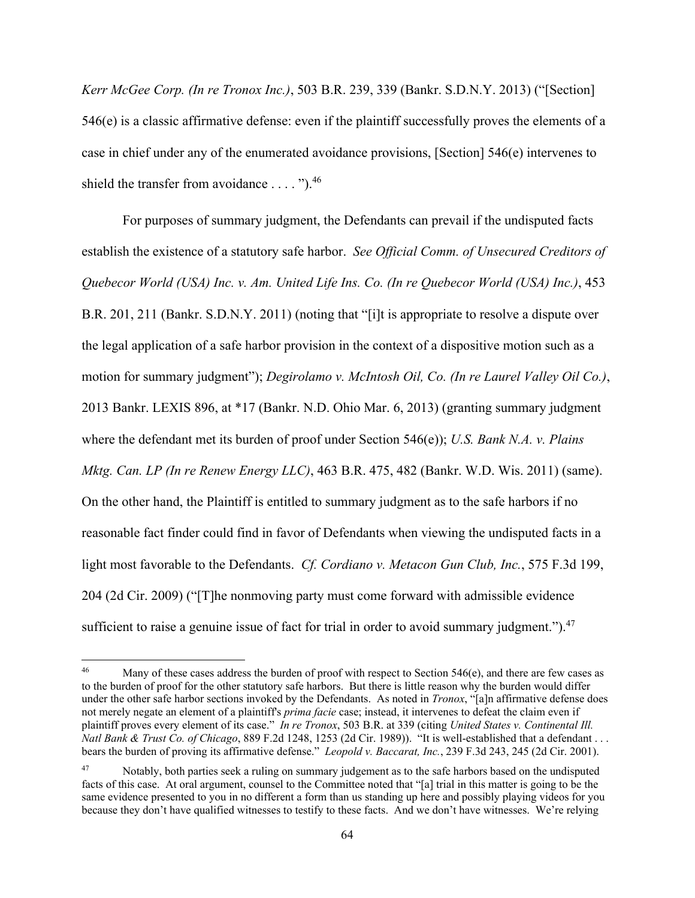*Kerr McGee Corp. (In re Tronox Inc.)*, 503 B.R. 239, 339 (Bankr. S.D.N.Y. 2013) ("[Section] 546(e) is a classic affirmative defense: even if the plaintiff successfully proves the elements of a case in chief under any of the enumerated avoidance provisions, [Section] 546(e) intervenes to shield the transfer from avoidance  $\dots$ .").<sup>46</sup>

 For purposes of summary judgment, the Defendants can prevail if the undisputed facts establish the existence of a statutory safe harbor. *See Official Comm. of Unsecured Creditors of Quebecor World (USA) Inc. v. Am. United Life Ins. Co. (In re Quebecor World (USA) Inc.)*, 453 B.R. 201, 211 (Bankr. S.D.N.Y. 2011) (noting that "[i]t is appropriate to resolve a dispute over the legal application of a safe harbor provision in the context of a dispositive motion such as a motion for summary judgment"); *Degirolamo v. McIntosh Oil, Co. (In re Laurel Valley Oil Co.)*, 2013 Bankr. LEXIS 896, at \*17 (Bankr. N.D. Ohio Mar. 6, 2013) (granting summary judgment where the defendant met its burden of proof under Section 546(e)); *U.S. Bank N.A. v. Plains Mktg. Can. LP (In re Renew Energy LLC)*, 463 B.R. 475, 482 (Bankr. W.D. Wis. 2011) (same). On the other hand, the Plaintiff is entitled to summary judgment as to the safe harbors if no reasonable fact finder could find in favor of Defendants when viewing the undisputed facts in a light most favorable to the Defendants. *Cf. Cordiano v. Metacon Gun Club, Inc.*, 575 F.3d 199, 204 (2d Cir. 2009) ("[T]he nonmoving party must come forward with admissible evidence sufficient to raise a genuine issue of fact for trial in order to avoid summary judgment."). $47$ 

<sup>&</sup>lt;sup>46</sup> Many of these cases address the burden of proof with respect to Section 546(e), and there are few cases as to the burden of proof for the other statutory safe harbors. But there is little reason why the burden would differ under the other safe harbor sections invoked by the Defendants. As noted in *Tronox*, "[a]n affirmative defense does not merely negate an element of a plaintiff's *prima facie* case; instead, it intervenes to defeat the claim even if plaintiff proves every element of its case." *In re Tronox*, 503 B.R. at 339 (citing *United States v. Continental Ill. Natl Bank & Trust Co. of Chicago*, 889 F.2d 1248, 1253 (2d Cir. 1989)). "It is well-established that a defendant . . . bears the burden of proving its affirmative defense." *Leopold v. Baccarat, Inc.*, 239 F.3d 243, 245 (2d Cir. 2001).

<sup>&</sup>lt;sup>47</sup> Notably, both parties seek a ruling on summary judgement as to the safe harbors based on the undisputed facts of this case. At oral argument, counsel to the Committee noted that "[a] trial in this matter is going to be the same evidence presented to you in no different a form than us standing up here and possibly playing videos for you because they don't have qualified witnesses to testify to these facts. And we don't have witnesses. We're relying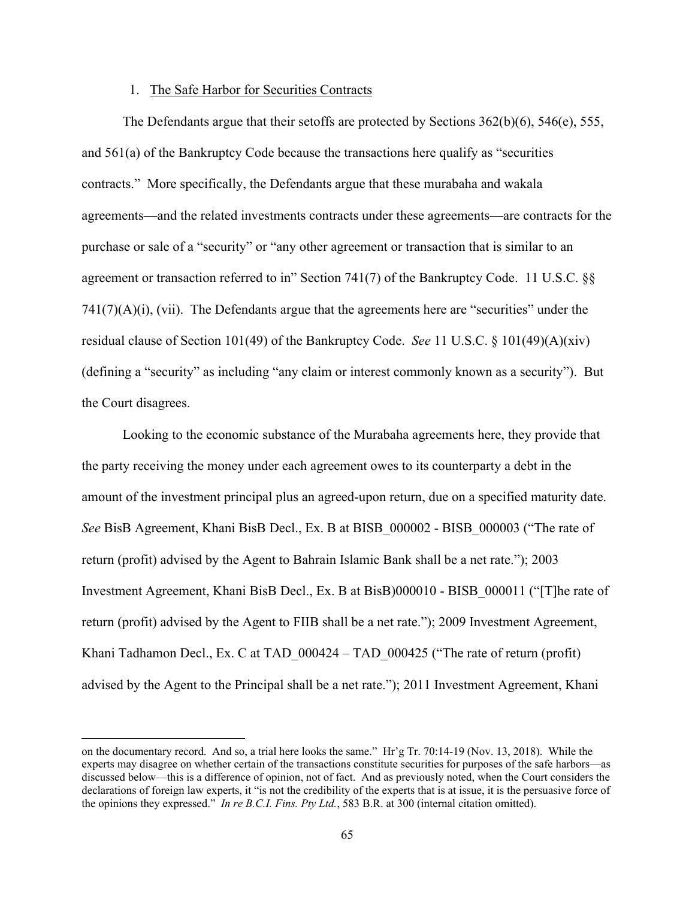## 1. The Safe Harbor for Securities Contracts

The Defendants argue that their setoffs are protected by Sections  $362(b)(6)$ ,  $546(e)$ ,  $555$ , and 561(a) of the Bankruptcy Code because the transactions here qualify as "securities contracts." More specifically, the Defendants argue that these murabaha and wakala agreements—and the related investments contracts under these agreements—are contracts for the purchase or sale of a "security" or "any other agreement or transaction that is similar to an agreement or transaction referred to in" Section 741(7) of the Bankruptcy Code. 11 U.S.C. §§ 741(7)(A)(i), (vii).The Defendants argue that the agreements here are "securities" under the residual clause of Section 101(49) of the Bankruptcy Code. *See* 11 U.S.C. § 101(49)(A)(xiv) (defining a "security" as including "any claim or interest commonly known as a security"). But the Court disagrees.

Looking to the economic substance of the Murabaha agreements here, they provide that the party receiving the money under each agreement owes to its counterparty a debt in the amount of the investment principal plus an agreed-upon return, due on a specified maturity date. *See* BisB Agreement, Khani BisB Decl., Ex. B at BISB\_000002 - BISB\_000003 ("The rate of return (profit) advised by the Agent to Bahrain Islamic Bank shall be a net rate."); 2003 Investment Agreement, Khani BisB Decl., Ex. B at BisB)000010 - BISB\_000011 ("[T]he rate of return (profit) advised by the Agent to FIIB shall be a net rate."); 2009 Investment Agreement, Khani Tadhamon Decl., Ex. C at TAD\_000424 – TAD\_000425 ("The rate of return (profit) advised by the Agent to the Principal shall be a net rate."); 2011 Investment Agreement, Khani

on the documentary record. And so, a trial here looks the same." Hr'g Tr. 70:14-19 (Nov. 13, 2018). While the experts may disagree on whether certain of the transactions constitute securities for purposes of the safe harbors—as discussed below—this is a difference of opinion, not of fact. And as previously noted, when the Court considers the declarations of foreign law experts, it "is not the credibility of the experts that is at issue, it is the persuasive force of the opinions they expressed." *In re B.C.I. Fins. Pty Ltd.*, 583 B.R. at 300 (internal citation omitted).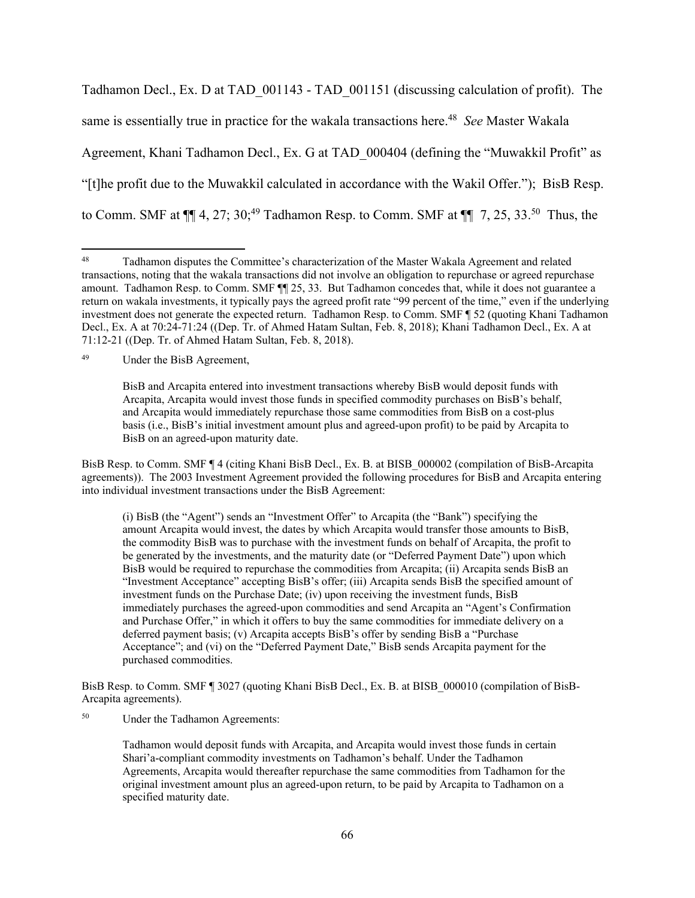Tadhamon Decl., Ex. D at TAD\_001143 - TAD\_001151 (discussing calculation of profit). The same is essentially true in practice for the wakala transactions here.<sup>48</sup> *See* Master Wakala Agreement, Khani Tadhamon Decl., Ex. G at TAD\_000404 (defining the "Muwakkil Profit" as "[t]he profit due to the Muwakkil calculated in accordance with the Wakil Offer."); BisB Resp. to Comm. SMF at  $\P\P$  4, 27; 30;<sup>49</sup> Tadhamon Resp. to Comm. SMF at  $\P\P$  7, 25, 33.<sup>50</sup> Thus, the

49 Under the BisB Agreement,

BisB Resp. to Comm. SMF ¶ 4 (citing Khani BisB Decl., Ex. B. at BISB\_000002 (compilation of BisB-Arcapita agreements)). The 2003 Investment Agreement provided the following procedures for BisB and Arcapita entering into individual investment transactions under the BisB Agreement:

(i) BisB (the "Agent") sends an "Investment Offer" to Arcapita (the "Bank") specifying the amount Arcapita would invest, the dates by which Arcapita would transfer those amounts to BisB, the commodity BisB was to purchase with the investment funds on behalf of Arcapita, the profit to be generated by the investments, and the maturity date (or "Deferred Payment Date") upon which BisB would be required to repurchase the commodities from Arcapita; (ii) Arcapita sends BisB an "Investment Acceptance" accepting BisB's offer; (iii) Arcapita sends BisB the specified amount of investment funds on the Purchase Date; (iv) upon receiving the investment funds, BisB immediately purchases the agreed-upon commodities and send Arcapita an "Agent's Confirmation and Purchase Offer," in which it offers to buy the same commodities for immediate delivery on a deferred payment basis; (v) Arcapita accepts BisB's offer by sending BisB a "Purchase Acceptance"; and (vi) on the "Deferred Payment Date," BisB sends Arcapita payment for the purchased commodities.

BisB Resp. to Comm. SMF ¶ 3027 (quoting Khani BisB Decl., Ex. B. at BISB\_000010 (compilation of BisB-Arcapita agreements).

50 Under the Tadhamon Agreements:

Tadhamon would deposit funds with Arcapita, and Arcapita would invest those funds in certain Shari'a-compliant commodity investments on Tadhamon's behalf. Under the Tadhamon Agreements, Arcapita would thereafter repurchase the same commodities from Tadhamon for the original investment amount plus an agreed-upon return, to be paid by Arcapita to Tadhamon on a specified maturity date.

<sup>48</sup> Tadhamon disputes the Committee's characterization of the Master Wakala Agreement and related transactions, noting that the wakala transactions did not involve an obligation to repurchase or agreed repurchase amount. Tadhamon Resp. to Comm. SMF ¶¶ 25, 33. But Tadhamon concedes that, while it does not guarantee a return on wakala investments, it typically pays the agreed profit rate "99 percent of the time," even if the underlying investment does not generate the expected return. Tadhamon Resp. to Comm. SMF ¶ 52 (quoting Khani Tadhamon Decl., Ex. A at 70:24-71:24 ((Dep. Tr. of Ahmed Hatam Sultan, Feb. 8, 2018); Khani Tadhamon Decl., Ex. A at 71:12-21 ((Dep. Tr. of Ahmed Hatam Sultan, Feb. 8, 2018).

BisB and Arcapita entered into investment transactions whereby BisB would deposit funds with Arcapita, Arcapita would invest those funds in specified commodity purchases on BisB's behalf, and Arcapita would immediately repurchase those same commodities from BisB on a cost-plus basis (i.e., BisB's initial investment amount plus and agreed-upon profit) to be paid by Arcapita to BisB on an agreed-upon maturity date.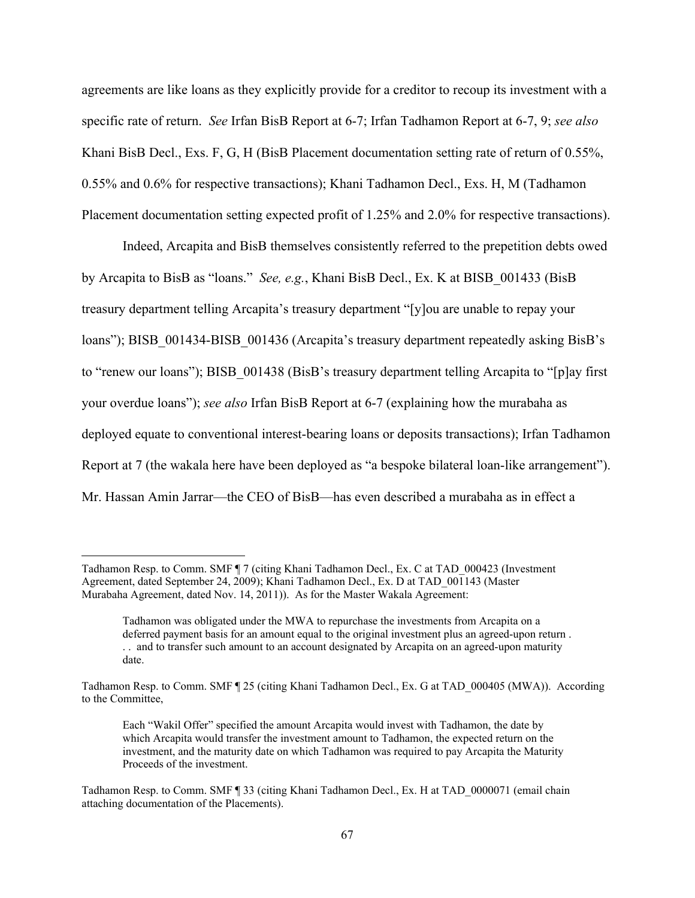agreements are like loans as they explicitly provide for a creditor to recoup its investment with a specific rate of return. *See* Irfan BisB Report at 6-7; Irfan Tadhamon Report at 6-7, 9; *see also* Khani BisB Decl., Exs. F, G, H (BisB Placement documentation setting rate of return of 0.55%, 0.55% and 0.6% for respective transactions); Khani Tadhamon Decl., Exs. H, M (Tadhamon Placement documentation setting expected profit of 1.25% and 2.0% for respective transactions).

Indeed, Arcapita and BisB themselves consistently referred to the prepetition debts owed by Arcapita to BisB as "loans." *See, e.g.*, Khani BisB Decl., Ex. K at BISB\_001433 (BisB treasury department telling Arcapita's treasury department "[y]ou are unable to repay your loans"); BISB 001434-BISB 001436 (Arcapita's treasury department repeatedly asking BisB's to "renew our loans"); BISB\_001438 (BisB's treasury department telling Arcapita to "[p]ay first your overdue loans"); *see also* Irfan BisB Report at 6-7 (explaining how the murabaha as deployed equate to conventional interest-bearing loans or deposits transactions); Irfan Tadhamon Report at 7 (the wakala here have been deployed as "a bespoke bilateral loan-like arrangement"). Mr. Hassan Amin Jarrar—the CEO of BisB—has even described a murabaha as in effect a

Tadhamon Resp. to Comm. SMF ¶ 7 (citing Khani Tadhamon Decl., Ex. C at TAD\_000423 (Investment Agreement, dated September 24, 2009); Khani Tadhamon Decl., Ex. D at TAD\_001143 (Master Murabaha Agreement, dated Nov. 14, 2011)). As for the Master Wakala Agreement:

Tadhamon was obligated under the MWA to repurchase the investments from Arcapita on a deferred payment basis for an amount equal to the original investment plus an agreed-upon return . . . and to transfer such amount to an account designated by Arcapita on an agreed-upon maturity date.

Tadhamon Resp. to Comm. SMF ¶ 25 (citing Khani Tadhamon Decl., Ex. G at TAD\_000405 (MWA)). According to the Committee,

Each "Wakil Offer" specified the amount Arcapita would invest with Tadhamon, the date by which Arcapita would transfer the investment amount to Tadhamon, the expected return on the investment, and the maturity date on which Tadhamon was required to pay Arcapita the Maturity Proceeds of the investment.

Tadhamon Resp. to Comm. SMF ¶ 33 (citing Khani Tadhamon Decl., Ex. H at TAD\_0000071 (email chain attaching documentation of the Placements).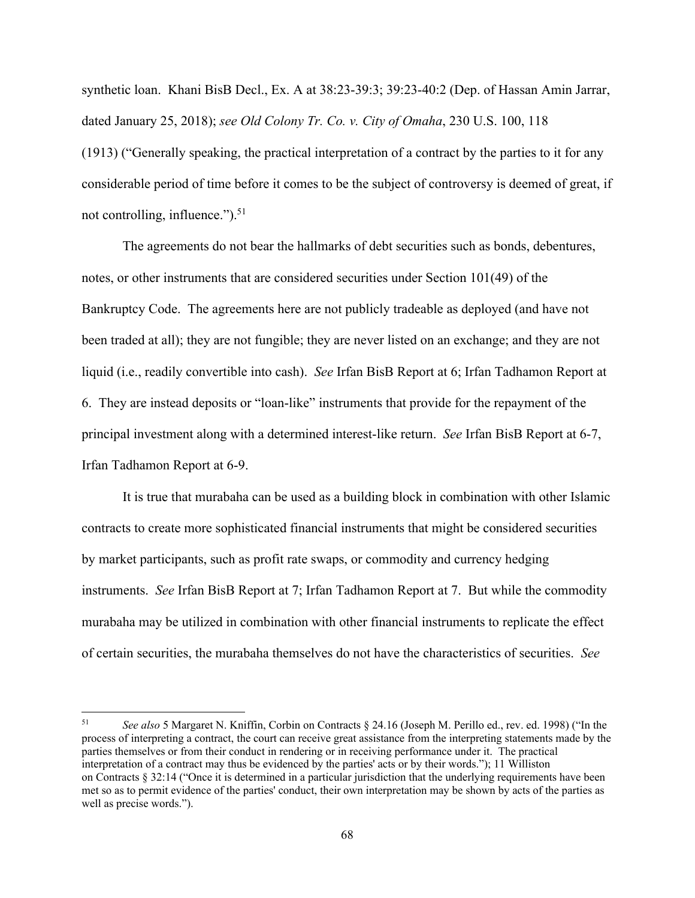synthetic loan. Khani BisB Decl., Ex. A at 38:23-39:3; 39:23-40:2 (Dep. of Hassan Amin Jarrar, dated January 25, 2018); *see Old Colony Tr. Co. v. City of Omaha*, 230 U.S. 100, 118 (1913) ("Generally speaking, the practical interpretation of a contract by the parties to it for any considerable period of time before it comes to be the subject of controversy is deemed of great, if not controlling, influence." $)$ .<sup>51</sup>

The agreements do not bear the hallmarks of debt securities such as bonds, debentures, notes, or other instruments that are considered securities under Section 101(49) of the Bankruptcy Code. The agreements here are not publicly tradeable as deployed (and have not been traded at all); they are not fungible; they are never listed on an exchange; and they are not liquid (i.e., readily convertible into cash). *See* Irfan BisB Report at 6; Irfan Tadhamon Report at 6. They are instead deposits or "loan-like" instruments that provide for the repayment of the principal investment along with a determined interest-like return. *See* Irfan BisB Report at 6-7, Irfan Tadhamon Report at 6-9.

It is true that murabaha can be used as a building block in combination with other Islamic contracts to create more sophisticated financial instruments that might be considered securities by market participants, such as profit rate swaps, or commodity and currency hedging instruments. *See* Irfan BisB Report at 7; Irfan Tadhamon Report at 7. But while the commodity murabaha may be utilized in combination with other financial instruments to replicate the effect of certain securities, the murabaha themselves do not have the characteristics of securities. *See*

<sup>51</sup> *See also* 5 Margaret N. Kniffin, Corbin on Contracts § 24.16 (Joseph M. Perillo ed., rev. ed. 1998) ("In the process of interpreting a contract, the court can receive great assistance from the interpreting statements made by the parties themselves or from their conduct in rendering or in receiving performance under it. The practical interpretation of a contract may thus be evidenced by the parties' acts or by their words."); 11 Williston on Contracts § 32:14 ("Once it is determined in a particular jurisdiction that the underlying requirements have been met so as to permit evidence of the parties' conduct, their own interpretation may be shown by acts of the parties as well as precise words.").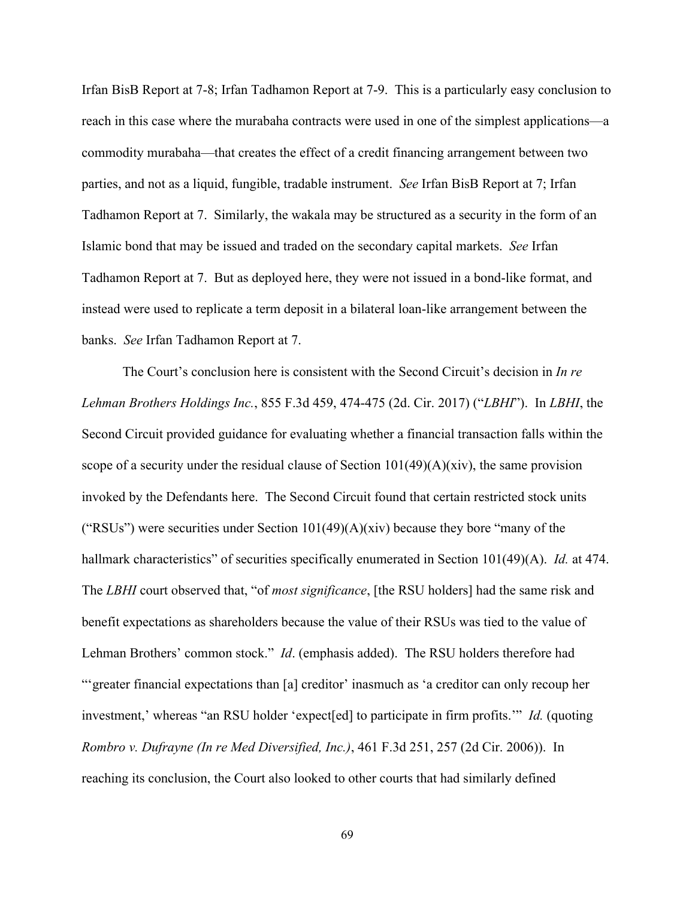Irfan BisB Report at 7-8; Irfan Tadhamon Report at 7-9. This is a particularly easy conclusion to reach in this case where the murabaha contracts were used in one of the simplest applications—a commodity murabaha—that creates the effect of a credit financing arrangement between two parties, and not as a liquid, fungible, tradable instrument. *See* Irfan BisB Report at 7; Irfan Tadhamon Report at 7. Similarly, the wakala may be structured as a security in the form of an Islamic bond that may be issued and traded on the secondary capital markets. *See* Irfan Tadhamon Report at 7. But as deployed here, they were not issued in a bond-like format, and instead were used to replicate a term deposit in a bilateral loan-like arrangement between the banks. *See* Irfan Tadhamon Report at 7.

The Court's conclusion here is consistent with the Second Circuit's decision in *In re Lehman Brothers Holdings Inc.*, 855 F.3d 459, 474-475 (2d. Cir. 2017) ("*LBHI*"). In *LBHI*, the Second Circuit provided guidance for evaluating whether a financial transaction falls within the scope of a security under the residual clause of Section  $101(49)(A)(\dot{x}$  iv), the same provision invoked by the Defendants here. The Second Circuit found that certain restricted stock units ("RSUs") were securities under Section  $101(49)(A)(xiv)$  because they bore "many of the hallmark characteristics" of securities specifically enumerated in Section 101(49)(A). *Id.* at 474. The *LBHI* court observed that, "of *most significance*, [the RSU holders] had the same risk and benefit expectations as shareholders because the value of their RSUs was tied to the value of Lehman Brothers' common stock." *Id*. (emphasis added). The RSU holders therefore had "'greater financial expectations than [a] creditor' inasmuch as 'a creditor can only recoup her investment,' whereas "an RSU holder 'expect[ed] to participate in firm profits.'" *Id.* (quoting *Rombro v. Dufrayne (In re Med Diversified, Inc.)*, 461 F.3d 251, 257 (2d Cir. 2006)). In reaching its conclusion, the Court also looked to other courts that had similarly defined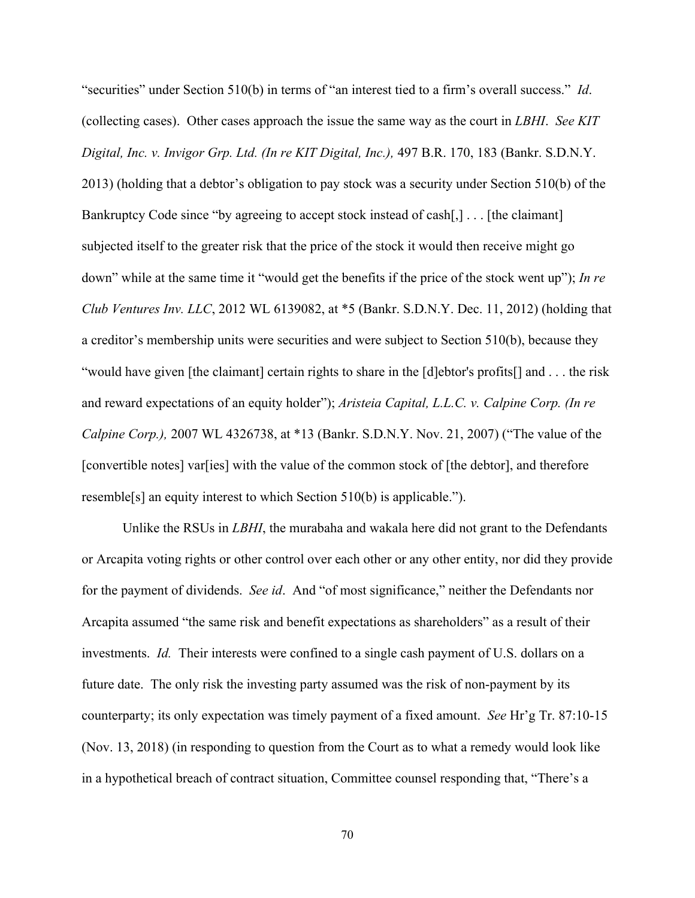"securities" under Section 510(b) in terms of "an interest tied to a firm's overall success." *Id*. (collecting cases). Other cases approach the issue the same way as the court in *LBHI*. *See KIT Digital, Inc. v. Invigor Grp. Ltd. (In re KIT Digital, Inc.),* 497 B.R. 170, 183 (Bankr. S.D.N.Y. 2013) (holding that a debtor's obligation to pay stock was a security under Section 510(b) of the Bankruptcy Code since "by agreeing to accept stock instead of cash[,] . . . [the claimant] subjected itself to the greater risk that the price of the stock it would then receive might go down" while at the same time it "would get the benefits if the price of the stock went up"); *In re Club Ventures Inv. LLC*, 2012 WL 6139082, at \*5 (Bankr. S.D.N.Y. Dec. 11, 2012) (holding that a creditor's membership units were securities and were subject to Section 510(b), because they "would have given [the claimant] certain rights to share in the [d]ebtor's profits[] and . . . the risk and reward expectations of an equity holder"); *Aristeia Capital, L.L.C. v. Calpine Corp. (In re Calpine Corp.),* 2007 WL 4326738, at \*13 (Bankr. S.D.N.Y. Nov. 21, 2007) ("The value of the [convertible notes] var[ies] with the value of the common stock of [the debtor], and therefore resemble[s] an equity interest to which Section 510(b) is applicable.").

Unlike the RSUs in *LBHI*, the murabaha and wakala here did not grant to the Defendants or Arcapita voting rights or other control over each other or any other entity, nor did they provide for the payment of dividends. *See id*. And "of most significance," neither the Defendants nor Arcapita assumed "the same risk and benefit expectations as shareholders" as a result of their investments. *Id.* Their interests were confined to a single cash payment of U.S. dollars on a future date. The only risk the investing party assumed was the risk of non-payment by its counterparty; its only expectation was timely payment of a fixed amount. *See* Hr'g Tr. 87:10-15 (Nov. 13, 2018) (in responding to question from the Court as to what a remedy would look like in a hypothetical breach of contract situation, Committee counsel responding that, "There's a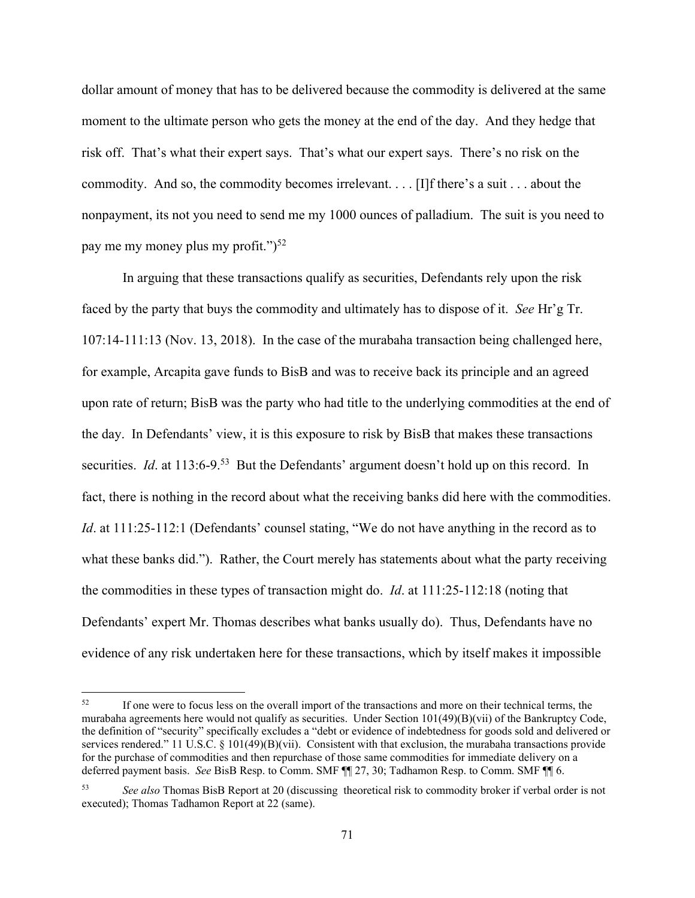dollar amount of money that has to be delivered because the commodity is delivered at the same moment to the ultimate person who gets the money at the end of the day. And they hedge that risk off. That's what their expert says. That's what our expert says. There's no risk on the commodity. And so, the commodity becomes irrelevant. . . . [I]f there's a suit . . . about the nonpayment, its not you need to send me my 1000 ounces of palladium. The suit is you need to pay me my money plus my profit." $)^{52}$ 

In arguing that these transactions qualify as securities, Defendants rely upon the risk faced by the party that buys the commodity and ultimately has to dispose of it. *See* Hr'g Tr. 107:14-111:13 (Nov. 13, 2018).In the case of the murabaha transaction being challenged here, for example, Arcapita gave funds to BisB and was to receive back its principle and an agreed upon rate of return; BisB was the party who had title to the underlying commodities at the end of the day. In Defendants' view, it is this exposure to risk by BisB that makes these transactions securities. *Id.* at 113:6-9.<sup>53</sup> But the Defendants' argument doesn't hold up on this record. In fact, there is nothing in the record about what the receiving banks did here with the commodities. *Id.* at 111:25-112:1 (Defendants' counsel stating, "We do not have anything in the record as to what these banks did."). Rather, the Court merely has statements about what the party receiving the commodities in these types of transaction might do. *Id*. at 111:25-112:18 (noting that Defendants' expert Mr. Thomas describes what banks usually do). Thus, Defendants have no evidence of any risk undertaken here for these transactions, which by itself makes it impossible

<sup>&</sup>lt;sup>52</sup> If one were to focus less on the overall import of the transactions and more on their technical terms, the murabaha agreements here would not qualify as securities. Under Section 101(49)(B)(vii) of the Bankruptcy Code, the definition of "security" specifically excludes a "debt or evidence of indebtedness for goods sold and delivered or services rendered." 11 U.S.C.  $\S$  101(49)(B)(vii). Consistent with that exclusion, the murabaha transactions provide for the purchase of commodities and then repurchase of those same commodities for immediate delivery on a deferred payment basis. *See* BisB Resp. to Comm. SMF ¶¶ 27, 30; Tadhamon Resp. to Comm. SMF ¶¶ 6.

<sup>53</sup> *See also* Thomas BisB Report at 20 (discussing theoretical risk to commodity broker if verbal order is not executed); Thomas Tadhamon Report at 22 (same).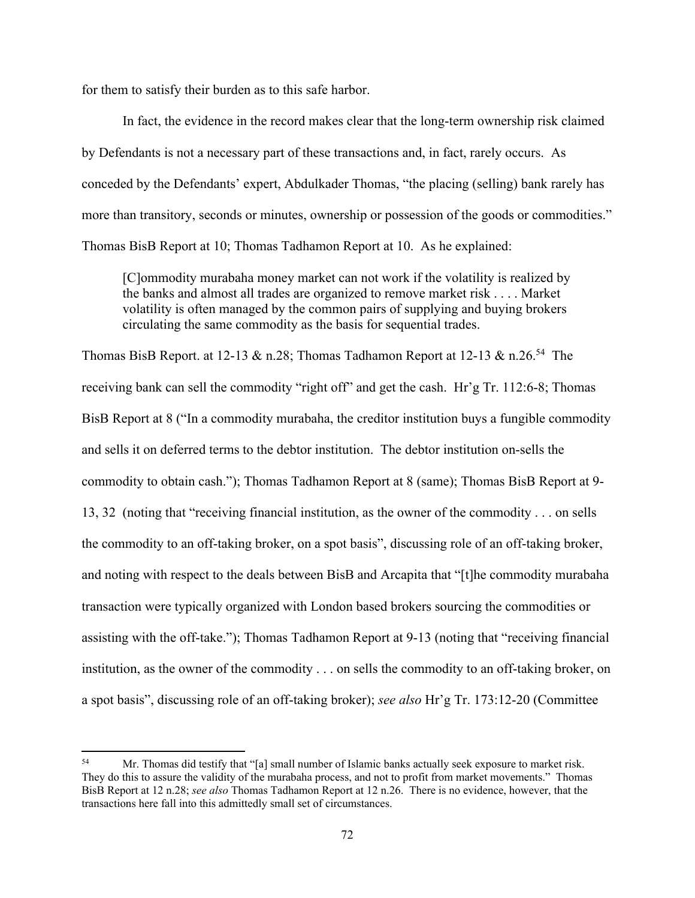for them to satisfy their burden as to this safe harbor.

In fact, the evidence in the record makes clear that the long-term ownership risk claimed by Defendants is not a necessary part of these transactions and, in fact, rarely occurs. As conceded by the Defendants' expert, Abdulkader Thomas, "the placing (selling) bank rarely has more than transitory, seconds or minutes, ownership or possession of the goods or commodities." Thomas BisB Report at 10; Thomas Tadhamon Report at 10. As he explained:

[C]ommodity murabaha money market can not work if the volatility is realized by the banks and almost all trades are organized to remove market risk . . . . Market volatility is often managed by the common pairs of supplying and buying brokers circulating the same commodity as the basis for sequential trades.

Thomas BisB Report. at 12-13 & n.28; Thomas Tadhamon Report at 12-13 & n.26.<sup>54</sup> The receiving bank can sell the commodity "right off" and get the cash. Hr'g Tr. 112:6-8; Thomas BisB Report at 8 ("In a commodity murabaha, the creditor institution buys a fungible commodity and sells it on deferred terms to the debtor institution. The debtor institution on-sells the commodity to obtain cash."); Thomas Tadhamon Report at 8 (same); Thomas BisB Report at 9- 13, 32 (noting that "receiving financial institution, as the owner of the commodity . . . on sells the commodity to an off-taking broker, on a spot basis", discussing role of an off-taking broker, and noting with respect to the deals between BisB and Arcapita that "[t]he commodity murabaha transaction were typically organized with London based brokers sourcing the commodities or assisting with the off-take."); Thomas Tadhamon Report at 9-13 (noting that "receiving financial institution, as the owner of the commodity . . . on sells the commodity to an off-taking broker, on a spot basis", discussing role of an off-taking broker); *see also* Hr'g Tr. 173:12-20 (Committee

<sup>54</sup> Mr. Thomas did testify that "[a] small number of Islamic banks actually seek exposure to market risk. They do this to assure the validity of the murabaha process, and not to profit from market movements." Thomas BisB Report at 12 n.28; *see also* Thomas Tadhamon Report at 12 n.26. There is no evidence, however, that the transactions here fall into this admittedly small set of circumstances.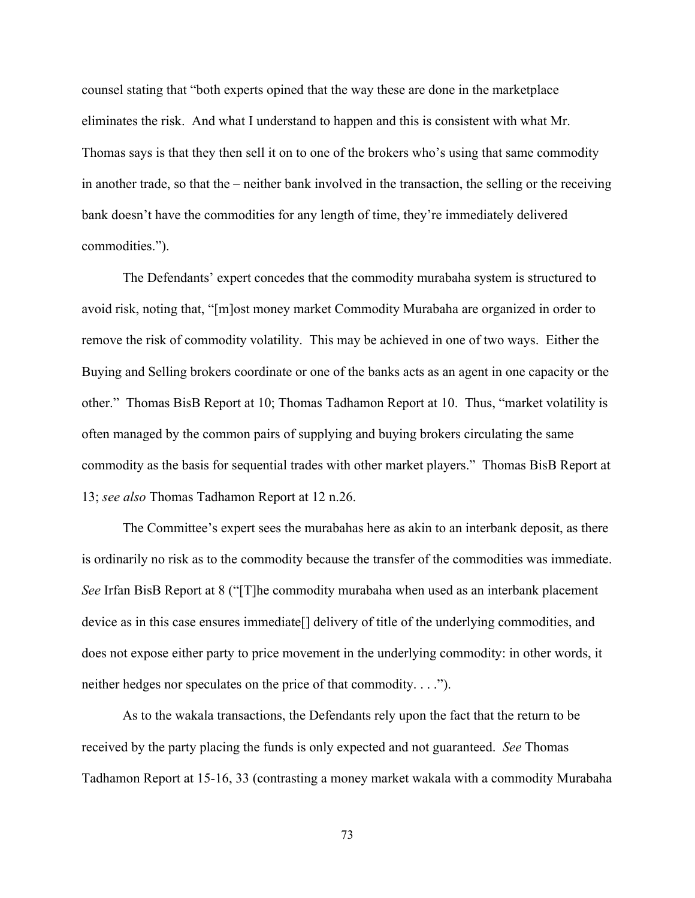counsel stating that "both experts opined that the way these are done in the marketplace eliminates the risk. And what I understand to happen and this is consistent with what Mr. Thomas says is that they then sell it on to one of the brokers who's using that same commodity in another trade, so that the – neither bank involved in the transaction, the selling or the receiving bank doesn't have the commodities for any length of time, they're immediately delivered commodities.").

The Defendants' expert concedes that the commodity murabaha system is structured to avoid risk, noting that, "[m]ost money market Commodity Murabaha are organized in order to remove the risk of commodity volatility. This may be achieved in one of two ways. Either the Buying and Selling brokers coordinate or one of the banks acts as an agent in one capacity or the other." Thomas BisB Report at 10; Thomas Tadhamon Report at 10. Thus, "market volatility is often managed by the common pairs of supplying and buying brokers circulating the same commodity as the basis for sequential trades with other market players." Thomas BisB Report at 13; *see also* Thomas Tadhamon Report at 12 n.26.

The Committee's expert sees the murabahas here as akin to an interbank deposit, as there is ordinarily no risk as to the commodity because the transfer of the commodities was immediate. *See* Irfan BisB Report at 8 ("[T]he commodity murabaha when used as an interbank placement device as in this case ensures immediate[] delivery of title of the underlying commodities, and does not expose either party to price movement in the underlying commodity: in other words, it neither hedges nor speculates on the price of that commodity. . . .").

As to the wakala transactions, the Defendants rely upon the fact that the return to be received by the party placing the funds is only expected and not guaranteed. *See* Thomas Tadhamon Report at 15-16, 33 (contrasting a money market wakala with a commodity Murabaha

73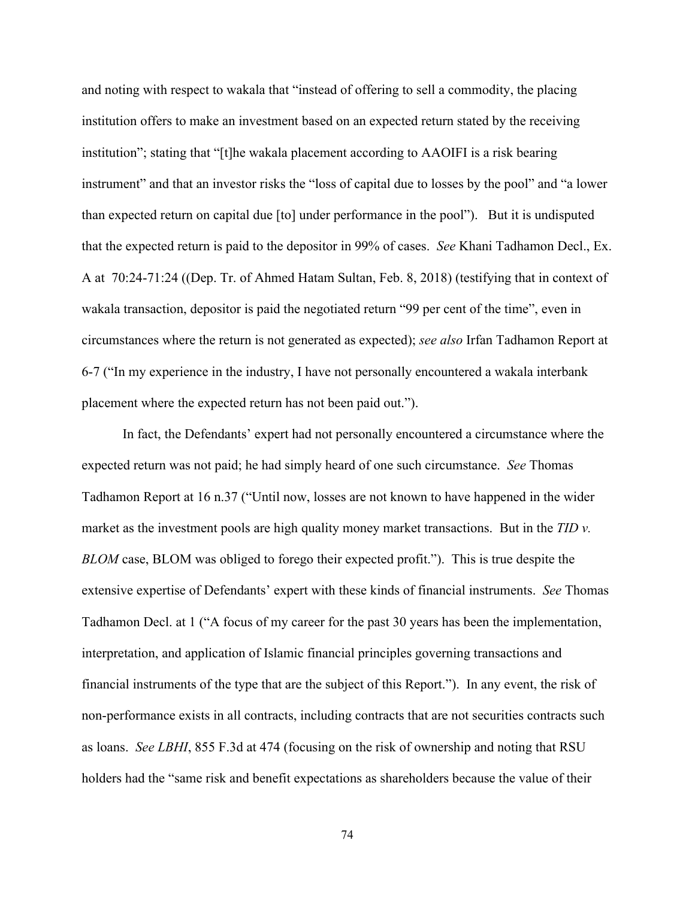and noting with respect to wakala that "instead of offering to sell a commodity, the placing institution offers to make an investment based on an expected return stated by the receiving institution"; stating that "[t]he wakala placement according to AAOIFI is a risk bearing instrument" and that an investor risks the "loss of capital due to losses by the pool" and "a lower than expected return on capital due [to] under performance in the pool"). But it is undisputed that the expected return is paid to the depositor in 99% of cases. *See* Khani Tadhamon Decl., Ex. A at 70:24-71:24 ((Dep. Tr. of Ahmed Hatam Sultan, Feb. 8, 2018) (testifying that in context of wakala transaction, depositor is paid the negotiated return "99 per cent of the time", even in circumstances where the return is not generated as expected); *see also* Irfan Tadhamon Report at 6-7 ("In my experience in the industry, I have not personally encountered a wakala interbank placement where the expected return has not been paid out.").

In fact, the Defendants' expert had not personally encountered a circumstance where the expected return was not paid; he had simply heard of one such circumstance. *See* Thomas Tadhamon Report at 16 n.37 ("Until now, losses are not known to have happened in the wider market as the investment pools are high quality money market transactions. But in the *TID v. BLOM* case, BLOM was obliged to forego their expected profit."). This is true despite the extensive expertise of Defendants' expert with these kinds of financial instruments. *See* Thomas Tadhamon Decl. at 1 ("A focus of my career for the past 30 years has been the implementation, interpretation, and application of Islamic financial principles governing transactions and financial instruments of the type that are the subject of this Report.").In any event, the risk of non-performance exists in all contracts, including contracts that are not securities contracts such as loans. *See LBHI*, 855 F.3d at 474 (focusing on the risk of ownership and noting that RSU holders had the "same risk and benefit expectations as shareholders because the value of their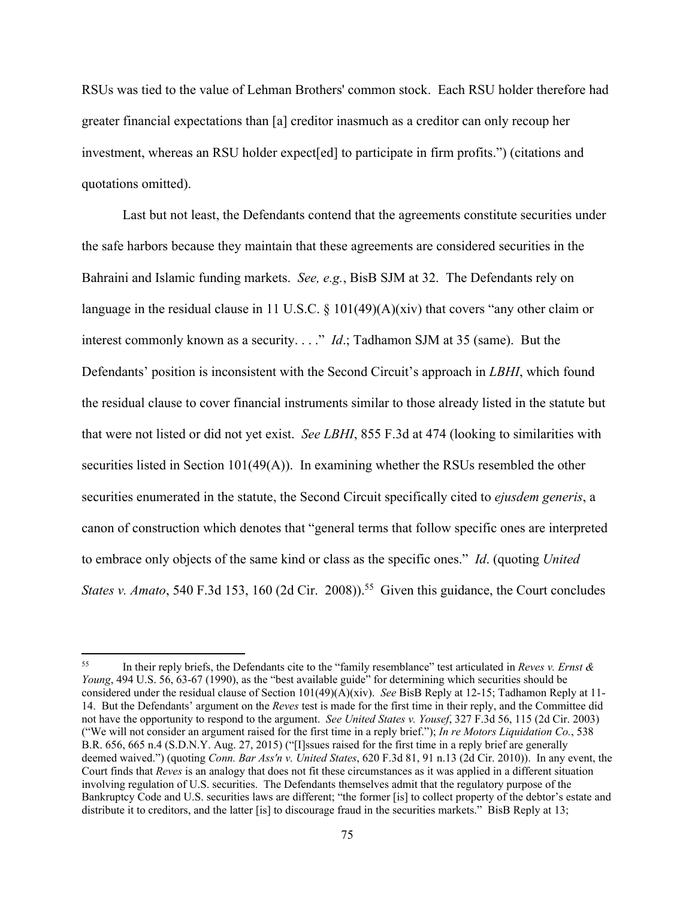RSUs was tied to the value of Lehman Brothers' common stock. Each RSU holder therefore had greater financial expectations than [a] creditor inasmuch as a creditor can only recoup her investment, whereas an RSU holder expect[ed] to participate in firm profits.") (citations and quotations omitted).

Last but not least, the Defendants contend that the agreements constitute securities under the safe harbors because they maintain that these agreements are considered securities in the Bahraini and Islamic funding markets. *See, e.g.*, BisB SJM at 32. The Defendants rely on language in the residual clause in 11 U.S.C. § 101(49)(A)(xiv) that covers "any other claim or interest commonly known as a security. . . ." *Id*.; Tadhamon SJM at 35 (same). But the Defendants' position is inconsistent with the Second Circuit's approach in *LBHI*, which found the residual clause to cover financial instruments similar to those already listed in the statute but that were not listed or did not yet exist. *See LBHI*, 855 F.3d at 474 (looking to similarities with securities listed in Section 101(49(A)). In examining whether the RSUs resembled the other securities enumerated in the statute, the Second Circuit specifically cited to *ejusdem generis*, a canon of construction which denotes that "general terms that follow specific ones are interpreted to embrace only objects of the same kind or class as the specific ones." *Id*. (quoting *United States v. Amato*, 540 F.3d 153, 160 (2d Cir. 2008)).<sup>55</sup> Given this guidance, the Court concludes

<sup>55</sup> In their reply briefs, the Defendants cite to the "family resemblance" test articulated in *Reves v. Ernst & Young*, 494 U.S. 56, 63-67 (1990), as the "best available guide" for determining which securities should be considered under the residual clause of Section 101(49)(A)(xiv). *See* BisB Reply at 12-15; Tadhamon Reply at 11- 14. But the Defendants' argument on the *Reves* test is made for the first time in their reply, and the Committee did not have the opportunity to respond to the argument. *See United States v. Yousef*, 327 F.3d 56, 115 (2d Cir. 2003) ("We will not consider an argument raised for the first time in a reply brief."); *In re Motors Liquidation Co.*, 538 B.R. 656, 665 n.4 (S.D.N.Y. Aug. 27, 2015) ("[I]ssues raised for the first time in a reply brief are generally deemed waived.") (quoting *Conn. Bar Ass'n v. United States*, 620 F.3d 81, 91 n.13 (2d Cir. 2010)).In any event, the Court finds that *Reves* is an analogy that does not fit these circumstances as it was applied in a different situation involving regulation of U.S. securities. The Defendants themselves admit that the regulatory purpose of the Bankruptcy Code and U.S. securities laws are different; "the former [is] to collect property of the debtor's estate and distribute it to creditors, and the latter [is] to discourage fraud in the securities markets." BisB Reply at 13;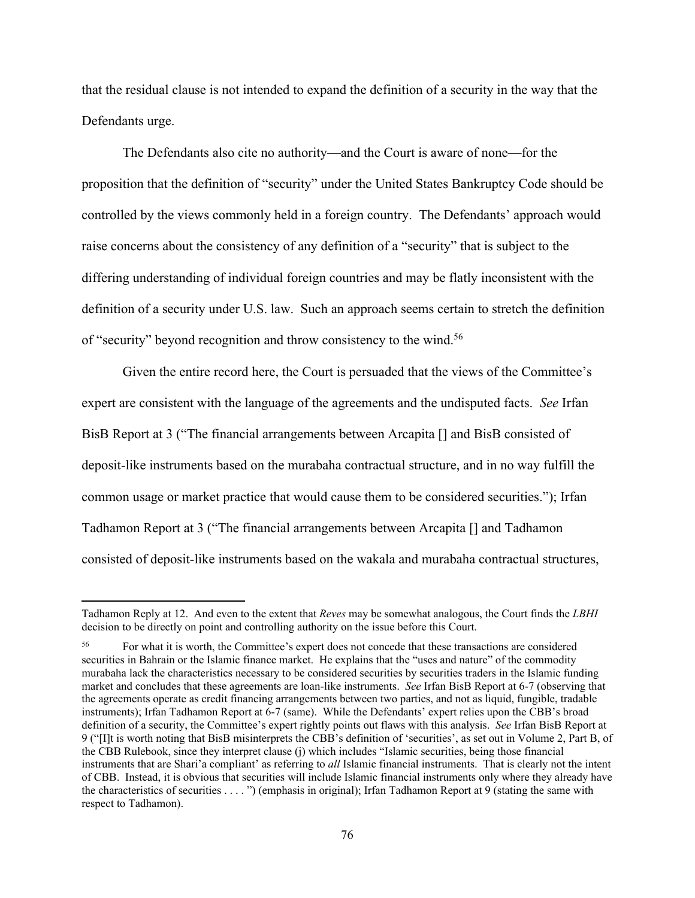that the residual clause is not intended to expand the definition of a security in the way that the Defendants urge.

The Defendants also cite no authority—and the Court is aware of none—for the proposition that the definition of "security" under the United States Bankruptcy Code should be controlled by the views commonly held in a foreign country. The Defendants' approach would raise concerns about the consistency of any definition of a "security" that is subject to the differing understanding of individual foreign countries and may be flatly inconsistent with the definition of a security under U.S. law.Such an approach seems certain to stretch the definition of "security" beyond recognition and throw consistency to the wind.<sup>56</sup>

 Given the entire record here, the Court is persuaded that the views of the Committee's expert are consistent with the language of the agreements and the undisputed facts. *See* Irfan BisB Report at 3 ("The financial arrangements between Arcapita [] and BisB consisted of deposit-like instruments based on the murabaha contractual structure, and in no way fulfill the common usage or market practice that would cause them to be considered securities."); Irfan Tadhamon Report at 3 ("The financial arrangements between Arcapita [] and Tadhamon consisted of deposit-like instruments based on the wakala and murabaha contractual structures,

Tadhamon Reply at 12. And even to the extent that *Reves* may be somewhat analogous, the Court finds the *LBHI* decision to be directly on point and controlling authority on the issue before this Court.

<sup>56</sup> For what it is worth, the Committee's expert does not concede that these transactions are considered securities in Bahrain or the Islamic finance market. He explains that the "uses and nature" of the commodity murabaha lack the characteristics necessary to be considered securities by securities traders in the Islamic funding market and concludes that these agreements are loan-like instruments. *See* Irfan BisB Report at 6-7 (observing that the agreements operate as credit financing arrangements between two parties, and not as liquid, fungible, tradable instruments); Irfan Tadhamon Report at 6-7 (same). While the Defendants' expert relies upon the CBB's broad definition of a security, the Committee's expert rightly points out flaws with this analysis. *See* Irfan BisB Report at 9 ("[I]t is worth noting that BisB misinterprets the CBB's definition of 'securities', as set out in Volume 2, Part B, of the CBB Rulebook, since they interpret clause (j) which includes "Islamic securities, being those financial instruments that are Shari'a compliant' as referring to *all* Islamic financial instruments. That is clearly not the intent of CBB. Instead, it is obvious that securities will include Islamic financial instruments only where they already have the characteristics of securities . . . . ") (emphasis in original); Irfan Tadhamon Report at 9 (stating the same with respect to Tadhamon).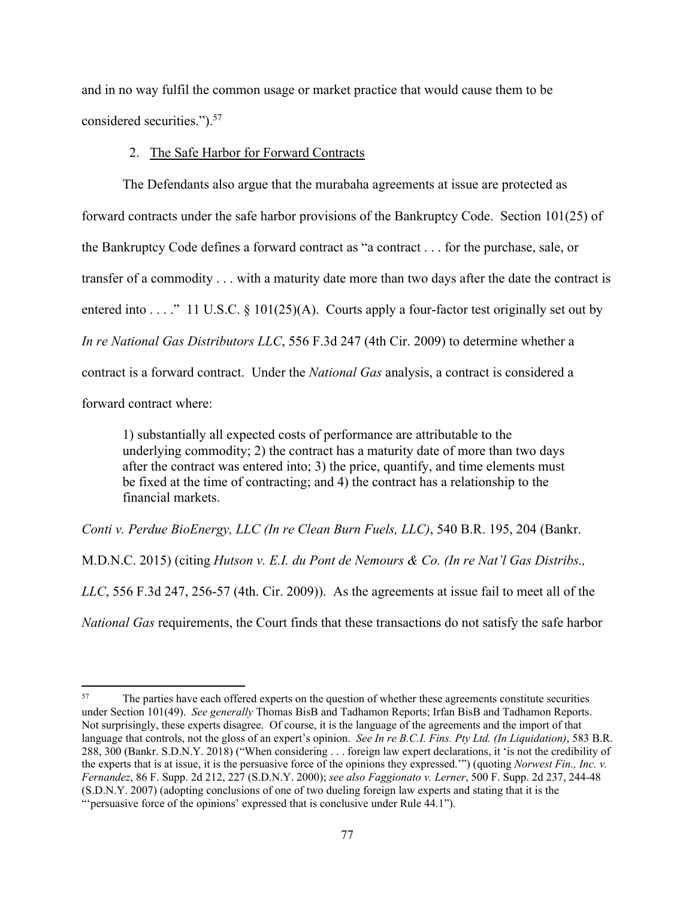and in no way fulfil the common usage or market practice that would cause them to be considered securities.").57

#### 2. The Safe Harbor for Forward Contracts

The Defendants also argue that the murabaha agreements at issue are protected as forward contracts under the safe harbor provisions of the Bankruptcy Code. Section 101(25) of the Bankruptcy Code defines a forward contract as "a contract . . . for the purchase, sale, or transfer of a commodity . . . with a maturity date more than two days after the date the contract is entered into . . . ." 11 U.S.C. § 101(25)(A). Courts apply a four-factor test originally set out by *In re National Gas Distributors LLC*, 556 F.3d 247 (4th Cir. 2009) to determine whether a contract is a forward contract. Under the *National Gas* analysis, a contract is considered a forward contract where:

1) substantially all expected costs of performance are attributable to the underlying commodity; 2) the contract has a maturity date of more than two days after the contract was entered into; 3) the price, quantify, and time elements must be fixed at the time of contracting; and 4) the contract has a relationship to the financial markets.

*Conti v. Perdue BioEnergy, LLC (In re Clean Burn Fuels, LLC)*, 540 B.R. 195, 204 (Bankr.

M.D.N.C. 2015) (citing *Hutson v. E.I. du Pont de Nemours & Co. (In re Nat'l Gas Distribs.,* 

*LLC*, 556 F.3d 247, 256-57 (4th. Cir. 2009)). As the agreements at issue fail to meet all of the

*National Gas* requirements, the Court finds that these transactions do not satisfy the safe harbor

<sup>&</sup>lt;sup>57</sup> The parties have each offered experts on the question of whether these agreements constitute securities under Section 101(49). *See generally* Thomas BisB and Tadhamon Reports; Irfan BisB and Tadhamon Reports. Not surprisingly, these experts disagree. Of course, it is the language of the agreements and the import of that language that controls, not the gloss of an expert's opinion. *See In re B.C.I. Fins. Pty Ltd. (In Liquidation)*, 583 B.R. 288, 300 (Bankr. S.D.N.Y. 2018) ("When considering . . . foreign law expert declarations, it 'is not the credibility of the experts that is at issue, it is the persuasive force of the opinions they expressed.'") (quoting *Norwest Fin., Inc. v. Fernandez*, 86 F. Supp. 2d 212, 227 (S.D.N.Y. 2000); *see also Faggionato v. Lerner*, 500 F. Supp. 2d 237, 244-48 (S.D.N.Y. 2007) (adopting conclusions of one of two dueling foreign law experts and stating that it is the "'persuasive force of the opinions' expressed that is conclusive under Rule 44.1").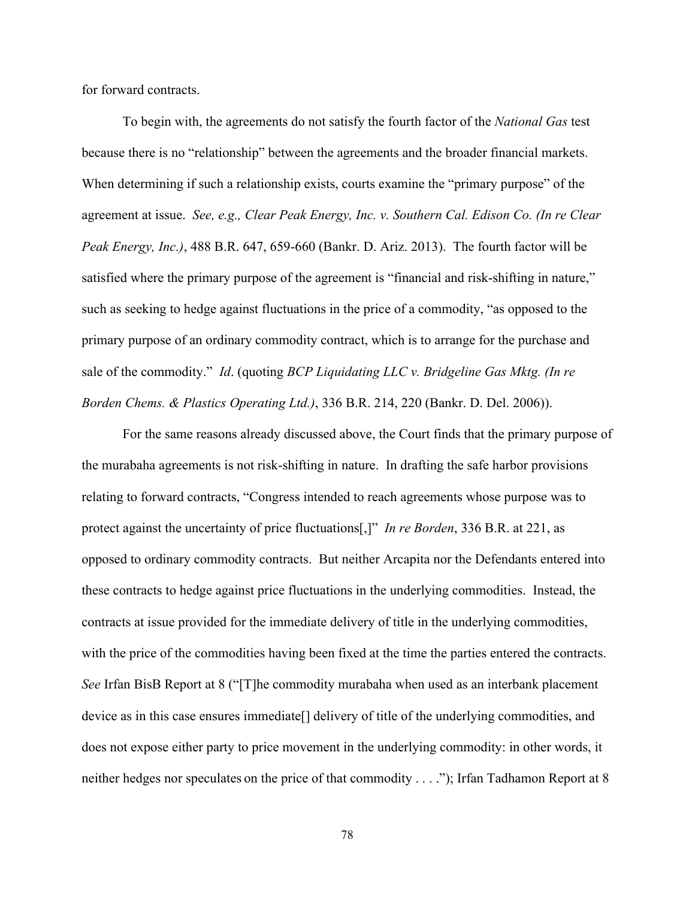for forward contracts.

To begin with, the agreements do not satisfy the fourth factor of the *National Gas* test because there is no "relationship" between the agreements and the broader financial markets. When determining if such a relationship exists, courts examine the "primary purpose" of the agreement at issue. *See, e.g., Clear Peak Energy, Inc. v. Southern Cal. Edison Co. (In re Clear Peak Energy, Inc.)*, 488 B.R. 647, 659-660 (Bankr. D. Ariz. 2013). The fourth factor will be satisfied where the primary purpose of the agreement is "financial and risk-shifting in nature," such as seeking to hedge against fluctuations in the price of a commodity, "as opposed to the primary purpose of an ordinary commodity contract, which is to arrange for the purchase and sale of the commodity." *Id*. (quoting *BCP Liquidating LLC v. Bridgeline Gas Mktg. (In re Borden Chems. & Plastics Operating Ltd.)*, 336 B.R. 214, 220 (Bankr. D. Del. 2006)).

For the same reasons already discussed above, the Court finds that the primary purpose of the murabaha agreements is not risk-shifting in nature. In drafting the safe harbor provisions relating to forward contracts, "Congress intended to reach agreements whose purpose was to protect against the uncertainty of price fluctuations[,]" *In re Borden*, 336 B.R. at 221, as opposed to ordinary commodity contracts. But neither Arcapita nor the Defendants entered into these contracts to hedge against price fluctuations in the underlying commodities. Instead, the contracts at issue provided for the immediate delivery of title in the underlying commodities, with the price of the commodities having been fixed at the time the parties entered the contracts. *See* Irfan BisB Report at 8 ("[T]he commodity murabaha when used as an interbank placement device as in this case ensures immediate[] delivery of title of the underlying commodities, and does not expose either party to price movement in the underlying commodity: in other words, it neither hedges nor speculates on the price of that commodity . . . ."); Irfan Tadhamon Report at 8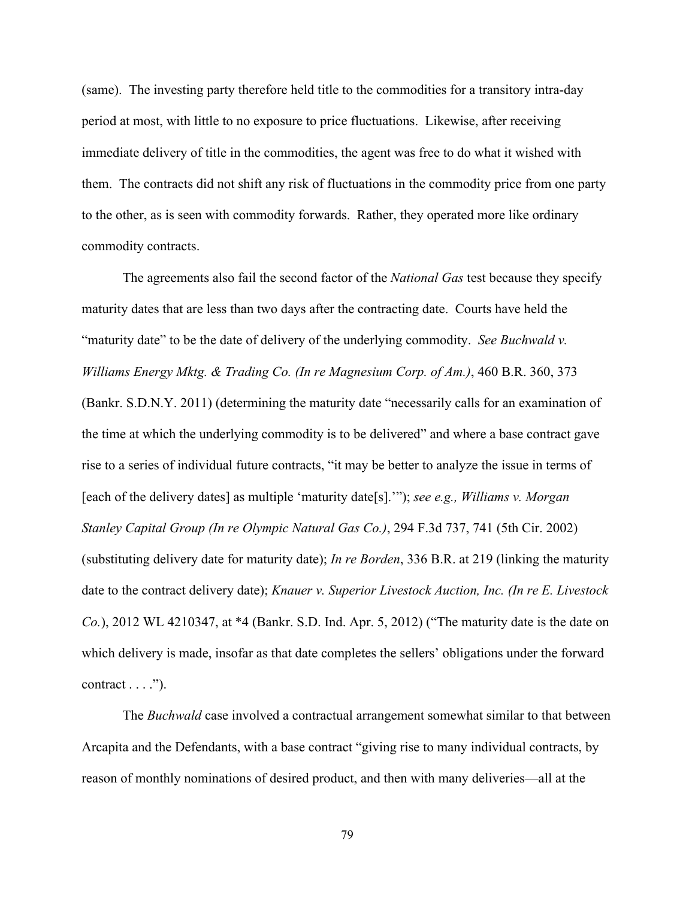(same). The investing party therefore held title to the commodities for a transitory intra-day period at most, with little to no exposure to price fluctuations. Likewise, after receiving immediate delivery of title in the commodities, the agent was free to do what it wished with them. The contracts did not shift any risk of fluctuations in the commodity price from one party to the other, as is seen with commodity forwards. Rather, they operated more like ordinary commodity contracts.

The agreements also fail the second factor of the *National Gas* test because they specify maturity dates that are less than two days after the contracting date. Courts have held the "maturity date" to be the date of delivery of the underlying commodity. *See Buchwald v. Williams Energy Mktg. & Trading Co. (In re Magnesium Corp. of Am.)*, 460 B.R. 360, 373 (Bankr. S.D.N.Y. 2011) (determining the maturity date "necessarily calls for an examination of the time at which the underlying commodity is to be delivered" and where a base contract gave rise to a series of individual future contracts, "it may be better to analyze the issue in terms of [each of the delivery dates] as multiple 'maturity date[s].'"); *see e.g., Williams v. Morgan Stanley Capital Group (In re Olympic Natural Gas Co.)*, 294 F.3d 737, 741 (5th Cir. 2002) (substituting delivery date for maturity date); *In re Borden*, 336 B.R. at 219 (linking the maturity date to the contract delivery date); *Knauer v. Superior Livestock Auction, Inc. (In re E. Livestock Co.*), 2012 WL 4210347, at \*4 (Bankr. S.D. Ind. Apr. 5, 2012) ("The maturity date is the date on which delivery is made, insofar as that date completes the sellers' obligations under the forward contract  $\dots$ .").

The *Buchwald* case involved a contractual arrangement somewhat similar to that between Arcapita and the Defendants, with a base contract "giving rise to many individual contracts, by reason of monthly nominations of desired product, and then with many deliveries—all at the

79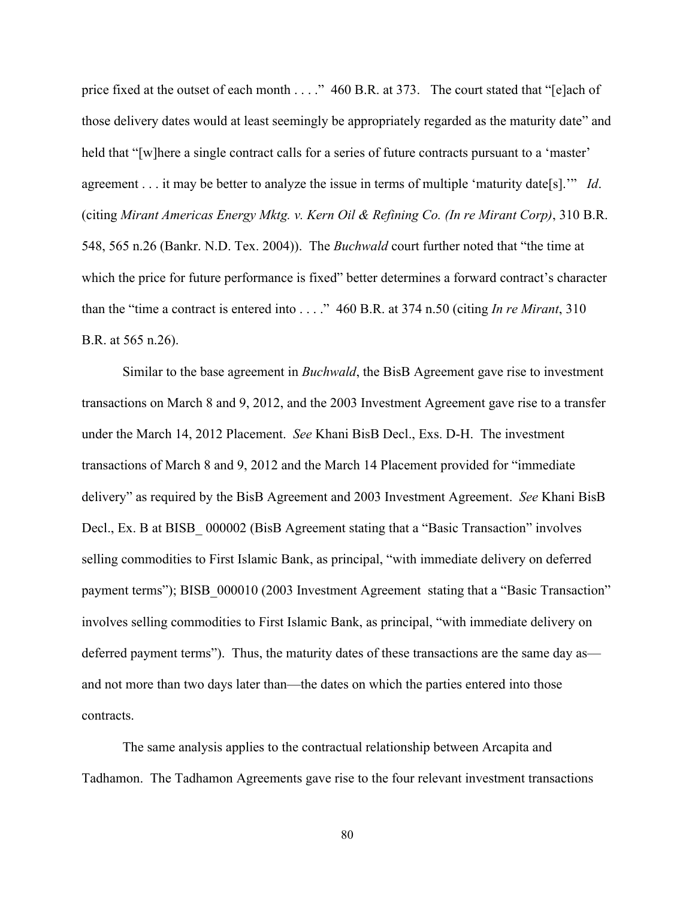price fixed at the outset of each month . . . . " 460 B.R. at 373. The court stated that "[e]ach of those delivery dates would at least seemingly be appropriately regarded as the maturity date" and held that "[w]here a single contract calls for a series of future contracts pursuant to a 'master' agreement . . . it may be better to analyze the issue in terms of multiple 'maturity date[s].'" *Id*. (citing *Mirant Americas Energy Mktg. v. Kern Oil & Refining Co. (In re Mirant Corp)*, 310 B.R. 548, 565 n.26 (Bankr. N.D. Tex. 2004)). The *Buchwald* court further noted that "the time at which the price for future performance is fixed" better determines a forward contract's character than the "time a contract is entered into . . . ." 460 B.R. at 374 n.50 (citing *In re Mirant*, 310 B.R. at 565 n.26).

Similar to the base agreement in *Buchwald*, the BisB Agreement gave rise to investment transactions on March 8 and 9, 2012, and the 2003 Investment Agreement gave rise to a transfer under the March 14, 2012 Placement. *See* Khani BisB Decl., Exs. D-H. The investment transactions of March 8 and 9, 2012 and the March 14 Placement provided for "immediate delivery" as required by the BisB Agreement and 2003 Investment Agreement. *See* Khani BisB Decl., Ex. B at BISB 000002 (BisB Agreement stating that a "Basic Transaction" involves selling commodities to First Islamic Bank, as principal, "with immediate delivery on deferred payment terms"); BISB 000010 (2003 Investment Agreement stating that a "Basic Transaction" involves selling commodities to First Islamic Bank, as principal, "with immediate delivery on deferred payment terms"). Thus, the maturity dates of these transactions are the same day as and not more than two days later than—the dates on which the parties entered into those contracts.

The same analysis applies to the contractual relationship between Arcapita and Tadhamon. The Tadhamon Agreements gave rise to the four relevant investment transactions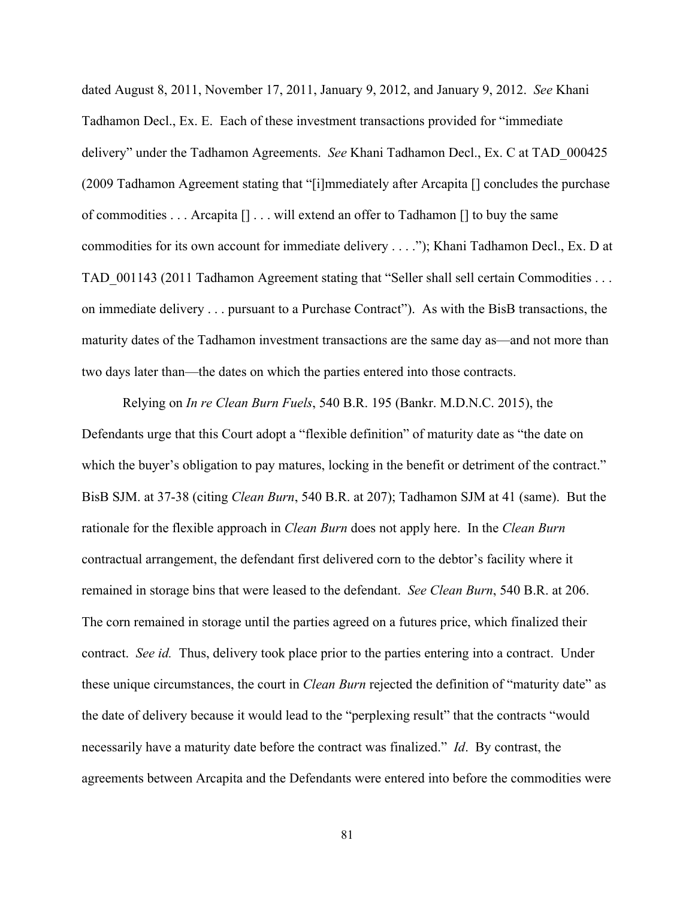dated August 8, 2011, November 17, 2011, January 9, 2012, and January 9, 2012. *See* Khani Tadhamon Decl., Ex. E. Each of these investment transactions provided for "immediate delivery" under the Tadhamon Agreements. *See* Khani Tadhamon Decl., Ex. C at TAD\_000425 (2009 Tadhamon Agreement stating that "[i]mmediately after Arcapita [] concludes the purchase of commodities . . . Arcapita [] . . . will extend an offer to Tadhamon [] to buy the same commodities for its own account for immediate delivery . . . ."); Khani Tadhamon Decl., Ex. D at TAD 001143 (2011 Tadhamon Agreement stating that "Seller shall sell certain Commodities . . . on immediate delivery . . . pursuant to a Purchase Contract"). As with the BisB transactions, the maturity dates of the Tadhamon investment transactions are the same day as—and not more than two days later than—the dates on which the parties entered into those contracts.

Relying on *In re Clean Burn Fuels*, 540 B.R. 195 (Bankr. M.D.N.C. 2015), the Defendants urge that this Court adopt a "flexible definition" of maturity date as "the date on which the buyer's obligation to pay matures, locking in the benefit or detriment of the contract." BisB SJM. at 37-38 (citing *Clean Burn*, 540 B.R. at 207); Tadhamon SJM at 41 (same). But the rationale for the flexible approach in *Clean Burn* does not apply here. In the *Clean Burn* contractual arrangement, the defendant first delivered corn to the debtor's facility where it remained in storage bins that were leased to the defendant. *See Clean Burn*, 540 B.R. at 206. The corn remained in storage until the parties agreed on a futures price, which finalized their contract. *See id.* Thus, delivery took place prior to the parties entering into a contract. Under these unique circumstances, the court in *Clean Burn* rejected the definition of "maturity date" as the date of delivery because it would lead to the "perplexing result" that the contracts "would necessarily have a maturity date before the contract was finalized." *Id*. By contrast, the agreements between Arcapita and the Defendants were entered into before the commodities were

81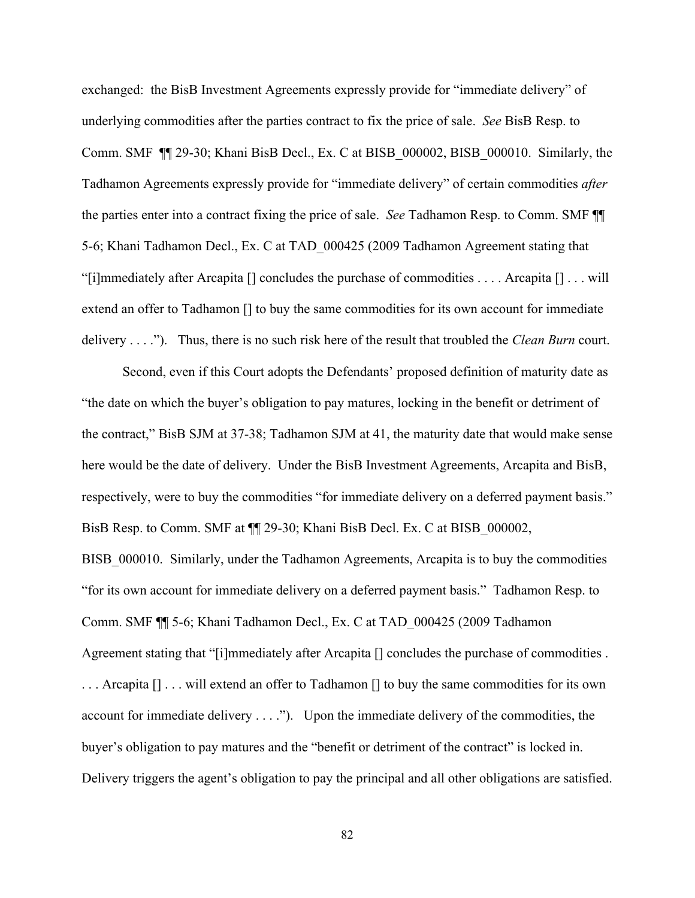exchanged: the BisB Investment Agreements expressly provide for "immediate delivery" of underlying commodities after the parties contract to fix the price of sale. *See* BisB Resp. to Comm. SMF ¶¶ 29-30; Khani BisB Decl., Ex. C at BISB\_000002, BISB\_000010. Similarly, the Tadhamon Agreements expressly provide for "immediate delivery" of certain commodities *after* the parties enter into a contract fixing the price of sale. *See* Tadhamon Resp. to Comm. SMF ¶¶ 5-6; Khani Tadhamon Decl., Ex. C at TAD\_000425 (2009 Tadhamon Agreement stating that "[i]mmediately after Arcapita  $[]$  concludes the purchase of commodities . . . . Arcapita  $[] \dots$  will extend an offer to Tadhamon [] to buy the same commodities for its own account for immediate delivery . . . ."). Thus, there is no such risk here of the result that troubled the *Clean Burn* court.

Second, even if this Court adopts the Defendants' proposed definition of maturity date as "the date on which the buyer's obligation to pay matures, locking in the benefit or detriment of the contract," BisB SJM at 37-38; Tadhamon SJM at 41, the maturity date that would make sense here would be the date of delivery. Under the BisB Investment Agreements, Arcapita and BisB, respectively, were to buy the commodities "for immediate delivery on a deferred payment basis." BisB Resp. to Comm. SMF at  $\P$  29-30; Khani BisB Decl. Ex. C at BISB 000002, BISB\_000010.Similarly, under the Tadhamon Agreements, Arcapita is to buy the commodities "for its own account for immediate delivery on a deferred payment basis." Tadhamon Resp. to Comm. SMF ¶¶ 5-6; Khani Tadhamon Decl., Ex. C at TAD\_000425 (2009 Tadhamon Agreement stating that "[i]mmediately after Arcapita [] concludes the purchase of commodities . ... Arcapita  $[] \ldots$  will extend an offer to Tadhamon  $[]$  to buy the same commodities for its own account for immediate delivery . . . ."). Upon the immediate delivery of the commodities, the buyer's obligation to pay matures and the "benefit or detriment of the contract" is locked in. Delivery triggers the agent's obligation to pay the principal and all other obligations are satisfied.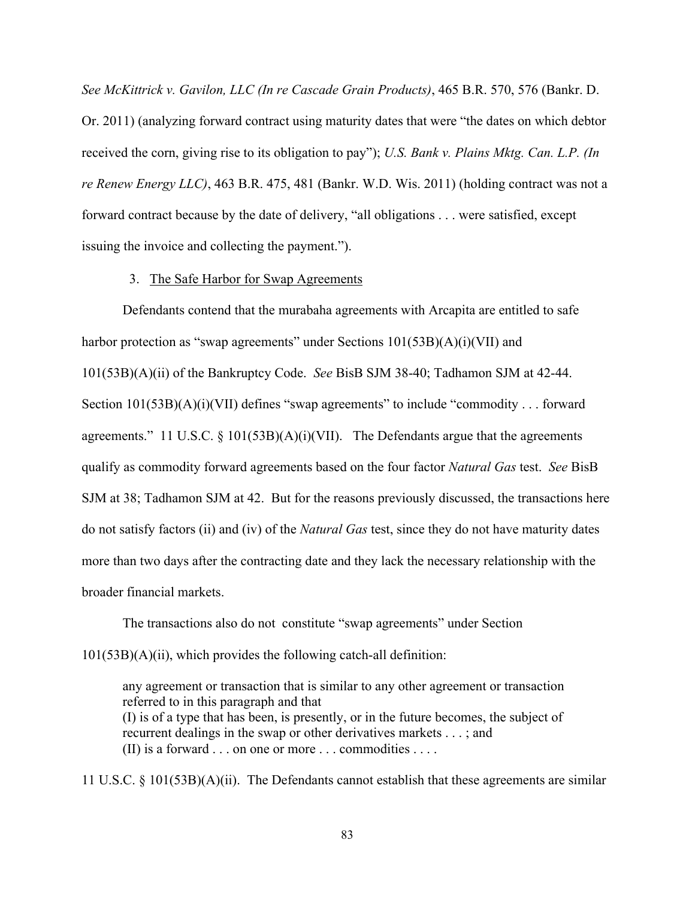*See McKittrick v. Gavilon, LLC (In re Cascade Grain Products)*, 465 B.R. 570, 576 (Bankr. D. Or. 2011) (analyzing forward contract using maturity dates that were "the dates on which debtor received the corn, giving rise to its obligation to pay"); *U.S. Bank v. Plains Mktg. Can. L.P. (In re Renew Energy LLC)*, 463 B.R. 475, 481 (Bankr. W.D. Wis. 2011) (holding contract was not a forward contract because by the date of delivery, "all obligations . . . were satisfied, except issuing the invoice and collecting the payment.").

#### 3. The Safe Harbor for Swap Agreements

Defendants contend that the murabaha agreements with Arcapita are entitled to safe harbor protection as "swap agreements" under Sections  $101(53B)(A)(i)(VII)$  and 101(53B)(A)(ii) of the Bankruptcy Code. *See* BisB SJM 38-40; Tadhamon SJM at 42-44. Section 101(53B)(A)(i)(VII) defines "swap agreements" to include "commodity . . . forward agreements." 11 U.S.C.  $\S$  101(53B)(A)(i)(VII). The Defendants argue that the agreements qualify as commodity forward agreements based on the four factor *Natural Gas* test. *See* BisB SJM at 38; Tadhamon SJM at 42.But for the reasons previously discussed, the transactions here do not satisfy factors (ii) and (iv) of the *Natural Gas* test, since they do not have maturity dates more than two days after the contracting date and they lack the necessary relationship with the broader financial markets.

The transactions also do not constitute "swap agreements" under Section 101(53B)(A)(ii), which provides the following catch-all definition:

any agreement or transaction that is similar to any other agreement or transaction referred to in this paragraph and that (I) is of a type that has been, is presently, or in the future becomes, the subject of recurrent dealings in the swap or other derivatives markets . . . ; and (II) is a forward . . . on one or more . . . commodities . . . .

11 U.S.C. § 101(53B)(A)(ii). The Defendants cannot establish that these agreements are similar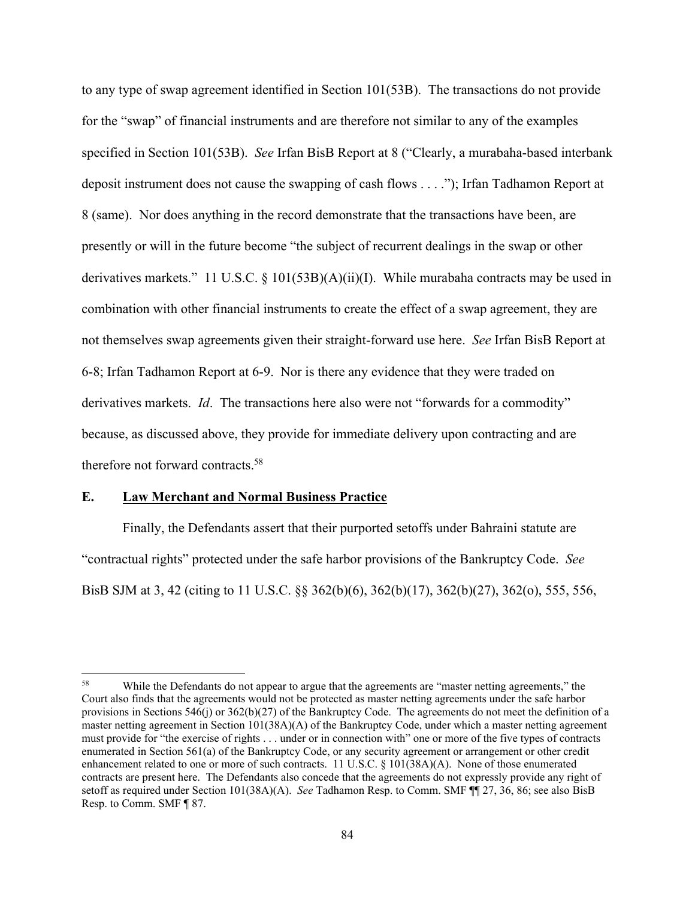to any type of swap agreement identified in Section 101(53B). The transactions do not provide for the "swap" of financial instruments and are therefore not similar to any of the examples specified in Section 101(53B). *See* Irfan BisB Report at 8 ("Clearly, a murabaha-based interbank deposit instrument does not cause the swapping of cash flows . . . ."); Irfan Tadhamon Report at 8 (same). Nor does anything in the record demonstrate that the transactions have been, are presently or will in the future become "the subject of recurrent dealings in the swap or other derivatives markets." 11 U.S.C. § 101(53B)(A)(ii)(I). While murabaha contracts may be used in combination with other financial instruments to create the effect of a swap agreement, they are not themselves swap agreements given their straight-forward use here. *See* Irfan BisB Report at 6-8; Irfan Tadhamon Report at 6-9. Nor is there any evidence that they were traded on derivatives markets. *Id*. The transactions here also were not "forwards for a commodity" because, as discussed above, they provide for immediate delivery upon contracting and are therefore not forward contracts.<sup>58</sup>

# **E. Law Merchant and Normal Business Practice**

Finally, the Defendants assert that their purported setoffs under Bahraini statute are "contractual rights" protected under the safe harbor provisions of the Bankruptcy Code. *See*  BisB SJM at 3, 42 (citing to 11 U.S.C. §§ 362(b)(6), 362(b)(17), 362(b)(27), 362(o), 555, 556,

<sup>58</sup> While the Defendants do not appear to argue that the agreements are "master netting agreements," the Court also finds that the agreements would not be protected as master netting agreements under the safe harbor provisions in Sections 546(j) or  $362(b)(27)$  of the Bankruptcy Code. The agreements do not meet the definition of a master netting agreement in Section 101(38A)(A) of the Bankruptcy Code, under which a master netting agreement must provide for "the exercise of rights . . . under or in connection with" one or more of the five types of contracts enumerated in Section 561(a) of the Bankruptcy Code, or any security agreement or arrangement or other credit enhancement related to one or more of such contracts. 11 U.S.C. § 101(38A)(A). None of those enumerated contracts are present here. The Defendants also concede that the agreements do not expressly provide any right of setoff as required under Section 101(38A)(A). *See* Tadhamon Resp. to Comm. SMF ¶¶ 27, 36, 86; see also BisB Resp. to Comm. SMF ¶ 87.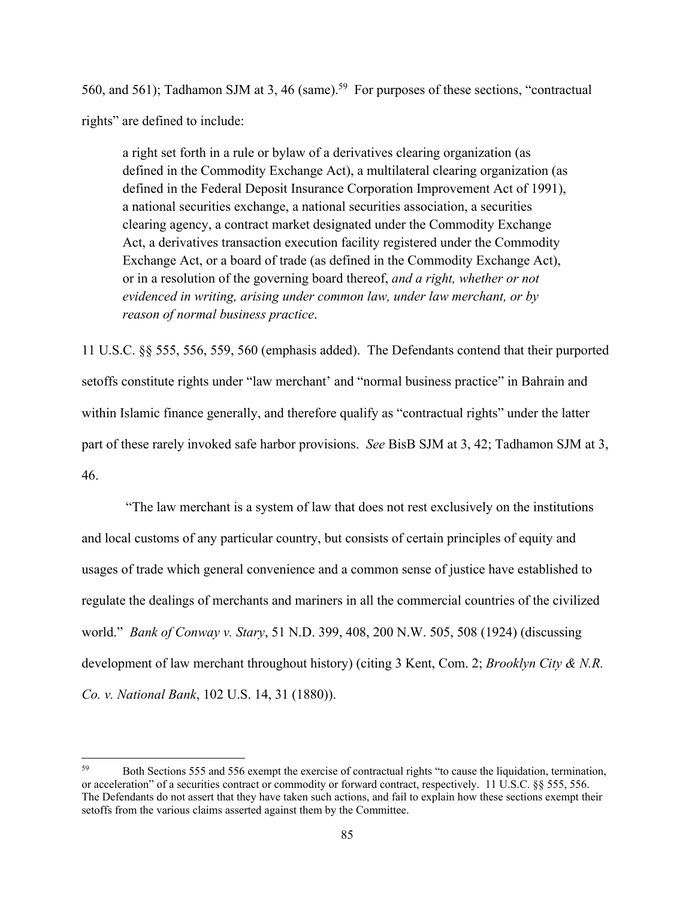560, and 561); Tadhamon SJM at 3, 46 (same).<sup>59</sup> For purposes of these sections, "contractual rights" are defined to include:

a right set forth in a rule or bylaw of a derivatives clearing organization (as defined in the Commodity Exchange Act), a multilateral clearing organization (as defined in the Federal Deposit Insurance Corporation Improvement Act of 1991), a national securities exchange, a national securities association, a securities clearing agency, a contract market designated under the Commodity Exchange Act, a derivatives transaction execution facility registered under the Commodity Exchange Act, or a board of trade (as defined in the Commodity Exchange Act), or in a resolution of the governing board thereof, *and a right, whether or not evidenced in writing, arising under common law, under law merchant, or by reason of normal business practice*.

11 U.S.C. §§ 555, 556, 559, 560 (emphasis added). The Defendants contend that their purported setoffs constitute rights under "law merchant' and "normal business practice" in Bahrain and within Islamic finance generally, and therefore qualify as "contractual rights" under the latter part of these rarely invoked safe harbor provisions. *See* BisB SJM at 3, 42; Tadhamon SJM at 3, 46.

 "The law merchant is a system of law that does not rest exclusively on the institutions and local customs of any particular country, but consists of certain principles of equity and usages of trade which general convenience and a common sense of justice have established to regulate the dealings of merchants and mariners in all the commercial countries of the civilized world." *Bank of Conway v. Stary*, 51 N.D. 399, 408, 200 N.W. 505, 508 (1924) (discussing development of law merchant throughout history) (citing 3 Kent, Com. 2; *Brooklyn City & N.R. Co. v. National Bank*, 102 U.S. 14, 31 (1880)).

<sup>59</sup> Both Sections 555 and 556 exempt the exercise of contractual rights "to cause the liquidation, termination, or acceleration" of a securities contract or commodity or forward contract, respectively. 11 U.S.C. §§ 555, 556. The Defendants do not assert that they have taken such actions, and fail to explain how these sections exempt their setoffs from the various claims asserted against them by the Committee.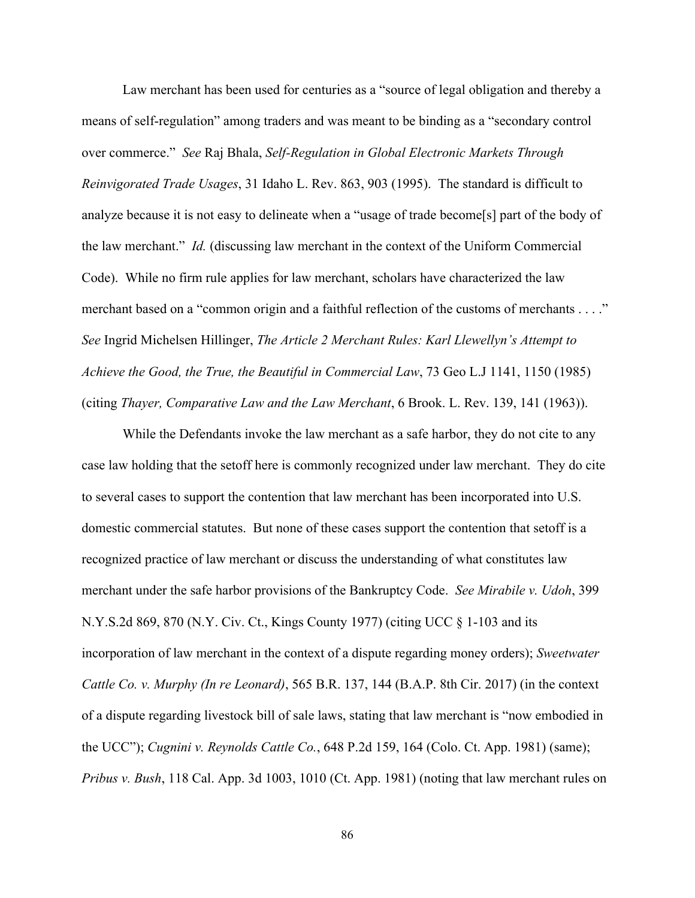Law merchant has been used for centuries as a "source of legal obligation and thereby a means of self-regulation" among traders and was meant to be binding as a "secondary control over commerce." *See* Raj Bhala, *Self-Regulation in Global Electronic Markets Through Reinvigorated Trade Usages*, 31 Idaho L. Rev. 863, 903 (1995). The standard is difficult to analyze because it is not easy to delineate when a "usage of trade become[s] part of the body of the law merchant." *Id.* (discussing law merchant in the context of the Uniform Commercial Code). While no firm rule applies for law merchant, scholars have characterized the law merchant based on a "common origin and a faithful reflection of the customs of merchants . . . ." *See* Ingrid Michelsen Hillinger, *The Article 2 Merchant Rules: Karl Llewellyn's Attempt to Achieve the Good, the True, the Beautiful in Commercial Law*, 73 Geo L.J 1141, 1150 (1985) (citing *Thayer, Comparative Law and the Law Merchant*, 6 Brook. L. Rev. 139, 141 (1963)).

While the Defendants invoke the law merchant as a safe harbor, they do not cite to any case law holding that the setoff here is commonly recognized under law merchant. They do cite to several cases to support the contention that law merchant has been incorporated into U.S. domestic commercial statutes. But none of these cases support the contention that setoff is a recognized practice of law merchant or discuss the understanding of what constitutes law merchant under the safe harbor provisions of the Bankruptcy Code. *See Mirabile v. Udoh*, 399 N.Y.S.2d 869, 870 (N.Y. Civ. Ct., Kings County 1977) (citing UCC § 1-103 and its incorporation of law merchant in the context of a dispute regarding money orders); *Sweetwater Cattle Co. v. Murphy (In re Leonard)*, 565 B.R. 137, 144 (B.A.P. 8th Cir. 2017) (in the context of a dispute regarding livestock bill of sale laws, stating that law merchant is "now embodied in the UCC"); *Cugnini v. Reynolds Cattle Co.*, 648 P.2d 159, 164 (Colo. Ct. App. 1981) (same); *Pribus v. Bush*, 118 Cal. App. 3d 1003, 1010 (Ct. App. 1981) (noting that law merchant rules on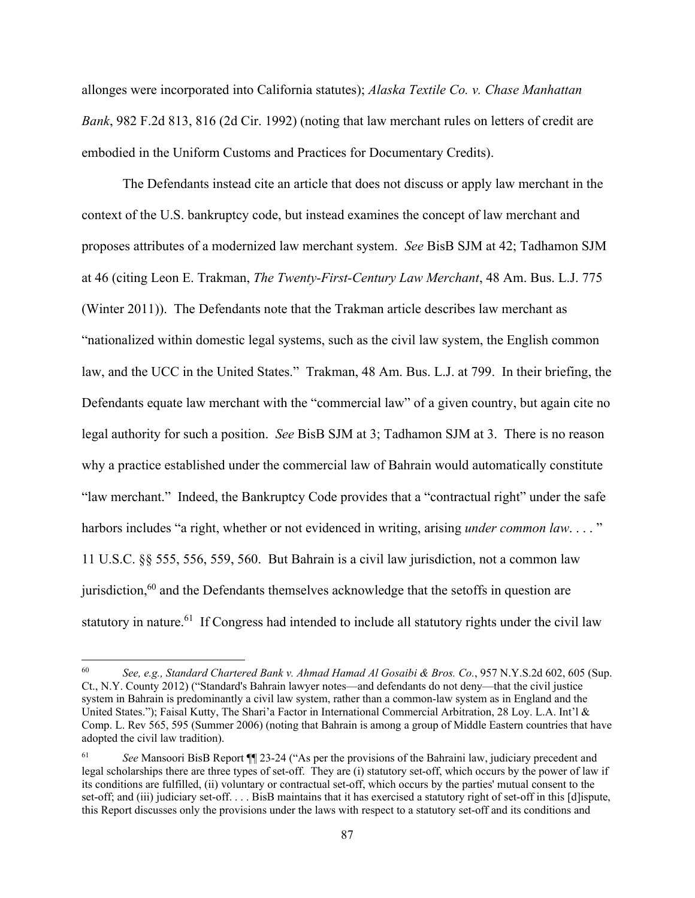allonges were incorporated into California statutes); *Alaska Textile Co. v. Chase Manhattan Bank*, 982 F.2d 813, 816 (2d Cir. 1992) (noting that law merchant rules on letters of credit are embodied in the Uniform Customs and Practices for Documentary Credits).

The Defendants instead cite an article that does not discuss or apply law merchant in the context of the U.S. bankruptcy code, but instead examines the concept of law merchant and proposes attributes of a modernized law merchant system. *See* BisB SJM at 42; Tadhamon SJM at 46 (citing Leon E. Trakman, *The Twenty-First-Century Law Merchant*, 48 Am. Bus. L.J. 775 (Winter 2011)). The Defendants note that the Trakman article describes law merchant as "nationalized within domestic legal systems, such as the civil law system, the English common law, and the UCC in the United States." Trakman, 48 Am. Bus. L.J. at 799. In their briefing, the Defendants equate law merchant with the "commercial law" of a given country, but again cite no legal authority for such a position. *See* BisB SJM at 3; Tadhamon SJM at 3. There is no reason why a practice established under the commercial law of Bahrain would automatically constitute "law merchant." Indeed, the Bankruptcy Code provides that a "contractual right" under the safe harbors includes "a right, whether or not evidenced in writing, arising *under common law*...." 11 U.S.C. §§ 555, 556, 559, 560. But Bahrain is a civil law jurisdiction, not a common law jurisdiction, $60$  and the Defendants themselves acknowledge that the setoffs in question are statutory in nature.<sup>61</sup> If Congress had intended to include all statutory rights under the civil law

<sup>60</sup> *See, e.g., Standard Chartered Bank v. Ahmad Hamad Al Gosaibi & Bros. Co.*, 957 N.Y.S.2d 602, 605 (Sup. Ct., N.Y. County 2012) ("Standard's Bahrain lawyer notes—and defendants do not deny—that the civil justice system in Bahrain is predominantly a civil law system, rather than a common-law system as in England and the United States."); Faisal Kutty, The Shari'a Factor in International Commercial Arbitration, 28 Loy. L.A. Int'l & Comp. L. Rev 565, 595 (Summer 2006) (noting that Bahrain is among a group of Middle Eastern countries that have adopted the civil law tradition).

<sup>61</sup> *See* Mansoori BisB Report ¶¶ 23-24 ("As per the provisions of the Bahraini law, judiciary precedent and legal scholarships there are three types of set-off. They are (i) statutory set-off, which occurs by the power of law if its conditions are fulfilled, (ii) voluntary or contractual set-off, which occurs by the parties' mutual consent to the set-off; and (iii) judiciary set-off. . . . BisB maintains that it has exercised a statutory right of set-off in this [d]ispute, this Report discusses only the provisions under the laws with respect to a statutory set-off and its conditions and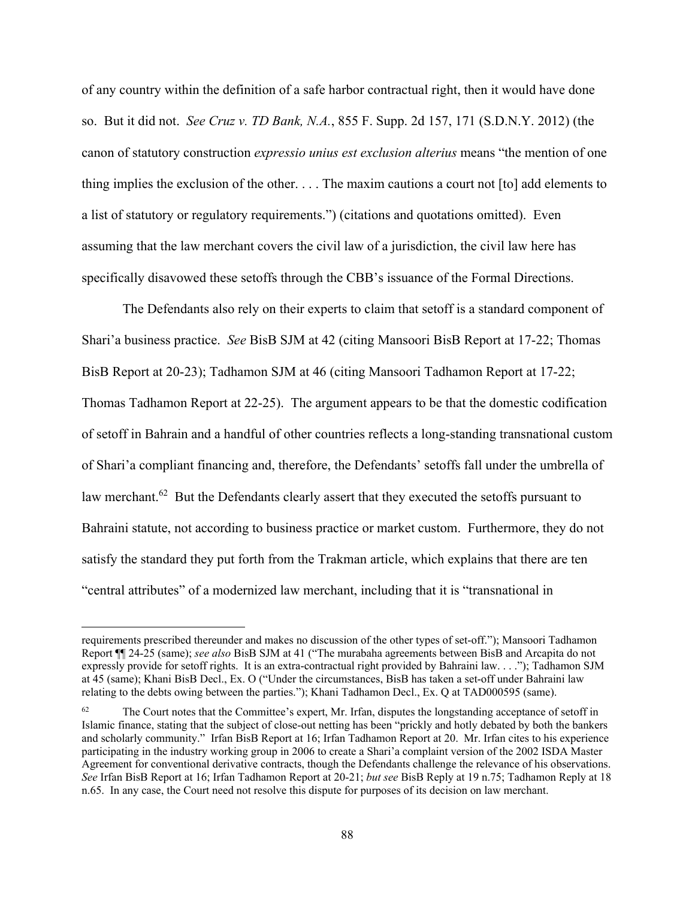of any country within the definition of a safe harbor contractual right, then it would have done so. But it did not. *See Cruz v. TD Bank, N.A.*, 855 F. Supp. 2d 157, 171 (S.D.N.Y. 2012) (the canon of statutory construction *expressio unius est exclusion alterius* means "the mention of one thing implies the exclusion of the other. . . . The maxim cautions a court not [to] add elements to a list of statutory or regulatory requirements.") (citations and quotations omitted). Even assuming that the law merchant covers the civil law of a jurisdiction, the civil law here has specifically disavowed these setoffs through the CBB's issuance of the Formal Directions.

The Defendants also rely on their experts to claim that setoff is a standard component of Shari'a business practice. *See* BisB SJM at 42 (citing Mansoori BisB Report at 17-22; Thomas BisB Report at 20-23); Tadhamon SJM at 46 (citing Mansoori Tadhamon Report at 17-22; Thomas Tadhamon Report at 22-25). The argument appears to be that the domestic codification of setoff in Bahrain and a handful of other countries reflects a long-standing transnational custom of Shari'a compliant financing and, therefore, the Defendants' setoffs fall under the umbrella of law merchant.<sup>62</sup> But the Defendants clearly assert that they executed the setoffs pursuant to Bahraini statute, not according to business practice or market custom. Furthermore, they do not satisfy the standard they put forth from the Trakman article, which explains that there are ten "central attributes" of a modernized law merchant, including that it is "transnational in

requirements prescribed thereunder and makes no discussion of the other types of set-off."); Mansoori Tadhamon Report ¶¶ 24-25 (same); *see also* BisB SJM at 41 ("The murabaha agreements between BisB and Arcapita do not expressly provide for setoff rights. It is an extra-contractual right provided by Bahraini law. . . ."); Tadhamon SJM at 45 (same); Khani BisB Decl., Ex. O ("Under the circumstances, BisB has taken a set-off under Bahraini law relating to the debts owing between the parties."); Khani Tadhamon Decl., Ex. Q at TAD000595 (same).

The Court notes that the Committee's expert, Mr. Irfan, disputes the longstanding acceptance of setoff in Islamic finance, stating that the subject of close-out netting has been "prickly and hotly debated by both the bankers and scholarly community." Irfan BisB Report at 16; Irfan Tadhamon Report at 20. Mr. Irfan cites to his experience participating in the industry working group in 2006 to create a Shari'a complaint version of the 2002 ISDA Master Agreement for conventional derivative contracts, though the Defendants challenge the relevance of his observations. *See* Irfan BisB Report at 16; Irfan Tadhamon Report at 20-21; *but see* BisB Reply at 19 n.75; Tadhamon Reply at 18 n.65. In any case, the Court need not resolve this dispute for purposes of its decision on law merchant.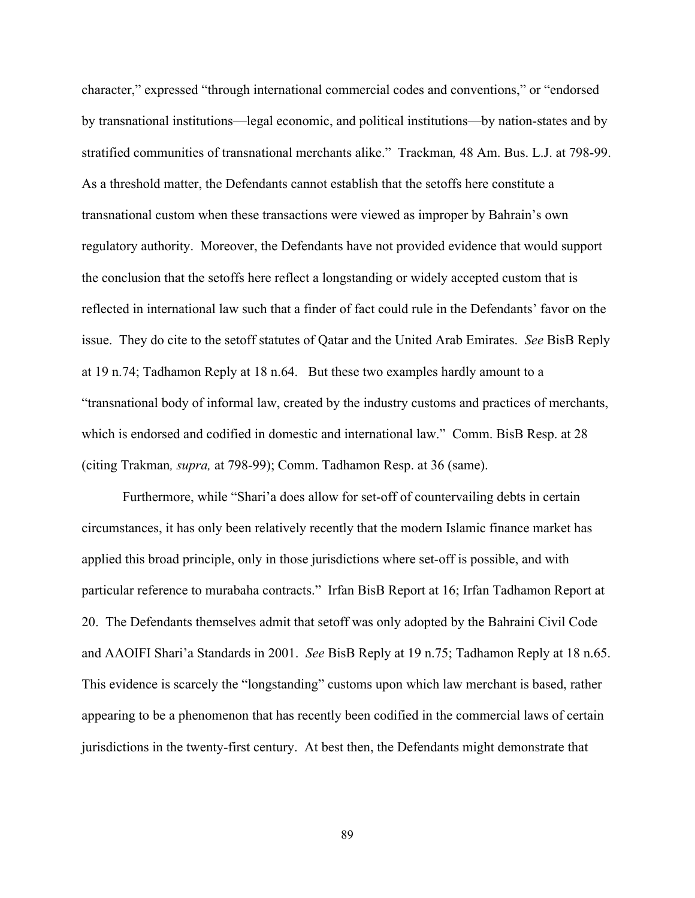character," expressed "through international commercial codes and conventions," or "endorsed by transnational institutions—legal economic, and political institutions—by nation-states and by stratified communities of transnational merchants alike." Trackman*,* 48 Am. Bus. L.J. at 798-99. As a threshold matter, the Defendants cannot establish that the setoffs here constitute a transnational custom when these transactions were viewed as improper by Bahrain's own regulatory authority. Moreover, the Defendants have not provided evidence that would support the conclusion that the setoffs here reflect a longstanding or widely accepted custom that is reflected in international law such that a finder of fact could rule in the Defendants' favor on the issue. They do cite to the setoff statutes of Qatar and the United Arab Emirates. *See* BisB Reply at 19 n.74; Tadhamon Reply at 18 n.64. But these two examples hardly amount to a "transnational body of informal law, created by the industry customs and practices of merchants, which is endorsed and codified in domestic and international law." Comm. BisB Resp. at 28 (citing Trakman*, supra,* at 798-99); Comm. Tadhamon Resp. at 36 (same).

Furthermore, while "Shari'a does allow for set-off of countervailing debts in certain circumstances, it has only been relatively recently that the modern Islamic finance market has applied this broad principle, only in those jurisdictions where set-off is possible, and with particular reference to murabaha contracts." Irfan BisB Report at 16; Irfan Tadhamon Report at 20. The Defendants themselves admit that setoff was only adopted by the Bahraini Civil Code and AAOIFI Shari'a Standards in 2001. *See* BisB Reply at 19 n.75; Tadhamon Reply at 18 n.65. This evidence is scarcely the "longstanding" customs upon which law merchant is based, rather appearing to be a phenomenon that has recently been codified in the commercial laws of certain jurisdictions in the twenty-first century. At best then, the Defendants might demonstrate that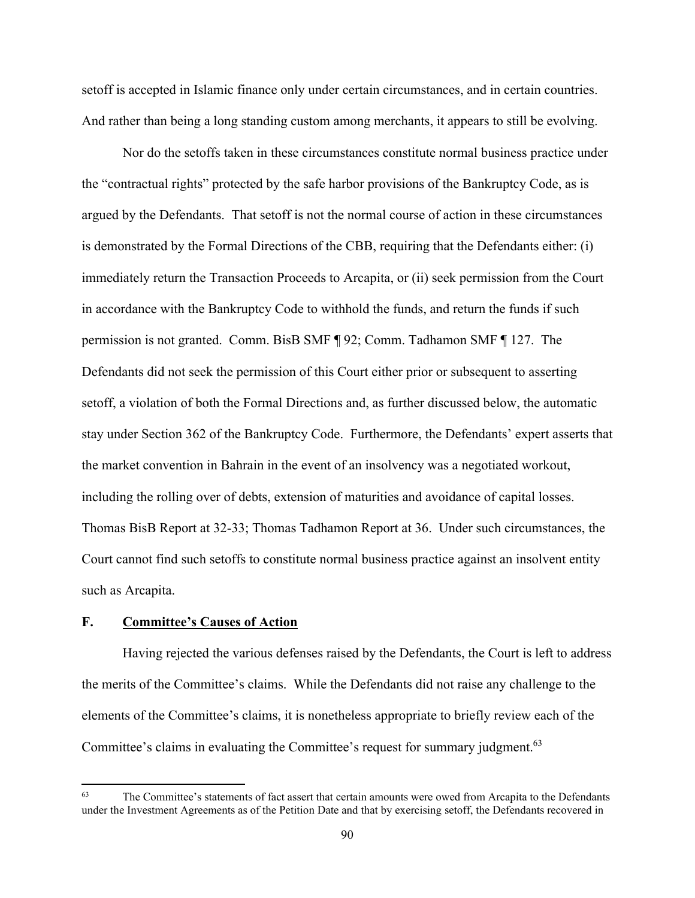setoff is accepted in Islamic finance only under certain circumstances, and in certain countries. And rather than being a long standing custom among merchants, it appears to still be evolving.

Nor do the setoffs taken in these circumstances constitute normal business practice under the "contractual rights" protected by the safe harbor provisions of the Bankruptcy Code, as is argued by the Defendants. That setoff is not the normal course of action in these circumstances is demonstrated by the Formal Directions of the CBB, requiring that the Defendants either: (i) immediately return the Transaction Proceeds to Arcapita, or (ii) seek permission from the Court in accordance with the Bankruptcy Code to withhold the funds, and return the funds if such permission is not granted. Comm. BisB SMF ¶ 92; Comm. Tadhamon SMF ¶ 127. The Defendants did not seek the permission of this Court either prior or subsequent to asserting setoff, a violation of both the Formal Directions and, as further discussed below, the automatic stay under Section 362 of the Bankruptcy Code. Furthermore, the Defendants' expert asserts that the market convention in Bahrain in the event of an insolvency was a negotiated workout, including the rolling over of debts, extension of maturities and avoidance of capital losses. Thomas BisB Report at 32-33; Thomas Tadhamon Report at 36. Under such circumstances, the Court cannot find such setoffs to constitute normal business practice against an insolvent entity such as Arcapita.

# **F. Committee's Causes of Action**

Having rejected the various defenses raised by the Defendants, the Court is left to address the merits of the Committee's claims. While the Defendants did not raise any challenge to the elements of the Committee's claims, it is nonetheless appropriate to briefly review each of the Committee's claims in evaluating the Committee's request for summary judgment.<sup>63</sup>

<sup>&</sup>lt;sup>63</sup> The Committee's statements of fact assert that certain amounts were owed from Arcapita to the Defendants under the Investment Agreements as of the Petition Date and that by exercising setoff, the Defendants recovered in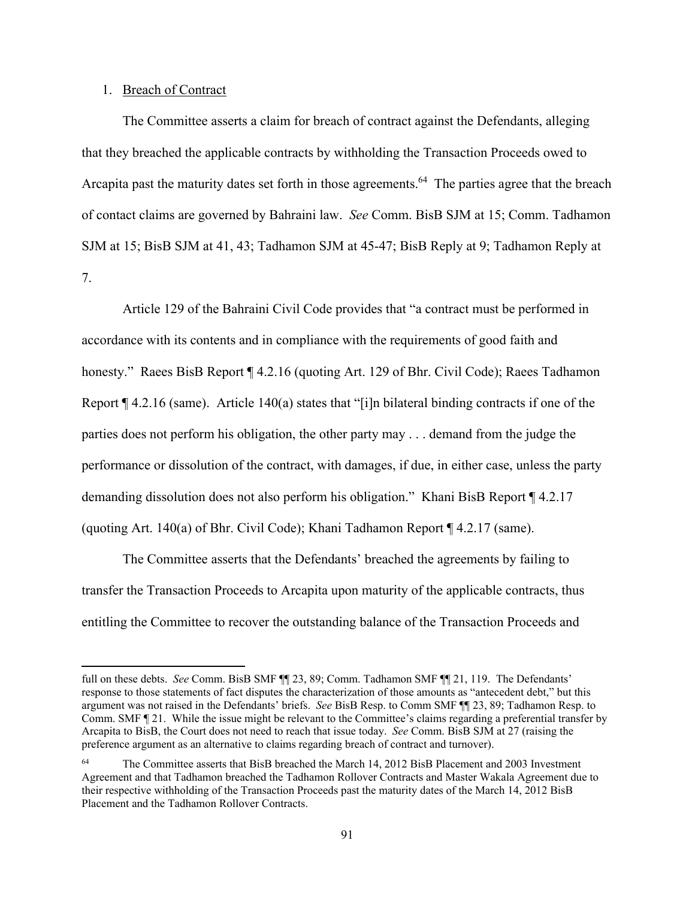# 1. Breach of Contract

The Committee asserts a claim for breach of contract against the Defendants, alleging that they breached the applicable contracts by withholding the Transaction Proceeds owed to Arcapita past the maturity dates set forth in those agreements.<sup>64</sup> The parties agree that the breach of contact claims are governed by Bahraini law. *See* Comm. BisB SJM at 15; Comm. Tadhamon SJM at 15; BisB SJM at 41, 43; Tadhamon SJM at 45-47; BisB Reply at 9; Tadhamon Reply at 7.

 Article 129 of the Bahraini Civil Code provides that "a contract must be performed in accordance with its contents and in compliance with the requirements of good faith and honesty." Raees BisB Report ¶ 4.2.16 (quoting Art. 129 of Bhr. Civil Code); Raees Tadhamon Report ¶ 4.2.16 (same). Article 140(a) states that "[i]n bilateral binding contracts if one of the parties does not perform his obligation, the other party may . . . demand from the judge the performance or dissolution of the contract, with damages, if due, in either case, unless the party demanding dissolution does not also perform his obligation." Khani BisB Report ¶ 4.2.17 (quoting Art. 140(a) of Bhr. Civil Code); Khani Tadhamon Report ¶ 4.2.17 (same).

 The Committee asserts that the Defendants' breached the agreements by failing to transfer the Transaction Proceeds to Arcapita upon maturity of the applicable contracts, thus entitling the Committee to recover the outstanding balance of the Transaction Proceeds and

full on these debts. *See* Comm. BisB SMF ¶¶ 23, 89; Comm. Tadhamon SMF ¶¶ 21, 119. The Defendants' response to those statements of fact disputes the characterization of those amounts as "antecedent debt," but this argument was not raised in the Defendants' briefs. *See* BisB Resp. to Comm SMF ¶¶ 23, 89; Tadhamon Resp. to Comm. SMF ¶ 21. While the issue might be relevant to the Committee's claims regarding a preferential transfer by Arcapita to BisB, the Court does not need to reach that issue today. *See* Comm. BisB SJM at 27 (raising the preference argument as an alternative to claims regarding breach of contract and turnover).

<sup>64</sup> The Committee asserts that BisB breached the March 14, 2012 BisB Placement and 2003 Investment Agreement and that Tadhamon breached the Tadhamon Rollover Contracts and Master Wakala Agreement due to their respective withholding of the Transaction Proceeds past the maturity dates of the March 14, 2012 BisB Placement and the Tadhamon Rollover Contracts.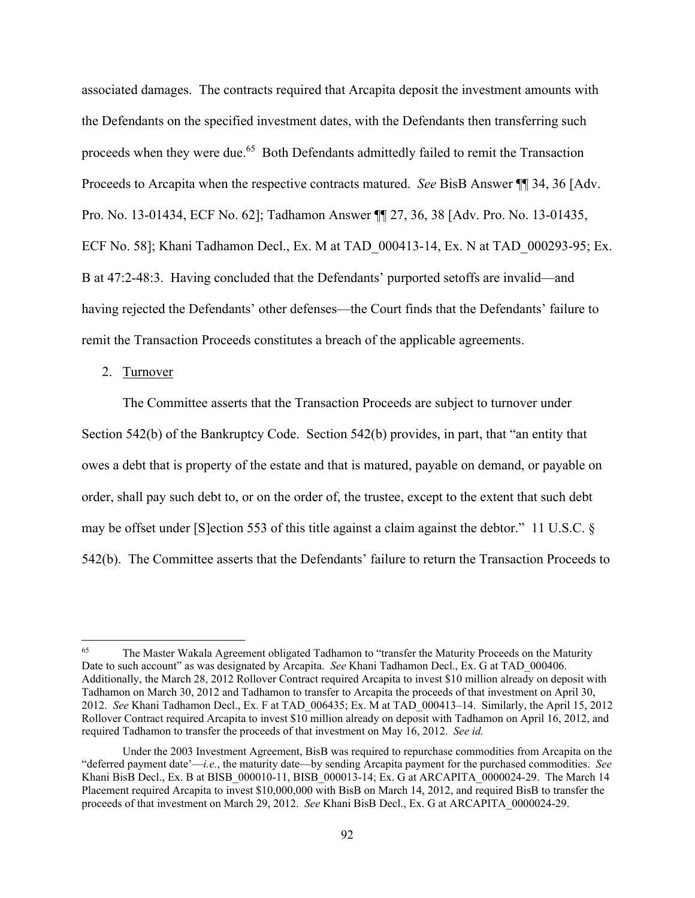associated damages. The contracts required that Arcapita deposit the investment amounts with the Defendants on the specified investment dates, with the Defendants then transferring such proceeds when they were due.<sup>65</sup> Both Defendants admittedly failed to remit the Transaction Proceeds to Arcapita when the respective contracts matured. *See* BisB Answer ¶¶ 34, 36 [Adv. Pro. No. 13-01434, ECF No. 62]; Tadhamon Answer ¶¶ 27, 36, 38 [Adv. Pro. No. 13-01435, ECF No. 58]; Khani Tadhamon Decl., Ex. M at TAD\_000413-14, Ex. N at TAD\_000293-95; Ex. B at 47:2-48:3. Having concluded that the Defendants' purported setoffs are invalid—and having rejected the Defendants' other defenses—the Court finds that the Defendants' failure to remit the Transaction Proceeds constitutes a breach of the applicable agreements.

#### 2. Turnover

The Committee asserts that the Transaction Proceeds are subject to turnover under Section 542(b) of the Bankruptcy Code. Section 542(b) provides, in part, that "an entity that owes a debt that is property of the estate and that is matured, payable on demand, or payable on order, shall pay such debt to, or on the order of, the trustee, except to the extent that such debt may be offset under [S]ection 553 of this title against a claim against the debtor." 11 U.S.C. § 542(b). The Committee asserts that the Defendants' failure to return the Transaction Proceeds to

<sup>65</sup> The Master Wakala Agreement obligated Tadhamon to "transfer the Maturity Proceeds on the Maturity Date to such account" as was designated by Arcapita. *See* Khani Tadhamon Decl., Ex. G at TAD\_000406. Additionally, the March 28, 2012 Rollover Contract required Arcapita to invest \$10 million already on deposit with Tadhamon on March 30, 2012 and Tadhamon to transfer to Arcapita the proceeds of that investment on April 30, 2012. *See* Khani Tadhamon Decl., Ex. F at TAD\_006435; Ex. M at TAD\_000413–14. Similarly, the April 15, 2012 Rollover Contract required Arcapita to invest \$10 million already on deposit with Tadhamon on April 16, 2012, and required Tadhamon to transfer the proceeds of that investment on May 16, 2012. *See id.*

Under the 2003 Investment Agreement, BisB was required to repurchase commodities from Arcapita on the "deferred payment date'—*i.e.*, the maturity date—by sending Arcapita payment for the purchased commodities. *See* Khani BisB Decl., Ex. B at BISB 000010-11, BISB 000013-14; Ex. G at ARCAPITA\_0000024-29. The March 14 Placement required Arcapita to invest \$10,000,000 with BisB on March 14, 2012, and required BisB to transfer the proceeds of that investment on March 29, 2012. *See* Khani BisB Decl., Ex. G at ARCAPITA\_0000024-29.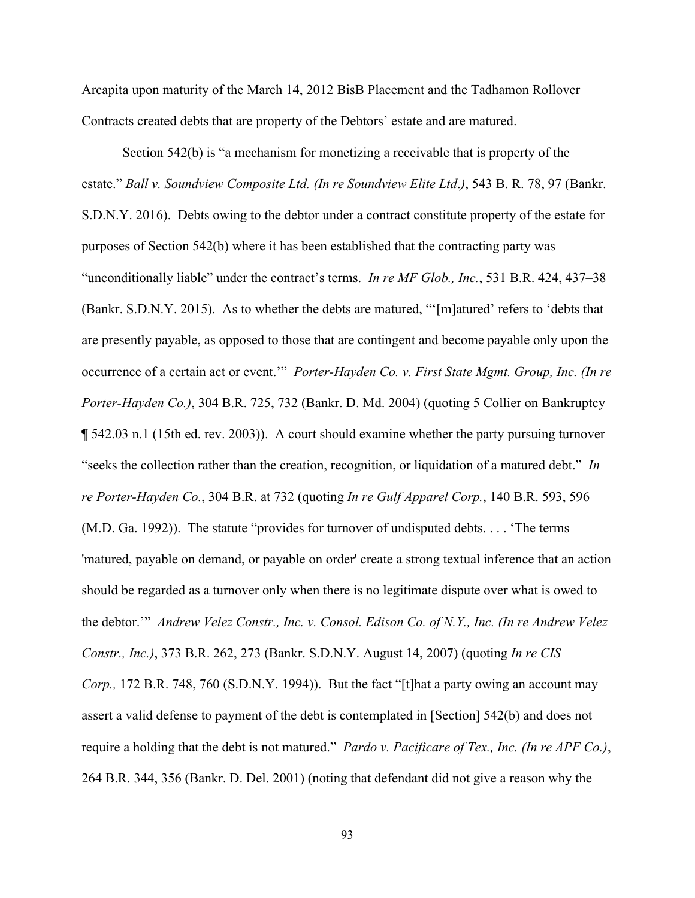Arcapita upon maturity of the March 14, 2012 BisB Placement and the Tadhamon Rollover Contracts created debts that are property of the Debtors' estate and are matured.

Section 542(b) is "a mechanism for monetizing a receivable that is property of the estate." *Ball v. Soundview Composite Ltd. (In re Soundview Elite Ltd*.*)*, 543 B. R. 78, 97 (Bankr. S.D.N.Y. 2016). Debts owing to the debtor under a contract constitute property of the estate for purposes of Section 542(b) where it has been established that the contracting party was "unconditionally liable" under the contract's terms. *In re MF Glob., Inc.*, 531 B.R. 424, 437–38 (Bankr. S.D.N.Y. 2015). As to whether the debts are matured, "'[m]atured' refers to 'debts that are presently payable, as opposed to those that are contingent and become payable only upon the occurrence of a certain act or event.'" *Porter-Hayden Co. v. First State Mgmt. Group, Inc. (In re Porter-Hayden Co.)*, 304 B.R. 725, 732 (Bankr. D. Md. 2004) (quoting 5 Collier on Bankruptcy ¶ 542.03 n.1 (15th ed. rev. 2003)). A court should examine whether the party pursuing turnover "seeks the collection rather than the creation, recognition, or liquidation of a matured debt." *In re Porter-Hayden Co.*, 304 B.R. at 732 (quoting *In re Gulf Apparel Corp.*, 140 B.R. 593, 596 (M.D. Ga. 1992)). The statute "provides for turnover of undisputed debts. . . . 'The terms 'matured, payable on demand, or payable on order' create a strong textual inference that an action should be regarded as a turnover only when there is no legitimate dispute over what is owed to the debtor.'" *Andrew Velez Constr., Inc. v. Consol. Edison Co. of N.Y., Inc. (In re Andrew Velez Constr., Inc.)*, 373 B.R. 262, 273 (Bankr. S.D.N.Y. August 14, 2007) (quoting *In re CIS Corp.,* 172 B.R. 748, 760 (S.D.N.Y. 1994)). But the fact "[t]hat a party owing an account may assert a valid defense to payment of the debt is contemplated in [Section] 542(b) and does not require a holding that the debt is not matured." *Pardo v. Pacificare of Tex., Inc. (In re APF Co.)*, 264 B.R. 344, 356 (Bankr. D. Del. 2001) (noting that defendant did not give a reason why the

93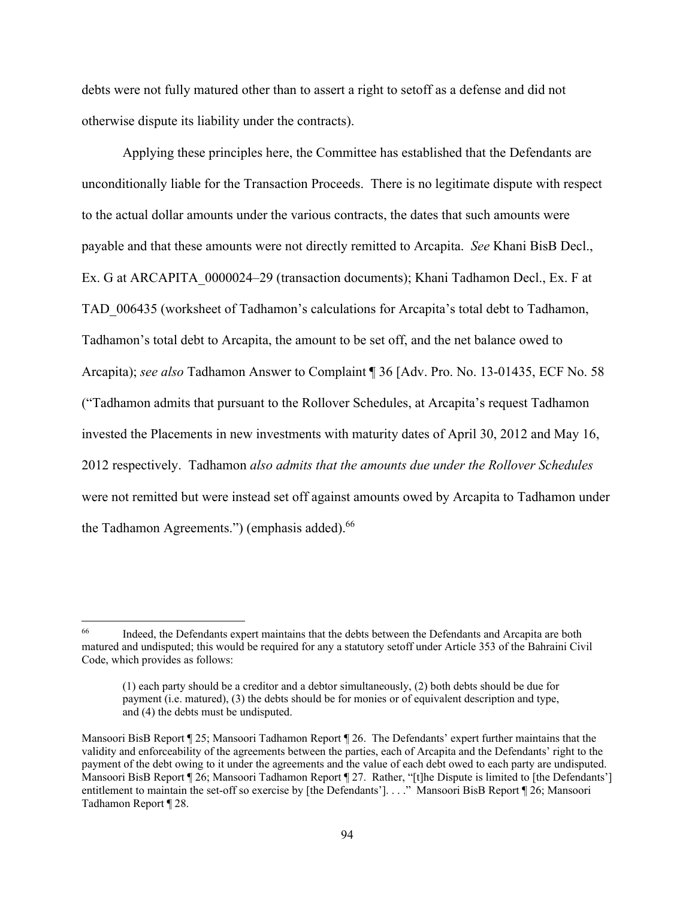debts were not fully matured other than to assert a right to setoff as a defense and did not otherwise dispute its liability under the contracts).

Applying these principles here, the Committee has established that the Defendants are unconditionally liable for the Transaction Proceeds. There is no legitimate dispute with respect to the actual dollar amounts under the various contracts, the dates that such amounts were payable and that these amounts were not directly remitted to Arcapita. *See* Khani BisB Decl., Ex. G at ARCAPITA\_0000024–29 (transaction documents); Khani Tadhamon Decl., Ex. F at TAD\_006435 (worksheet of Tadhamon's calculations for Arcapita's total debt to Tadhamon, Tadhamon's total debt to Arcapita, the amount to be set off, and the net balance owed to Arcapita); *see also* Tadhamon Answer to Complaint ¶ 36 [Adv. Pro. No. 13-01435, ECF No. 58 ("Tadhamon admits that pursuant to the Rollover Schedules, at Arcapita's request Tadhamon invested the Placements in new investments with maturity dates of April 30, 2012 and May 16, 2012 respectively. Tadhamon *also admits that the amounts due under the Rollover Schedules*  were not remitted but were instead set off against amounts owed by Arcapita to Tadhamon under the Tadhamon Agreements.") (emphasis added).<sup>66</sup>

<sup>&</sup>lt;sup>66</sup> Indeed, the Defendants expert maintains that the debts between the Defendants and Arcapita are both matured and undisputed; this would be required for any a statutory setoff under Article 353 of the Bahraini Civil Code, which provides as follows:

<sup>(1)</sup> each party should be a creditor and a debtor simultaneously, (2) both debts should be due for payment (i.e. matured), (3) the debts should be for monies or of equivalent description and type, and (4) the debts must be undisputed.

Mansoori BisB Report ¶ 25; Mansoori Tadhamon Report ¶ 26. The Defendants' expert further maintains that the validity and enforceability of the agreements between the parties, each of Arcapita and the Defendants' right to the payment of the debt owing to it under the agreements and the value of each debt owed to each party are undisputed. Mansoori BisB Report ¶ 26; Mansoori Tadhamon Report ¶ 27. Rather, "[t]he Dispute is limited to [the Defendants'] entitlement to maintain the set-off so exercise by [the Defendants']. . . ." Mansoori BisB Report ¶ 26; Mansoori Tadhamon Report ¶ 28.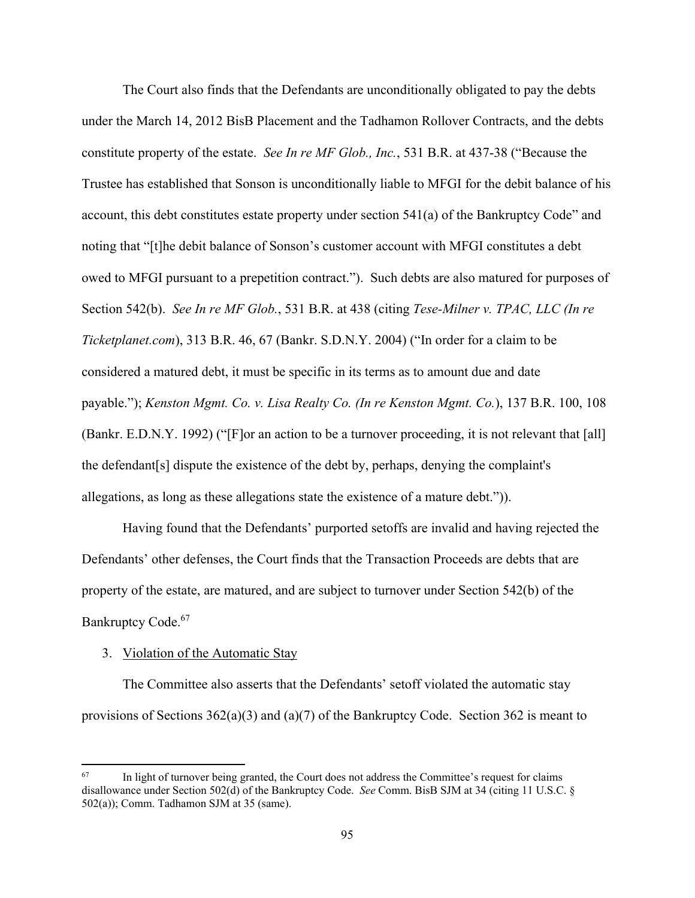The Court also finds that the Defendants are unconditionally obligated to pay the debts under the March 14, 2012 BisB Placement and the Tadhamon Rollover Contracts, and the debts constitute property of the estate. *See In re MF Glob., Inc.*, 531 B.R. at 437-38 ("Because the Trustee has established that Sonson is unconditionally liable to MFGI for the debit balance of his account, this debt constitutes estate property under section 541(a) of the Bankruptcy Code" and noting that "[t]he debit balance of Sonson's customer account with MFGI constitutes a debt owed to MFGI pursuant to a prepetition contract."). Such debts are also matured for purposes of Section 542(b). *See In re MF Glob.*, 531 B.R. at 438 (citing *Tese-Milner v. TPAC, LLC (In re Ticketplanet.com*), 313 B.R. 46, 67 (Bankr. S.D.N.Y. 2004) ("In order for a claim to be considered a matured debt, it must be specific in its terms as to amount due and date payable."); *Kenston Mgmt. Co. v. Lisa Realty Co. (In re Kenston Mgmt. Co.*), 137 B.R. 100, 108 (Bankr. E.D.N.Y. 1992) ("[F]or an action to be a turnover proceeding, it is not relevant that [all] the defendant[s] dispute the existence of the debt by, perhaps, denying the complaint's allegations, as long as these allegations state the existence of a mature debt.")).

Having found that the Defendants' purported setoffs are invalid and having rejected the Defendants' other defenses, the Court finds that the Transaction Proceeds are debts that are property of the estate, are matured, and are subject to turnover under Section 542(b) of the Bankruptcy Code.<sup>67</sup>

#### 3. Violation of the Automatic Stay

The Committee also asserts that the Defendants' setoff violated the automatic stay provisions of Sections  $362(a)(3)$  and  $(a)(7)$  of the Bankruptcy Code. Section  $362$  is meant to

 $67$  In light of turnover being granted, the Court does not address the Committee's request for claims disallowance under Section 502(d) of the Bankruptcy Code. *See* Comm. BisB SJM at 34 (citing 11 U.S.C. § 502(a)); Comm. Tadhamon SJM at 35 (same).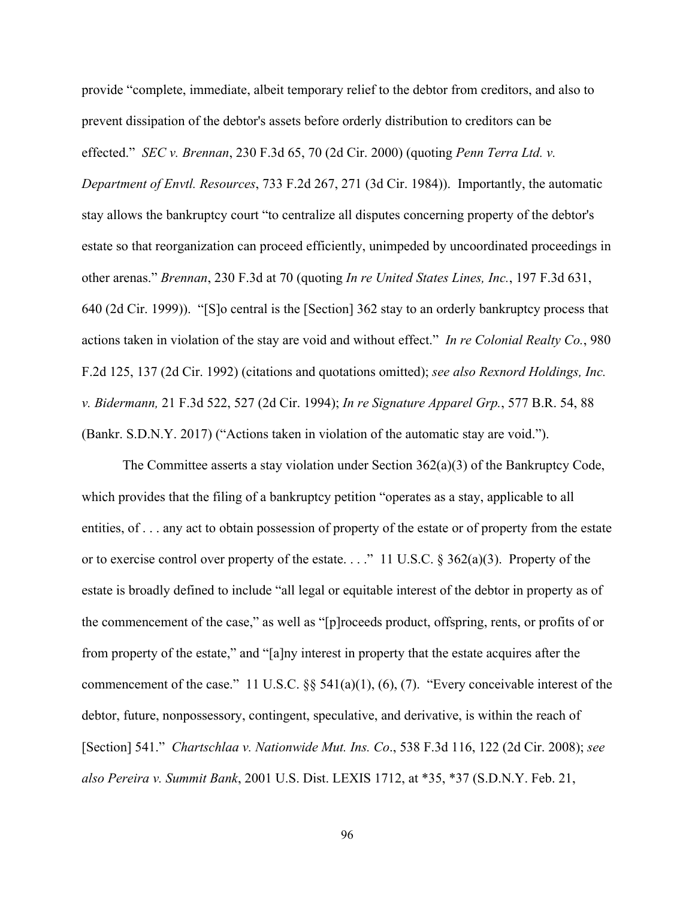provide "complete, immediate, albeit temporary relief to the debtor from creditors, and also to prevent dissipation of the debtor's assets before orderly distribution to creditors can be effected." *SEC v. Brennan*, 230 F.3d 65, 70 (2d Cir. 2000) (quoting *Penn Terra Ltd. v. Department of Envtl. Resources*, 733 F.2d 267, 271 (3d Cir. 1984)). Importantly, the automatic stay allows the bankruptcy court "to centralize all disputes concerning property of the debtor's estate so that reorganization can proceed efficiently, unimpeded by uncoordinated proceedings in other arenas." *Brennan*, 230 F.3d at 70 (quoting *In re United States Lines, Inc.*, 197 F.3d 631, 640 (2d Cir. 1999)). "[S]o central is the [Section] 362 stay to an orderly bankruptcy process that actions taken in violation of the stay are void and without effect." *In re Colonial Realty Co.*, 980 F.2d 125, 137 (2d Cir. 1992) (citations and quotations omitted); *see also Rexnord Holdings, Inc. v. Bidermann,* 21 F.3d 522, 527 (2d Cir. 1994); *In re Signature Apparel Grp.*, 577 B.R. 54, 88 (Bankr. S.D.N.Y. 2017) ("Actions taken in violation of the automatic stay are void.").

The Committee asserts a stay violation under Section  $362(a)(3)$  of the Bankruptcy Code, which provides that the filing of a bankruptcy petition "operates as a stay, applicable to all entities, of . . . any act to obtain possession of property of the estate or of property from the estate or to exercise control over property of the estate. . . ." 11 U.S.C. § 362(a)(3). Property of the estate is broadly defined to include "all legal or equitable interest of the debtor in property as of the commencement of the case," as well as "[p]roceeds product, offspring, rents, or profits of or from property of the estate," and "[a]ny interest in property that the estate acquires after the commencement of the case." 11 U.S.C. §§ 541(a)(1), (6), (7). "Every conceivable interest of the debtor, future, nonpossessory, contingent, speculative, and derivative, is within the reach of [Section] 541." *Chartschlaa v. Nationwide Mut. Ins. Co*., 538 F.3d 116, 122 (2d Cir. 2008); *see also Pereira v. Summit Bank*, 2001 U.S. Dist. LEXIS 1712, at \*35, \*37 (S.D.N.Y. Feb. 21,

96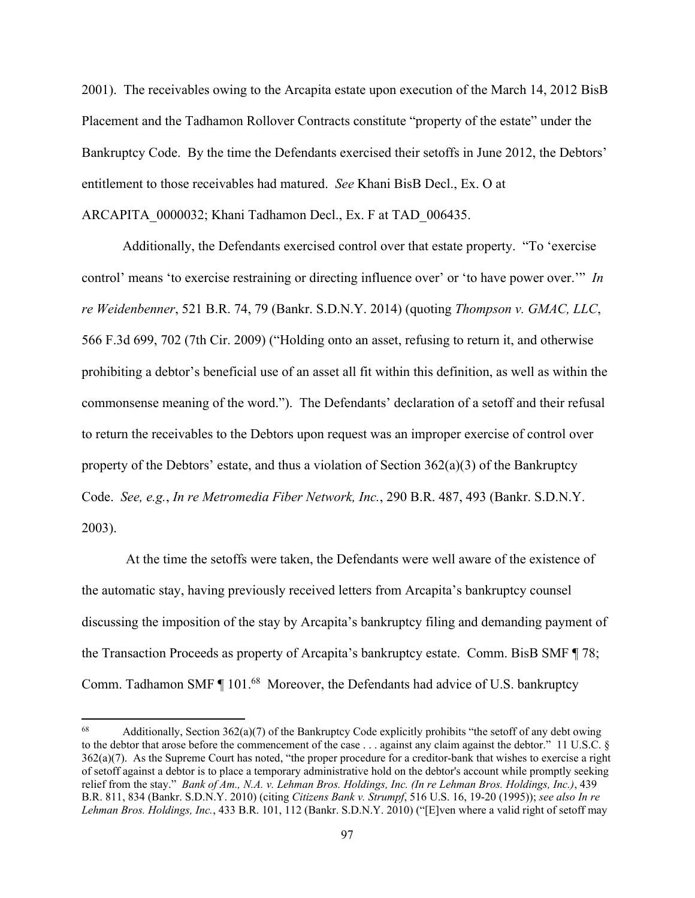2001). The receivables owing to the Arcapita estate upon execution of the March 14, 2012 BisB Placement and the Tadhamon Rollover Contracts constitute "property of the estate" under the Bankruptcy Code. By the time the Defendants exercised their setoffs in June 2012, the Debtors' entitlement to those receivables had matured. *See* Khani BisB Decl., Ex. O at ARCAPITA\_0000032; Khani Tadhamon Decl., Ex. F at TAD\_006435.

Additionally, the Defendants exercised control over that estate property. "To 'exercise control' means 'to exercise restraining or directing influence over' or 'to have power over.'" *In re Weidenbenner*, 521 B.R. 74, 79 (Bankr. S.D.N.Y. 2014) (quoting *Thompson v. GMAC, LLC*, 566 F.3d 699, 702 (7th Cir. 2009) ("Holding onto an asset, refusing to return it, and otherwise prohibiting a debtor's beneficial use of an asset all fit within this definition, as well as within the commonsense meaning of the word."). The Defendants' declaration of a setoff and their refusal to return the receivables to the Debtors upon request was an improper exercise of control over property of the Debtors' estate, and thus a violation of Section  $362(a)(3)$  of the Bankruptcy Code. *See, e.g.*, *In re Metromedia Fiber Network, Inc.*, 290 B.R. 487, 493 (Bankr. S.D.N.Y. 2003).

 At the time the setoffs were taken, the Defendants were well aware of the existence of the automatic stay, having previously received letters from Arcapita's bankruptcy counsel discussing the imposition of the stay by Arcapita's bankruptcy filing and demanding payment of the Transaction Proceeds as property of Arcapita's bankruptcy estate. Comm. BisB SMF ¶ 78; Comm. Tadhamon SMF ¶ 101.<sup>68</sup> Moreover, the Defendants had advice of U.S. bankruptcy

<sup>&</sup>lt;sup>68</sup> Additionally, Section  $362(a)(7)$  of the Bankruptcy Code explicitly prohibits "the setoff of any debt owing to the debtor that arose before the commencement of the case . . . against any claim against the debtor." 11 U.S.C.  $\&$ 362(a)(7). As the Supreme Court has noted, "the proper procedure for a creditor-bank that wishes to exercise a right of setoff against a debtor is to place a temporary administrative hold on the debtor's account while promptly seeking relief from the stay." *Bank of Am., N.A. v. Lehman Bros. Holdings, Inc. (In re Lehman Bros. Holdings, Inc.)*, 439 B.R. 811, 834 (Bankr. S.D.N.Y. 2010) (citing *Citizens Bank v. Strumpf*, 516 U.S. 16, 19-20 (1995)); *see also In re Lehman Bros. Holdings, Inc.*, 433 B.R. 101, 112 (Bankr. S.D.N.Y. 2010) ("[E]ven where a valid right of setoff may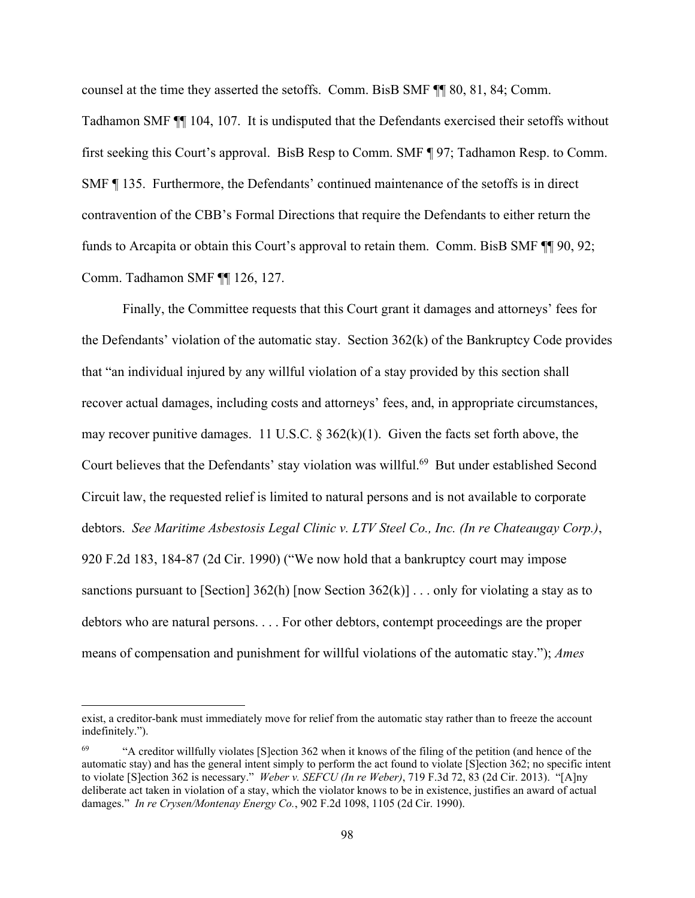counsel at the time they asserted the setoffs. Comm. BisB SMF ¶¶ 80, 81, 84; Comm.

Tadhamon SMF ¶¶ 104, 107. It is undisputed that the Defendants exercised their setoffs without first seeking this Court's approval. BisB Resp to Comm. SMF ¶ 97; Tadhamon Resp. to Comm. SMF ¶ 135. Furthermore, the Defendants' continued maintenance of the setoffs is in direct contravention of the CBB's Formal Directions that require the Defendants to either return the funds to Arcapita or obtain this Court's approval to retain them. Comm. BisB SMF  $\P$  [ $\qquad$  90, 92; Comm. Tadhamon SMF ¶¶ 126, 127.

 Finally, the Committee requests that this Court grant it damages and attorneys' fees for the Defendants' violation of the automatic stay. Section 362(k) of the Bankruptcy Code provides that "an individual injured by any willful violation of a stay provided by this section shall recover actual damages, including costs and attorneys' fees, and, in appropriate circumstances, may recover punitive damages. 11 U.S.C.  $\S 362(k)(1)$ . Given the facts set forth above, the Court believes that the Defendants' stay violation was willful.<sup>69</sup> But under established Second Circuit law, the requested relief is limited to natural persons and is not available to corporate debtors. *See Maritime Asbestosis Legal Clinic v. LTV Steel Co., Inc. (In re Chateaugay Corp.)*, 920 F.2d 183, 184-87 (2d Cir. 1990) ("We now hold that a bankruptcy court may impose sanctions pursuant to [Section]  $362(h)$  [now Section  $362(k)$ ] . . . only for violating a stay as to debtors who are natural persons. . . . For other debtors, contempt proceedings are the proper means of compensation and punishment for willful violations of the automatic stay."); *Ames* 

exist, a creditor-bank must immediately move for relief from the automatic stay rather than to freeze the account indefinitely.").

<sup>69 &</sup>quot;A creditor willfully violates [S]ection 362 when it knows of the filing of the petition (and hence of the automatic stay) and has the general intent simply to perform the act found to violate [S]ection 362; no specific intent to violate [S]ection 362 is necessary." *Weber v. SEFCU (In re Weber)*, 719 F.3d 72, 83 (2d Cir. 2013). "[A]ny deliberate act taken in violation of a stay, which the violator knows to be in existence, justifies an award of actual damages." *In re Crysen/Montenay Energy Co.*, 902 F.2d 1098, 1105 (2d Cir. 1990).